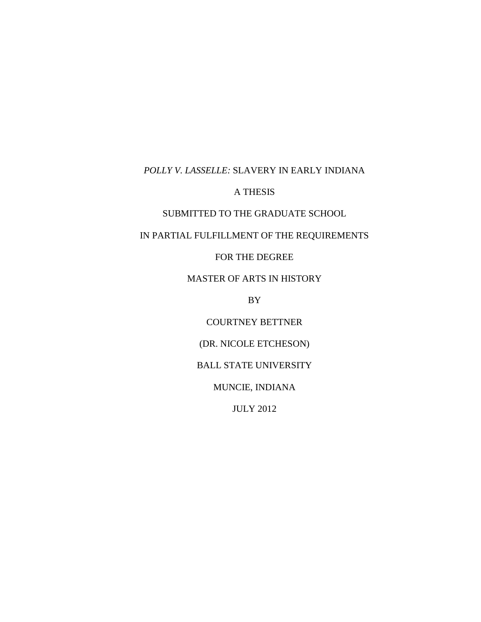### *POLLY V. LASSELLE:* SLAVERY IN EARLY INDIANA

### A THESIS

# SUBMITTED TO THE GRADUATE SCHOOL

# IN PARTIAL FULFILLMENT OF THE REQUIREMENTS

### FOR THE DEGREE

# MASTER OF ARTS IN HISTORY

BY

COURTNEY BETTNER

(DR. NICOLE ETCHESON)

BALL STATE UNIVERSITY

MUNCIE, INDIANA

JULY 2012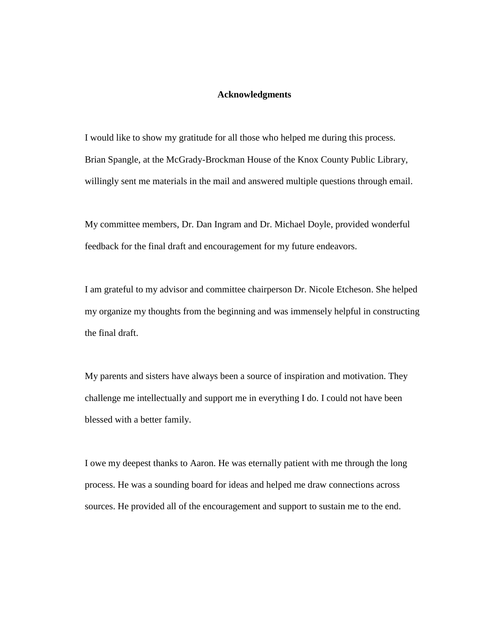#### **Acknowledgments**

I would like to show my gratitude for all those who helped me during this process. Brian Spangle, at the McGrady-Brockman House of the Knox County Public Library, willingly sent me materials in the mail and answered multiple questions through email.

My committee members, Dr. Dan Ingram and Dr. Michael Doyle, provided wonderful feedback for the final draft and encouragement for my future endeavors.

I am grateful to my advisor and committee chairperson Dr. Nicole Etcheson. She helped my organize my thoughts from the beginning and was immensely helpful in constructing the final draft.

My parents and sisters have always been a source of inspiration and motivation. They challenge me intellectually and support me in everything I do. I could not have been blessed with a better family.

I owe my deepest thanks to Aaron. He was eternally patient with me through the long process. He was a sounding board for ideas and helped me draw connections across sources. He provided all of the encouragement and support to sustain me to the end.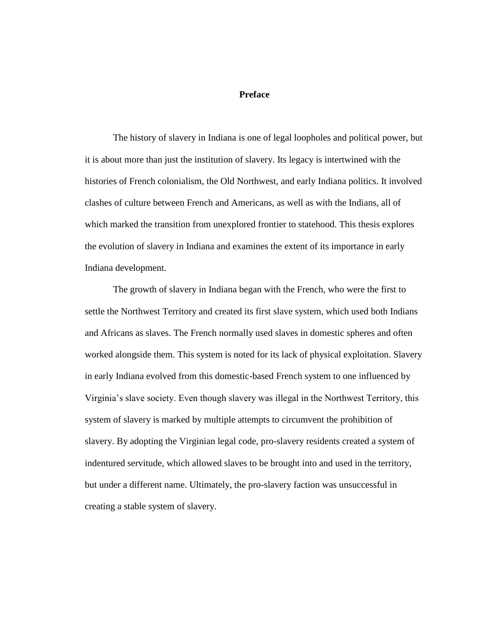#### **Preface**

The history of slavery in Indiana is one of legal loopholes and political power, but it is about more than just the institution of slavery. Its legacy is intertwined with the histories of French colonialism, the Old Northwest, and early Indiana politics. It involved clashes of culture between French and Americans, as well as with the Indians, all of which marked the transition from unexplored frontier to statehood. This thesis explores the evolution of slavery in Indiana and examines the extent of its importance in early Indiana development.

The growth of slavery in Indiana began with the French, who were the first to settle the Northwest Territory and created its first slave system, which used both Indians and Africans as slaves. The French normally used slaves in domestic spheres and often worked alongside them. This system is noted for its lack of physical exploitation. Slavery in early Indiana evolved from this domestic-based French system to one influenced by Virginia's slave society. Even though slavery was illegal in the Northwest Territory, this system of slavery is marked by multiple attempts to circumvent the prohibition of slavery. By adopting the Virginian legal code, pro-slavery residents created a system of indentured servitude, which allowed slaves to be brought into and used in the territory, but under a different name. Ultimately, the pro-slavery faction was unsuccessful in creating a stable system of slavery.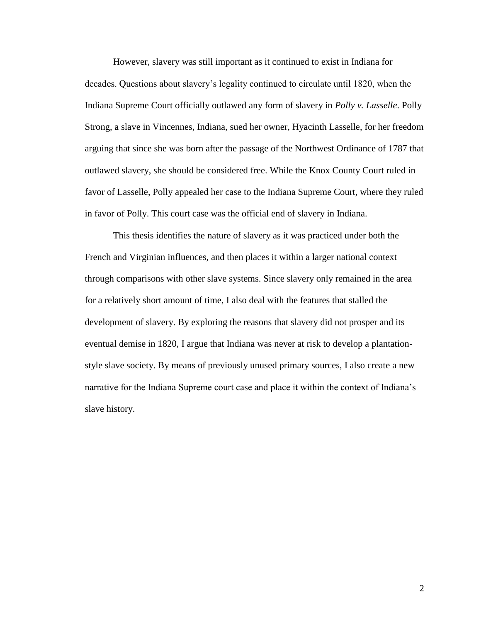However, slavery was still important as it continued to exist in Indiana for decades. Questions about slavery's legality continued to circulate until 1820, when the Indiana Supreme Court officially outlawed any form of slavery in *Polly v. Lasselle*. Polly Strong, a slave in Vincennes, Indiana, sued her owner, Hyacinth Lasselle, for her freedom arguing that since she was born after the passage of the Northwest Ordinance of 1787 that outlawed slavery, she should be considered free. While the Knox County Court ruled in favor of Lasselle, Polly appealed her case to the Indiana Supreme Court, where they ruled in favor of Polly. This court case was the official end of slavery in Indiana.

This thesis identifies the nature of slavery as it was practiced under both the French and Virginian influences, and then places it within a larger national context through comparisons with other slave systems. Since slavery only remained in the area for a relatively short amount of time, I also deal with the features that stalled the development of slavery. By exploring the reasons that slavery did not prosper and its eventual demise in 1820, I argue that Indiana was never at risk to develop a plantationstyle slave society. By means of previously unused primary sources, I also create a new narrative for the Indiana Supreme court case and place it within the context of Indiana's slave history.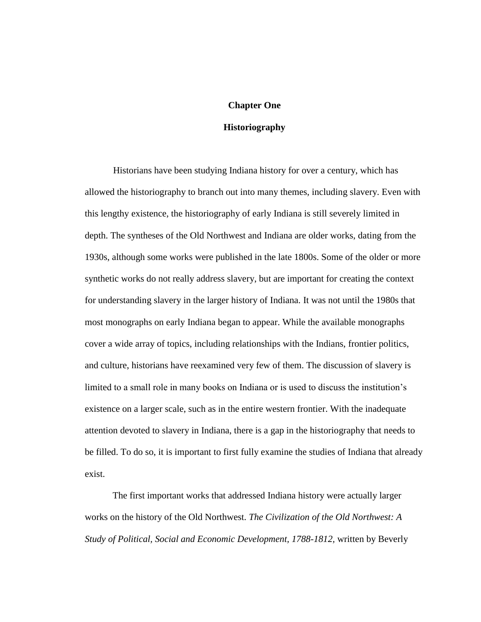#### **Chapter One**

#### **Historiography**

Historians have been studying Indiana history for over a century, which has allowed the historiography to branch out into many themes, including slavery. Even with this lengthy existence, the historiography of early Indiana is still severely limited in depth. The syntheses of the Old Northwest and Indiana are older works, dating from the 1930s, although some works were published in the late 1800s. Some of the older or more synthetic works do not really address slavery, but are important for creating the context for understanding slavery in the larger history of Indiana. It was not until the 1980s that most monographs on early Indiana began to appear. While the available monographs cover a wide array of topics, including relationships with the Indians, frontier politics, and culture, historians have reexamined very few of them. The discussion of slavery is limited to a small role in many books on Indiana or is used to discuss the institution's existence on a larger scale, such as in the entire western frontier. With the inadequate attention devoted to slavery in Indiana, there is a gap in the historiography that needs to be filled. To do so, it is important to first fully examine the studies of Indiana that already exist.

The first important works that addressed Indiana history were actually larger works on the history of the Old Northwest. *The Civilization of the Old Northwest: A Study of Political, Social and Economic Development, 1788-1812, written by Beverly*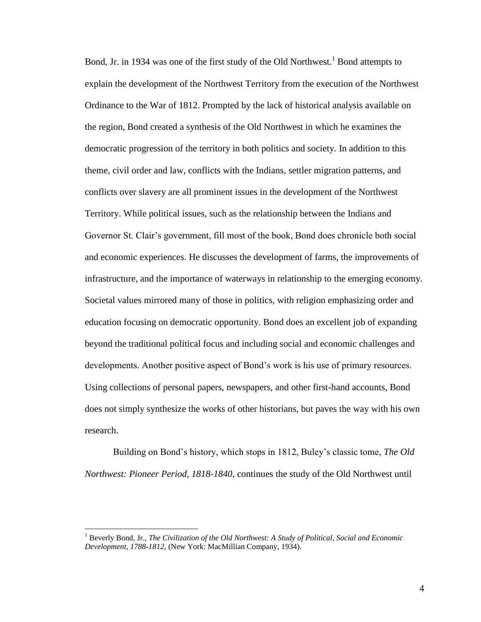Bond, Jr. in 1934 was one of the first study of the Old Northwest.<sup>1</sup> Bond attempts to explain the development of the Northwest Territory from the execution of the Northwest Ordinance to the War of 1812. Prompted by the lack of historical analysis available on the region, Bond created a synthesis of the Old Northwest in which he examines the democratic progression of the territory in both politics and society. In addition to this theme, civil order and law, conflicts with the Indians, settler migration patterns, and conflicts over slavery are all prominent issues in the development of the Northwest Territory. While political issues, such as the relationship between the Indians and Governor St. Clair's government, fill most of the book, Bond does chronicle both social and economic experiences. He discusses the development of farms, the improvements of infrastructure, and the importance of waterways in relationship to the emerging economy. Societal values mirrored many of those in politics, with religion emphasizing order and education focusing on democratic opportunity. Bond does an excellent job of expanding beyond the traditional political focus and including social and economic challenges and developments. Another positive aspect of Bond's work is his use of primary resources. Using collections of personal papers, newspapers, and other first-hand accounts, Bond does not simply synthesize the works of other historians, but paves the way with his own research.

Building on Bond's history, which stops in 1812, Buley's classic tome, *The Old Northwest: Pioneer Period, 1818-1840,* continues the study of the Old Northwest until

<sup>1</sup> Beverly Bond, Jr., *The Civilization of the Old Northwest: A Study of Political, Social and Economic Development, 1788-1812*, (New York: MacMillian Company, 1934).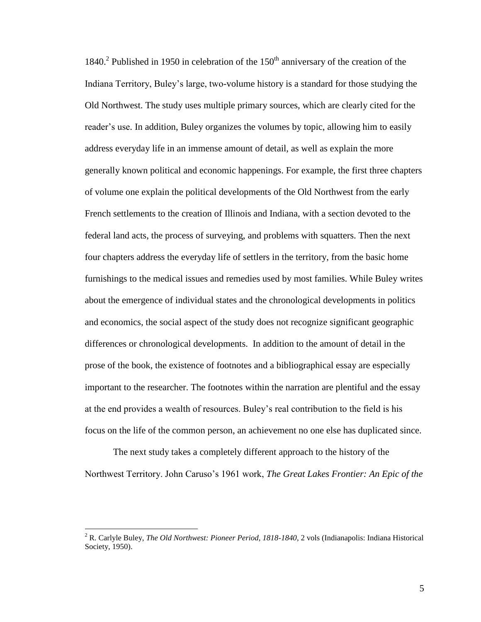1840.<sup>2</sup> Published in 1950 in celebration of the  $150<sup>th</sup>$  anniversary of the creation of the Indiana Territory, Buley's large, two-volume history is a standard for those studying the Old Northwest. The study uses multiple primary sources, which are clearly cited for the reader's use. In addition, Buley organizes the volumes by topic, allowing him to easily address everyday life in an immense amount of detail, as well as explain the more generally known political and economic happenings. For example, the first three chapters of volume one explain the political developments of the Old Northwest from the early French settlements to the creation of Illinois and Indiana, with a section devoted to the federal land acts, the process of surveying, and problems with squatters. Then the next four chapters address the everyday life of settlers in the territory, from the basic home furnishings to the medical issues and remedies used by most families. While Buley writes about the emergence of individual states and the chronological developments in politics and economics, the social aspect of the study does not recognize significant geographic differences or chronological developments. In addition to the amount of detail in the prose of the book, the existence of footnotes and a bibliographical essay are especially important to the researcher. The footnotes within the narration are plentiful and the essay at the end provides a wealth of resources. Buley's real contribution to the field is his focus on the life of the common person, an achievement no one else has duplicated since.

The next study takes a completely different approach to the history of the Northwest Territory. John Caruso's 1961 work, *The Great Lakes Frontier: An Epic of the* 

<sup>2</sup> R. Carlyle Buley, *The Old Northwest: Pioneer Period, 1818-1840*, 2 vols (Indianapolis: Indiana Historical Society, 1950).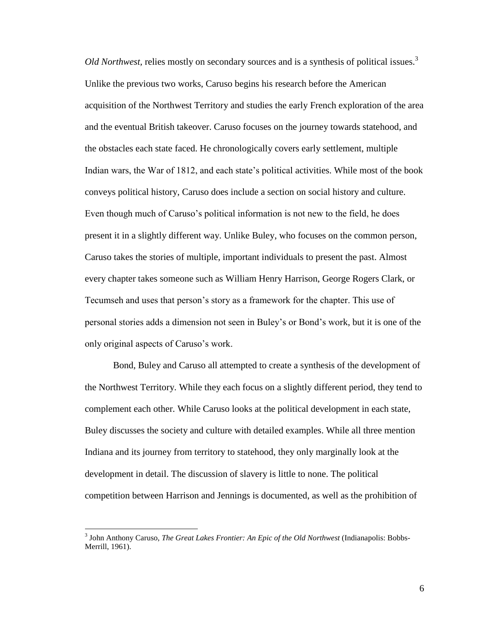*Old Northwest*, relies mostly on secondary sources and is a synthesis of political issues.<sup>3</sup> Unlike the previous two works, Caruso begins his research before the American acquisition of the Northwest Territory and studies the early French exploration of the area and the eventual British takeover. Caruso focuses on the journey towards statehood, and the obstacles each state faced. He chronologically covers early settlement, multiple Indian wars, the War of 1812, and each state's political activities. While most of the book conveys political history, Caruso does include a section on social history and culture. Even though much of Caruso's political information is not new to the field, he does present it in a slightly different way. Unlike Buley, who focuses on the common person, Caruso takes the stories of multiple, important individuals to present the past. Almost every chapter takes someone such as William Henry Harrison, George Rogers Clark, or Tecumseh and uses that person's story as a framework for the chapter. This use of personal stories adds a dimension not seen in Buley's or Bond's work, but it is one of the only original aspects of Caruso's work.

Bond, Buley and Caruso all attempted to create a synthesis of the development of the Northwest Territory. While they each focus on a slightly different period, they tend to complement each other. While Caruso looks at the political development in each state, Buley discusses the society and culture with detailed examples. While all three mention Indiana and its journey from territory to statehood, they only marginally look at the development in detail. The discussion of slavery is little to none. The political competition between Harrison and Jennings is documented, as well as the prohibition of

<sup>3</sup> John Anthony Caruso, *The Great Lakes Frontier: An Epic of the Old Northwest* (Indianapolis: Bobbs-Merrill, 1961).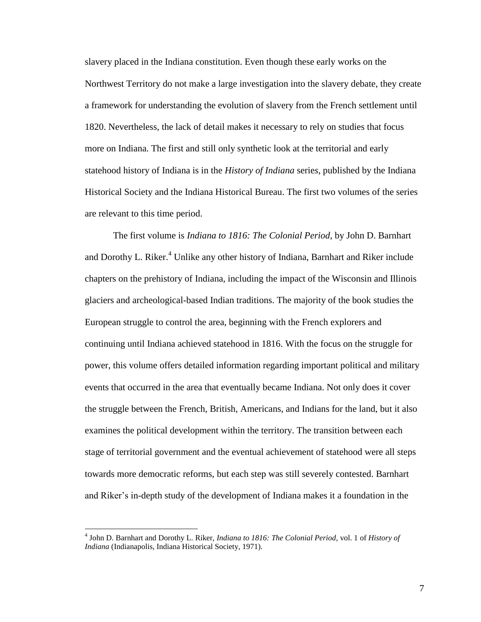slavery placed in the Indiana constitution. Even though these early works on the Northwest Territory do not make a large investigation into the slavery debate, they create a framework for understanding the evolution of slavery from the French settlement until 1820. Nevertheless, the lack of detail makes it necessary to rely on studies that focus more on Indiana. The first and still only synthetic look at the territorial and early statehood history of Indiana is in the *History of Indiana* serie*s*, published by the Indiana Historical Society and the Indiana Historical Bureau. The first two volumes of the series are relevant to this time period.

The first volume is *Indiana to 1816: The Colonial Period*, by John D. Barnhart and Dorothy L. Riker.<sup>4</sup> Unlike any other history of Indiana, Barnhart and Riker include chapters on the prehistory of Indiana, including the impact of the Wisconsin and Illinois glaciers and archeological-based Indian traditions. The majority of the book studies the European struggle to control the area, beginning with the French explorers and continuing until Indiana achieved statehood in 1816. With the focus on the struggle for power, this volume offers detailed information regarding important political and military events that occurred in the area that eventually became Indiana. Not only does it cover the struggle between the French, British, Americans, and Indians for the land, but it also examines the political development within the territory. The transition between each stage of territorial government and the eventual achievement of statehood were all steps towards more democratic reforms, but each step was still severely contested. Barnhart and Riker's in-depth study of the development of Indiana makes it a foundation in the

<sup>4</sup> John D. Barnhart and Dorothy L. Riker, *Indiana to 1816: The Colonial Period,* vol. 1 of *History of Indiana* (Indianapolis, Indiana Historical Society, 1971).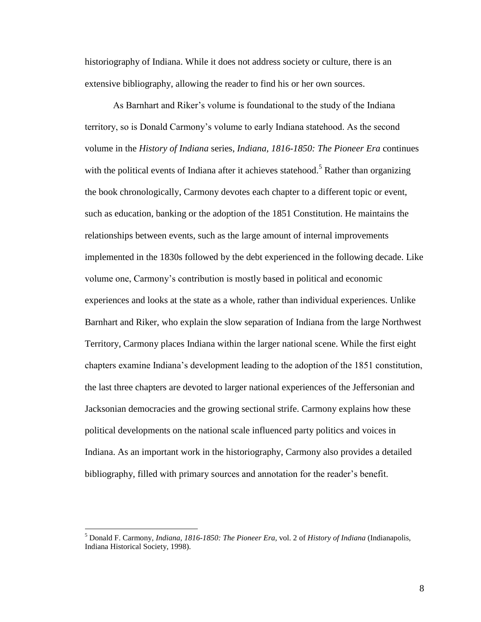historiography of Indiana. While it does not address society or culture, there is an extensive bibliography, allowing the reader to find his or her own sources.

As Barnhart and Riker's volume is foundational to the study of the Indiana territory, so is Donald Carmony's volume to early Indiana statehood. As the second volume in the *History of Indiana* series, *Indiana, 1816-1850: The Pioneer Era* continues with the political events of Indiana after it achieves statehood.<sup>5</sup> Rather than organizing the book chronologically, Carmony devotes each chapter to a different topic or event, such as education, banking or the adoption of the 1851 Constitution. He maintains the relationships between events, such as the large amount of internal improvements implemented in the 1830s followed by the debt experienced in the following decade. Like volume one, Carmony's contribution is mostly based in political and economic experiences and looks at the state as a whole, rather than individual experiences. Unlike Barnhart and Riker, who explain the slow separation of Indiana from the large Northwest Territory, Carmony places Indiana within the larger national scene. While the first eight chapters examine Indiana's development leading to the adoption of the 1851 constitution, the last three chapters are devoted to larger national experiences of the Jeffersonian and Jacksonian democracies and the growing sectional strife. Carmony explains how these political developments on the national scale influenced party politics and voices in Indiana. As an important work in the historiography, Carmony also provides a detailed bibliography, filled with primary sources and annotation for the reader's benefit.

<sup>5</sup> Donald F. Carmony, *Indiana, 1816-1850: The Pioneer Era,* vol. 2 of *History of Indiana* (Indianapolis, Indiana Historical Society, 1998).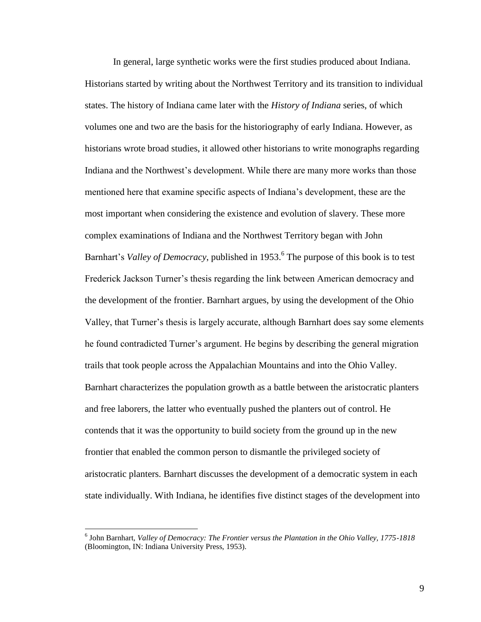In general, large synthetic works were the first studies produced about Indiana. Historians started by writing about the Northwest Territory and its transition to individual states. The history of Indiana came later with the *History of Indiana* series, of which volumes one and two are the basis for the historiography of early Indiana. However, as historians wrote broad studies, it allowed other historians to write monographs regarding Indiana and the Northwest's development. While there are many more works than those mentioned here that examine specific aspects of Indiana's development, these are the most important when considering the existence and evolution of slavery. These more complex examinations of Indiana and the Northwest Territory began with John Barnhart's *Valley of Democracy*, published in 1953.<sup>6</sup> The purpose of this book is to test Frederick Jackson Turner's thesis regarding the link between American democracy and the development of the frontier. Barnhart argues, by using the development of the Ohio Valley, that Turner's thesis is largely accurate, although Barnhart does say some elements he found contradicted Turner's argument. He begins by describing the general migration trails that took people across the Appalachian Mountains and into the Ohio Valley. Barnhart characterizes the population growth as a battle between the aristocratic planters and free laborers, the latter who eventually pushed the planters out of control. He contends that it was the opportunity to build society from the ground up in the new frontier that enabled the common person to dismantle the privileged society of aristocratic planters. Barnhart discusses the development of a democratic system in each state individually. With Indiana, he identifies five distinct stages of the development into

<sup>6</sup> John Barnhart, *Valley of Democracy: The Frontier versus the Plantation in the Ohio Valley, 1775-1818* (Bloomington, IN: Indiana University Press, 1953).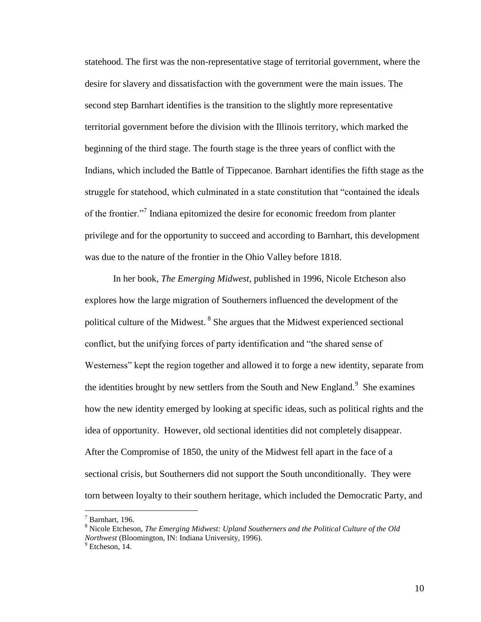statehood. The first was the non-representative stage of territorial government, where the desire for slavery and dissatisfaction with the government were the main issues. The second step Barnhart identifies is the transition to the slightly more representative territorial government before the division with the Illinois territory, which marked the beginning of the third stage. The fourth stage is the three years of conflict with the Indians, which included the Battle of Tippecanoe. Barnhart identifies the fifth stage as the struggle for statehood, which culminated in a state constitution that "contained the ideals of the frontier."<sup>7</sup> Indiana epitomized the desire for economic freedom from planter privilege and for the opportunity to succeed and according to Barnhart, this development was due to the nature of the frontier in the Ohio Valley before 1818.

In her book, *The Emerging Midwest*, published in 1996, Nicole Etcheson also explores how the large migration of Southerners influenced the development of the political culture of the Midwest.<sup>8</sup> She argues that the Midwest experienced sectional conflict, but the unifying forces of party identification and "the shared sense of Westerness" kept the region together and allowed it to forge a new identity, separate from the identities brought by new settlers from the South and New England.<sup>9</sup> She examines how the new identity emerged by looking at specific ideas, such as political rights and the idea of opportunity. However, old sectional identities did not completely disappear. After the Compromise of 1850, the unity of the Midwest fell apart in the face of a sectional crisis, but Southerners did not support the South unconditionally. They were torn between loyalty to their southern heritage, which included the Democratic Party, and

 $<sup>7</sup>$  Barnhart, 196.</sup>

<sup>8</sup> Nicole Etcheson, *The Emerging Midwest: Upland Southerners and the Political Culture of the Old Northwest* (Bloomington, IN: Indiana University, 1996).

 $<sup>9</sup>$  Etcheson, 14.</sup>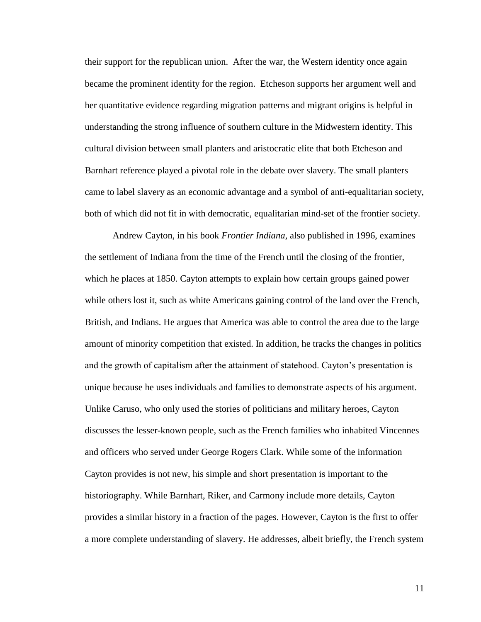their support for the republican union. After the war, the Western identity once again became the prominent identity for the region. Etcheson supports her argument well and her quantitative evidence regarding migration patterns and migrant origins is helpful in understanding the strong influence of southern culture in the Midwestern identity. This cultural division between small planters and aristocratic elite that both Etcheson and Barnhart reference played a pivotal role in the debate over slavery. The small planters came to label slavery as an economic advantage and a symbol of anti-equalitarian society, both of which did not fit in with democratic, equalitarian mind-set of the frontier society.

Andrew Cayton, in his book *Frontier Indiana,* also published in 1996, examines the settlement of Indiana from the time of the French until the closing of the frontier, which he places at 1850. Cayton attempts to explain how certain groups gained power while others lost it, such as white Americans gaining control of the land over the French, British, and Indians. He argues that America was able to control the area due to the large amount of minority competition that existed. In addition, he tracks the changes in politics and the growth of capitalism after the attainment of statehood. Cayton's presentation is unique because he uses individuals and families to demonstrate aspects of his argument. Unlike Caruso, who only used the stories of politicians and military heroes, Cayton discusses the lesser-known people, such as the French families who inhabited Vincennes and officers who served under George Rogers Clark. While some of the information Cayton provides is not new, his simple and short presentation is important to the historiography. While Barnhart, Riker, and Carmony include more details, Cayton provides a similar history in a fraction of the pages. However, Cayton is the first to offer a more complete understanding of slavery. He addresses, albeit briefly, the French system

11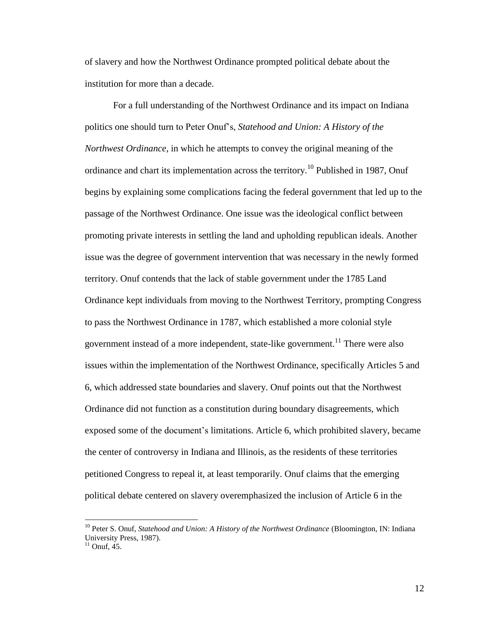of slavery and how the Northwest Ordinance prompted political debate about the institution for more than a decade.

For a full understanding of the Northwest Ordinance and its impact on Indiana politics one should turn to Peter Onuf's, *Statehood and Union: A History of the Northwest Ordinance*, in which he attempts to convey the original meaning of the ordinance and chart its implementation across the territory.<sup>10</sup> Published in 1987, Onuf begins by explaining some complications facing the federal government that led up to the passage of the Northwest Ordinance. One issue was the ideological conflict between promoting private interests in settling the land and upholding republican ideals. Another issue was the degree of government intervention that was necessary in the newly formed territory. Onuf contends that the lack of stable government under the 1785 Land Ordinance kept individuals from moving to the Northwest Territory, prompting Congress to pass the Northwest Ordinance in 1787, which established a more colonial style government instead of a more independent, state-like government.<sup>11</sup> There were also issues within the implementation of the Northwest Ordinance, specifically Articles 5 and 6, which addressed state boundaries and slavery. Onuf points out that the Northwest Ordinance did not function as a constitution during boundary disagreements, which exposed some of the document's limitations. Article 6, which prohibited slavery, became the center of controversy in Indiana and Illinois, as the residents of these territories petitioned Congress to repeal it, at least temporarily. Onuf claims that the emerging political debate centered on slavery overemphasized the inclusion of Article 6 in the

<sup>&</sup>lt;sup>10</sup> Peter S. Onuf, *Statehood and Union: A History of the Northwest Ordinance* (Bloomington, IN: Indiana University Press, 1987).

 $^{11}$  Onuf, 45.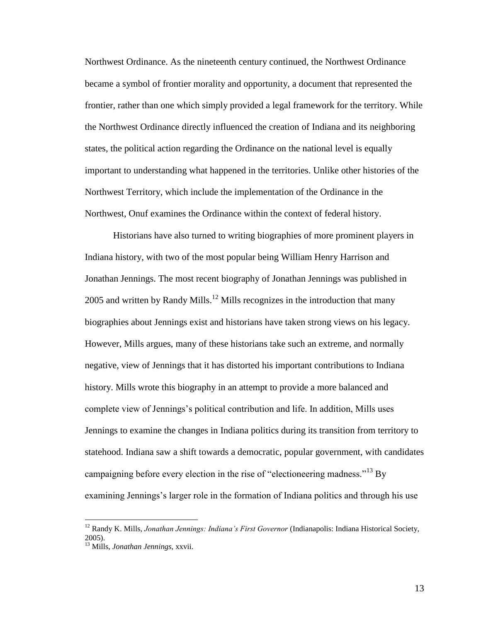Northwest Ordinance. As the nineteenth century continued, the Northwest Ordinance became a symbol of frontier morality and opportunity, a document that represented the frontier, rather than one which simply provided a legal framework for the territory. While the Northwest Ordinance directly influenced the creation of Indiana and its neighboring states, the political action regarding the Ordinance on the national level is equally important to understanding what happened in the territories. Unlike other histories of the Northwest Territory, which include the implementation of the Ordinance in the Northwest, Onuf examines the Ordinance within the context of federal history.

Historians have also turned to writing biographies of more prominent players in Indiana history, with two of the most popular being William Henry Harrison and Jonathan Jennings. The most recent biography of Jonathan Jennings was published in 2005 and written by Randy Mills.<sup>12</sup> Mills recognizes in the introduction that many biographies about Jennings exist and historians have taken strong views on his legacy. However, Mills argues, many of these historians take such an extreme, and normally negative, view of Jennings that it has distorted his important contributions to Indiana history. Mills wrote this biography in an attempt to provide a more balanced and complete view of Jennings's political contribution and life. In addition, Mills uses Jennings to examine the changes in Indiana politics during its transition from territory to statehood. Indiana saw a shift towards a democratic, popular government, with candidates campaigning before every election in the rise of "electioneering madness."<sup>13</sup> By examining Jennings's larger role in the formation of Indiana politics and through his use

<sup>&</sup>lt;sup>12</sup> Randy K. Mills, *Jonathan Jennings: Indiana's First Governor* (Indianapolis: Indiana Historical Society, 2005).

<sup>13</sup> Mills, *Jonathan Jennings*, xxvii.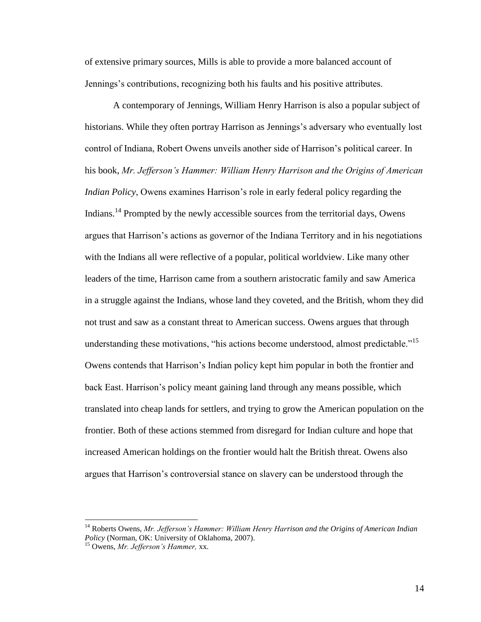of extensive primary sources, Mills is able to provide a more balanced account of Jennings's contributions, recognizing both his faults and his positive attributes.

A contemporary of Jennings, William Henry Harrison is also a popular subject of historians. While they often portray Harrison as Jennings's adversary who eventually lost control of Indiana, Robert Owens unveils another side of Harrison's political career. In his book, *Mr. Jefferson's Hammer: William Henry Harrison and the Origins of American Indian Policy*, Owens examines Harrison's role in early federal policy regarding the Indians.<sup>14</sup> Prompted by the newly accessible sources from the territorial days, Owens argues that Harrison's actions as governor of the Indiana Territory and in his negotiations with the Indians all were reflective of a popular, political worldview. Like many other leaders of the time, Harrison came from a southern aristocratic family and saw America in a struggle against the Indians, whose land they coveted, and the British, whom they did not trust and saw as a constant threat to American success. Owens argues that through understanding these motivations, "his actions become understood, almost predictable."<sup>15</sup> Owens contends that Harrison's Indian policy kept him popular in both the frontier and back East. Harrison's policy meant gaining land through any means possible, which translated into cheap lands for settlers, and trying to grow the American population on the frontier. Both of these actions stemmed from disregard for Indian culture and hope that increased American holdings on the frontier would halt the British threat. Owens also argues that Harrison's controversial stance on slavery can be understood through the

<sup>14</sup> Roberts Owens, *Mr. Jefferson's Hammer: William Henry Harrison and the Origins of American Indian Policy* (Norman, OK: University of Oklahoma, 2007).

<sup>15</sup> Owens, *Mr. Jefferson's Hammer,* xx.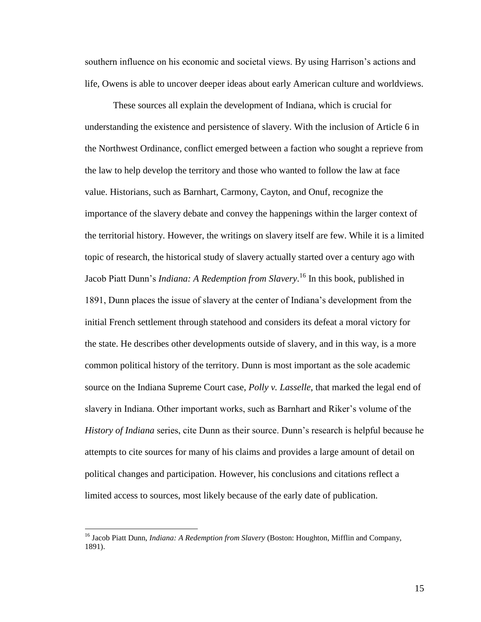southern influence on his economic and societal views. By using Harrison's actions and life, Owens is able to uncover deeper ideas about early American culture and worldviews.

These sources all explain the development of Indiana, which is crucial for understanding the existence and persistence of slavery. With the inclusion of Article 6 in the Northwest Ordinance, conflict emerged between a faction who sought a reprieve from the law to help develop the territory and those who wanted to follow the law at face value. Historians, such as Barnhart, Carmony, Cayton, and Onuf, recognize the importance of the slavery debate and convey the happenings within the larger context of the territorial history. However, the writings on slavery itself are few. While it is a limited topic of research, the historical study of slavery actually started over a century ago with Jacob Piatt Dunn's *Indiana: A Redemption from Slavery*. <sup>16</sup> In this book, published in 1891, Dunn places the issue of slavery at the center of Indiana's development from the initial French settlement through statehood and considers its defeat a moral victory for the state. He describes other developments outside of slavery, and in this way, is a more common political history of the territory. Dunn is most important as the sole academic source on the Indiana Supreme Court case, *Polly v. Lasselle*, that marked the legal end of slavery in Indiana. Other important works, such as Barnhart and Riker's volume of the *History of Indiana* series, cite Dunn as their source. Dunn's research is helpful because he attempts to cite sources for many of his claims and provides a large amount of detail on political changes and participation. However, his conclusions and citations reflect a limited access to sources, most likely because of the early date of publication.

<sup>16</sup> Jacob Piatt Dunn, *Indiana: A Redemption from Slavery* (Boston: Houghton, Mifflin and Company, 1891).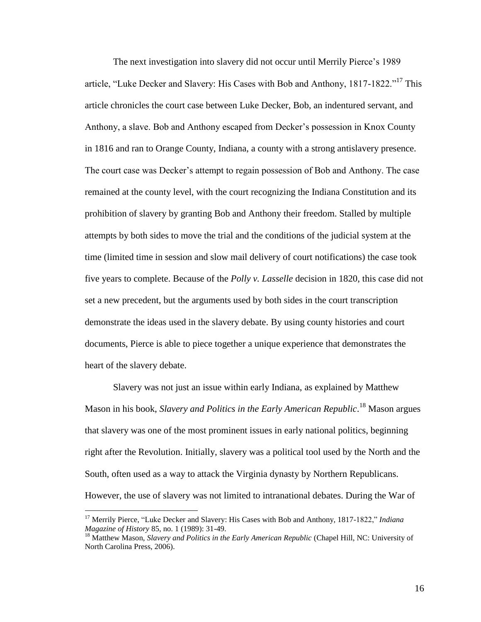The next investigation into slavery did not occur until Merrily Pierce's 1989 article, "Luke Decker and Slavery: His Cases with Bob and Anthony, 1817-1822."<sup>17</sup> This article chronicles the court case between Luke Decker, Bob, an indentured servant, and Anthony, a slave. Bob and Anthony escaped from Decker's possession in Knox County in 1816 and ran to Orange County, Indiana, a county with a strong antislavery presence. The court case was Decker's attempt to regain possession of Bob and Anthony. The case remained at the county level, with the court recognizing the Indiana Constitution and its prohibition of slavery by granting Bob and Anthony their freedom. Stalled by multiple attempts by both sides to move the trial and the conditions of the judicial system at the time (limited time in session and slow mail delivery of court notifications) the case took five years to complete. Because of the *Polly v. Lasselle* decision in 1820, this case did not set a new precedent, but the arguments used by both sides in the court transcription demonstrate the ideas used in the slavery debate. By using county histories and court documents, Pierce is able to piece together a unique experience that demonstrates the heart of the slavery debate.

Slavery was not just an issue within early Indiana, as explained by Matthew Mason in his book, *Slavery and Politics in the Early American Republic*. <sup>18</sup> Mason argues that slavery was one of the most prominent issues in early national politics, beginning right after the Revolution. Initially, slavery was a political tool used by the North and the South, often used as a way to attack the Virginia dynasty by Northern Republicans. However, the use of slavery was not limited to intranational debates. During the War of

<sup>17</sup> Merrily Pierce, "Luke Decker and Slavery: His Cases with Bob and Anthony, 1817-1822," *Indiana Magazine of History* 85, no. 1 (1989): 31-49.

<sup>18</sup> Matthew Mason, *Slavery and Politics in the Early American Republic* (Chapel Hill, NC: University of North Carolina Press, 2006).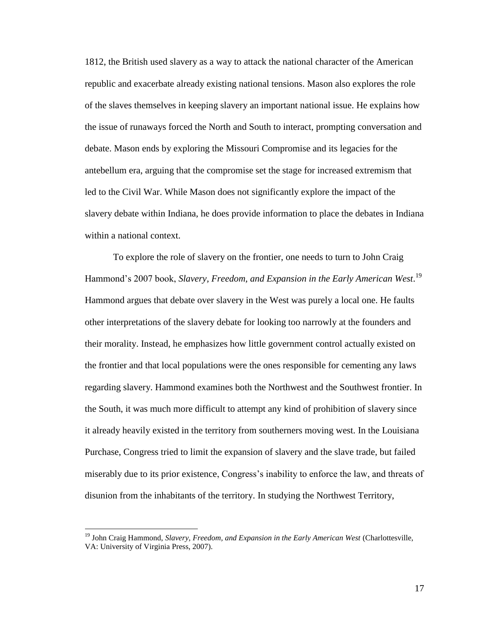1812, the British used slavery as a way to attack the national character of the American republic and exacerbate already existing national tensions. Mason also explores the role of the slaves themselves in keeping slavery an important national issue. He explains how the issue of runaways forced the North and South to interact, prompting conversation and debate. Mason ends by exploring the Missouri Compromise and its legacies for the antebellum era, arguing that the compromise set the stage for increased extremism that led to the Civil War. While Mason does not significantly explore the impact of the slavery debate within Indiana, he does provide information to place the debates in Indiana within a national context.

To explore the role of slavery on the frontier, one needs to turn to John Craig Hammond's 2007 book, *Slavery, Freedom, and Expansion in the Early American West*. 19 Hammond argues that debate over slavery in the West was purely a local one. He faults other interpretations of the slavery debate for looking too narrowly at the founders and their morality. Instead, he emphasizes how little government control actually existed on the frontier and that local populations were the ones responsible for cementing any laws regarding slavery. Hammond examines both the Northwest and the Southwest frontier. In the South, it was much more difficult to attempt any kind of prohibition of slavery since it already heavily existed in the territory from southerners moving west. In the Louisiana Purchase, Congress tried to limit the expansion of slavery and the slave trade, but failed miserably due to its prior existence, Congress's inability to enforce the law, and threats of disunion from the inhabitants of the territory. In studying the Northwest Territory,

<sup>&</sup>lt;sup>19</sup> John Craig Hammond, *Slavery, Freedom, and Expansion in the Early American West* (Charlottesville, VA: University of Virginia Press, 2007).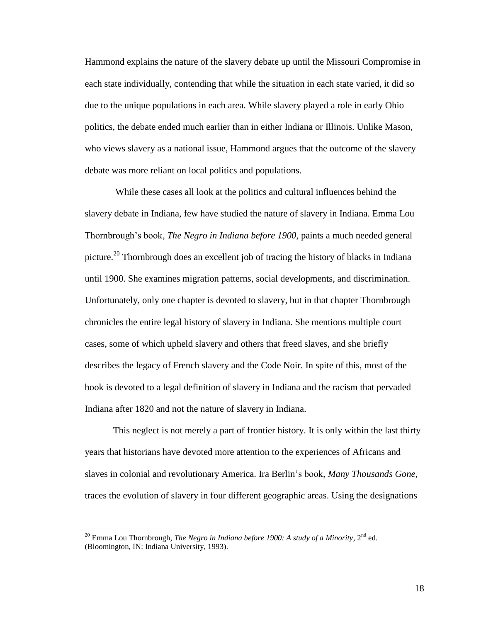Hammond explains the nature of the slavery debate up until the Missouri Compromise in each state individually, contending that while the situation in each state varied, it did so due to the unique populations in each area. While slavery played a role in early Ohio politics, the debate ended much earlier than in either Indiana or Illinois. Unlike Mason, who views slavery as a national issue, Hammond argues that the outcome of the slavery debate was more reliant on local politics and populations.

While these cases all look at the politics and cultural influences behind the slavery debate in Indiana, few have studied the nature of slavery in Indiana. Emma Lou Thornbrough's book, *The Negro in Indiana before 1900*, paints a much needed general picture.<sup>20</sup> Thornbrough does an excellent job of tracing the history of blacks in Indiana until 1900. She examines migration patterns, social developments, and discrimination. Unfortunately, only one chapter is devoted to slavery, but in that chapter Thornbrough chronicles the entire legal history of slavery in Indiana. She mentions multiple court cases, some of which upheld slavery and others that freed slaves, and she briefly describes the legacy of French slavery and the Code Noir. In spite of this, most of the book is devoted to a legal definition of slavery in Indiana and the racism that pervaded Indiana after 1820 and not the nature of slavery in Indiana.

This neglect is not merely a part of frontier history. It is only within the last thirty years that historians have devoted more attention to the experiences of Africans and slaves in colonial and revolutionary America. Ira Berlin's book, *Many Thousands Gone*, traces the evolution of slavery in four different geographic areas. Using the designations

<sup>&</sup>lt;sup>20</sup> Emma Lou Thornbrough, *The Negro in Indiana before 1900: A study of a Minority*,  $2^{nd}$  ed. (Bloomington, IN: Indiana University, 1993).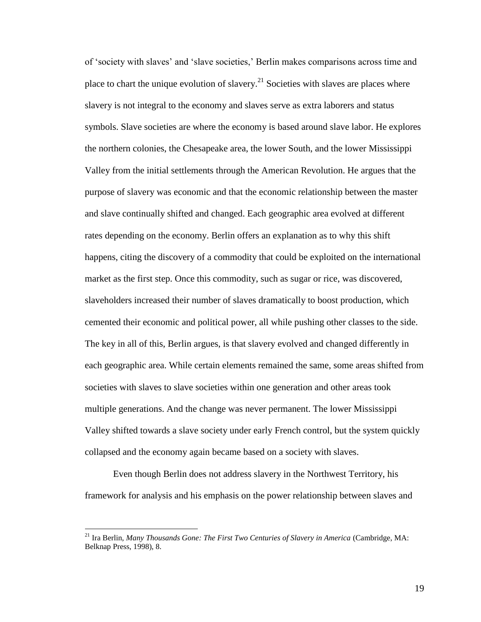of 'society with slaves' and 'slave societies,' Berlin makes comparisons across time and place to chart the unique evolution of slavery.<sup>21</sup> Societies with slaves are places where slavery is not integral to the economy and slaves serve as extra laborers and status symbols. Slave societies are where the economy is based around slave labor. He explores the northern colonies, the Chesapeake area, the lower South, and the lower Mississippi Valley from the initial settlements through the American Revolution. He argues that the purpose of slavery was economic and that the economic relationship between the master and slave continually shifted and changed. Each geographic area evolved at different rates depending on the economy. Berlin offers an explanation as to why this shift happens, citing the discovery of a commodity that could be exploited on the international market as the first step. Once this commodity, such as sugar or rice, was discovered, slaveholders increased their number of slaves dramatically to boost production, which cemented their economic and political power, all while pushing other classes to the side. The key in all of this, Berlin argues, is that slavery evolved and changed differently in each geographic area. While certain elements remained the same, some areas shifted from societies with slaves to slave societies within one generation and other areas took multiple generations. And the change was never permanent. The lower Mississippi Valley shifted towards a slave society under early French control, but the system quickly collapsed and the economy again became based on a society with slaves.

Even though Berlin does not address slavery in the Northwest Territory, his framework for analysis and his emphasis on the power relationship between slaves and

<sup>&</sup>lt;sup>21</sup> Ira Berlin, *Many Thousands Gone: The First Two Centuries of Slavery in America* (Cambridge, MA: Belknap Press, 1998), 8.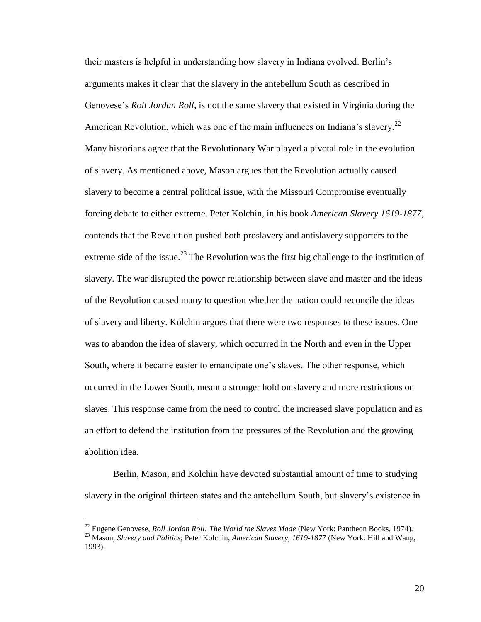their masters is helpful in understanding how slavery in Indiana evolved. Berlin's arguments makes it clear that the slavery in the antebellum South as described in Genovese's *Roll Jordan Roll*, is not the same slavery that existed in Virginia during the American Revolution, which was one of the main influences on Indiana's slavery.<sup>22</sup> Many historians agree that the Revolutionary War played a pivotal role in the evolution of slavery. As mentioned above, Mason argues that the Revolution actually caused slavery to become a central political issue, with the Missouri Compromise eventually forcing debate to either extreme. Peter Kolchin, in his book *American Slavery 1619-1877*, contends that the Revolution pushed both proslavery and antislavery supporters to the extreme side of the issue.<sup>23</sup> The Revolution was the first big challenge to the institution of slavery. The war disrupted the power relationship between slave and master and the ideas of the Revolution caused many to question whether the nation could reconcile the ideas of slavery and liberty. Kolchin argues that there were two responses to these issues. One was to abandon the idea of slavery, which occurred in the North and even in the Upper South, where it became easier to emancipate one's slaves. The other response, which occurred in the Lower South, meant a stronger hold on slavery and more restrictions on slaves. This response came from the need to control the increased slave population and as an effort to defend the institution from the pressures of the Revolution and the growing abolition idea.

Berlin, Mason, and Kolchin have devoted substantial amount of time to studying slavery in the original thirteen states and the antebellum South, but slavery's existence in

<sup>22</sup> Eugene Genovese, *Roll Jordan Roll: The World the Slaves Made* (New York: Pantheon Books, 1974).

<sup>23</sup> Mason, *Slavery and Politics*; Peter Kolchin, *American Slavery, 1619-1877* (New York: Hill and Wang, 1993).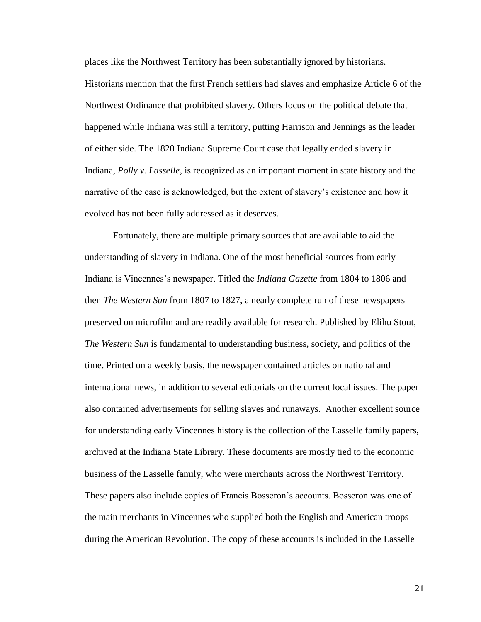places like the Northwest Territory has been substantially ignored by historians. Historians mention that the first French settlers had slaves and emphasize Article 6 of the Northwest Ordinance that prohibited slavery. Others focus on the political debate that happened while Indiana was still a territory, putting Harrison and Jennings as the leader of either side. The 1820 Indiana Supreme Court case that legally ended slavery in Indiana, *Polly v. Lasselle*, is recognized as an important moment in state history and the narrative of the case is acknowledged, but the extent of slavery's existence and how it evolved has not been fully addressed as it deserves.

Fortunately, there are multiple primary sources that are available to aid the understanding of slavery in Indiana. One of the most beneficial sources from early Indiana is Vincennes's newspaper. Titled the *Indiana Gazette* from 1804 to 1806 and then *The Western Sun* from 1807 to 1827, a nearly complete run of these newspapers preserved on microfilm and are readily available for research. Published by Elihu Stout, *The Western Sun* is fundamental to understanding business, society, and politics of the time. Printed on a weekly basis, the newspaper contained articles on national and international news, in addition to several editorials on the current local issues. The paper also contained advertisements for selling slaves and runaways. Another excellent source for understanding early Vincennes history is the collection of the Lasselle family papers, archived at the Indiana State Library. These documents are mostly tied to the economic business of the Lasselle family, who were merchants across the Northwest Territory. These papers also include copies of Francis Bosseron's accounts. Bosseron was one of the main merchants in Vincennes who supplied both the English and American troops during the American Revolution. The copy of these accounts is included in the Lasselle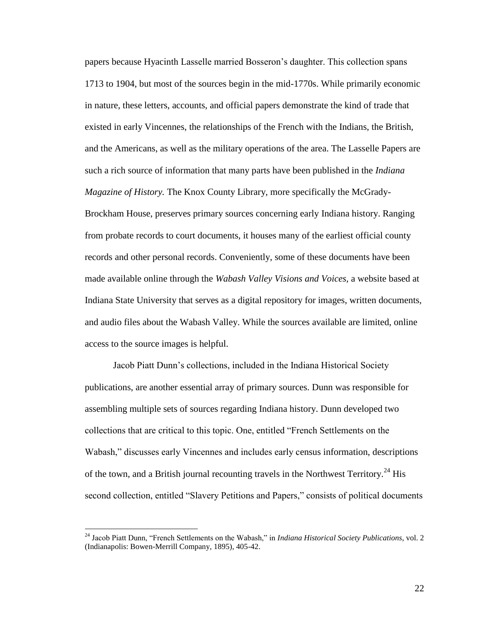papers because Hyacinth Lasselle married Bosseron's daughter. This collection spans 1713 to 1904, but most of the sources begin in the mid-1770s. While primarily economic in nature, these letters, accounts, and official papers demonstrate the kind of trade that existed in early Vincennes, the relationships of the French with the Indians, the British, and the Americans, as well as the military operations of the area. The Lasselle Papers are such a rich source of information that many parts have been published in the *Indiana Magazine of History.* The Knox County Library, more specifically the McGrady-Brockham House, preserves primary sources concerning early Indiana history. Ranging from probate records to court documents, it houses many of the earliest official county records and other personal records. Conveniently, some of these documents have been made available online through the *Wabash Valley Visions and Voices,* a website based at Indiana State University that serves as a digital repository for images, written documents, and audio files about the Wabash Valley. While the sources available are limited, online access to the source images is helpful.

Jacob Piatt Dunn's collections, included in the Indiana Historical Society publications, are another essential array of primary sources. Dunn was responsible for assembling multiple sets of sources regarding Indiana history. Dunn developed two collections that are critical to this topic. One, entitled "French Settlements on the Wabash," discusses early Vincennes and includes early census information, descriptions of the town, and a British journal recounting travels in the Northwest Territory.<sup>24</sup> His second collection, entitled "Slavery Petitions and Papers," consists of political documents

<sup>24</sup> Jacob Piatt Dunn, "French Settlements on the Wabash," in *Indiana Historical Society Publications*, vol. 2 (Indianapolis: Bowen-Merrill Company, 1895), 405-42.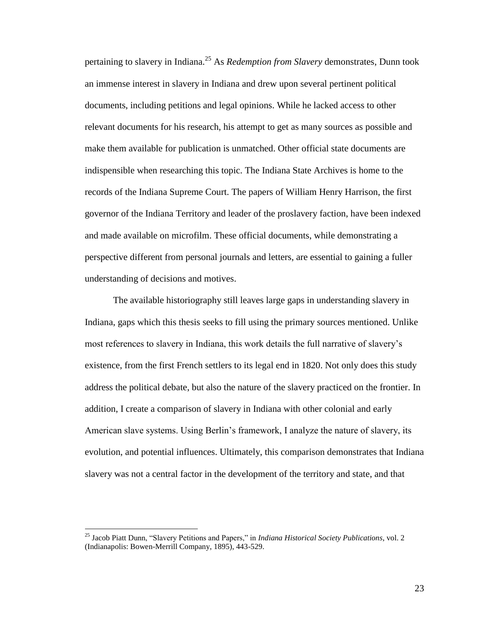pertaining to slavery in Indiana.<sup>25</sup> As *Redemption from Slavery* demonstrates, Dunn took an immense interest in slavery in Indiana and drew upon several pertinent political documents, including petitions and legal opinions. While he lacked access to other relevant documents for his research, his attempt to get as many sources as possible and make them available for publication is unmatched. Other official state documents are indispensible when researching this topic. The Indiana State Archives is home to the records of the Indiana Supreme Court. The papers of William Henry Harrison, the first governor of the Indiana Territory and leader of the proslavery faction, have been indexed and made available on microfilm. These official documents, while demonstrating a perspective different from personal journals and letters, are essential to gaining a fuller understanding of decisions and motives.

The available historiography still leaves large gaps in understanding slavery in Indiana, gaps which this thesis seeks to fill using the primary sources mentioned. Unlike most references to slavery in Indiana, this work details the full narrative of slavery's existence, from the first French settlers to its legal end in 1820. Not only does this study address the political debate, but also the nature of the slavery practiced on the frontier. In addition, I create a comparison of slavery in Indiana with other colonial and early American slave systems. Using Berlin's framework, I analyze the nature of slavery, its evolution, and potential influences. Ultimately, this comparison demonstrates that Indiana slavery was not a central factor in the development of the territory and state, and that

<sup>25</sup> Jacob Piatt Dunn, "Slavery Petitions and Papers," in *Indiana Historical Society Publications*, vol. 2 (Indianapolis: Bowen-Merrill Company, 1895), 443-529.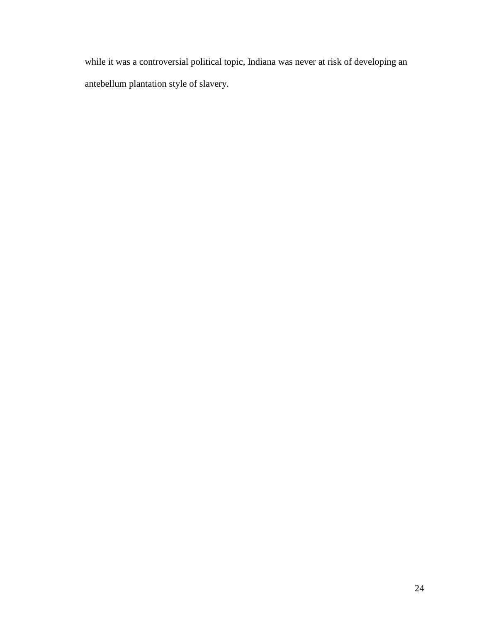while it was a controversial political topic, Indiana was never at risk of developing an antebellum plantation style of slavery.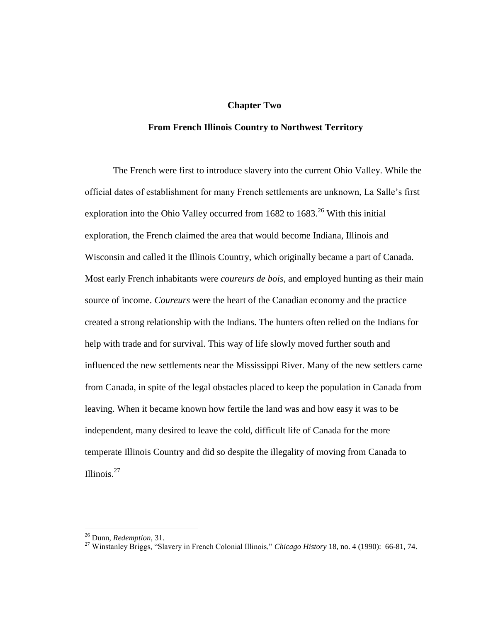#### **Chapter Two**

#### **From French Illinois Country to Northwest Territory**

The French were first to introduce slavery into the current Ohio Valley. While the official dates of establishment for many French settlements are unknown, La Salle's first exploration into the Ohio Valley occurred from  $1682$  to  $1683<sup>26</sup>$  With this initial exploration, the French claimed the area that would become Indiana, Illinois and Wisconsin and called it the Illinois Country, which originally became a part of Canada. Most early French inhabitants were *coureurs de bois*, and employed hunting as their main source of income. *Coureurs* were the heart of the Canadian economy and the practice created a strong relationship with the Indians. The hunters often relied on the Indians for help with trade and for survival. This way of life slowly moved further south and influenced the new settlements near the Mississippi River. Many of the new settlers came from Canada, in spite of the legal obstacles placed to keep the population in Canada from leaving. When it became known how fertile the land was and how easy it was to be independent, many desired to leave the cold, difficult life of Canada for the more temperate Illinois Country and did so despite the illegality of moving from Canada to Illinois.<sup>27</sup>

<sup>26</sup> Dunn, *Redemption*, 31.

<sup>27</sup> Winstanley Briggs, "Slavery in French Colonial Illinois," *Chicago History* 18, no. 4 (1990): 66-81, 74.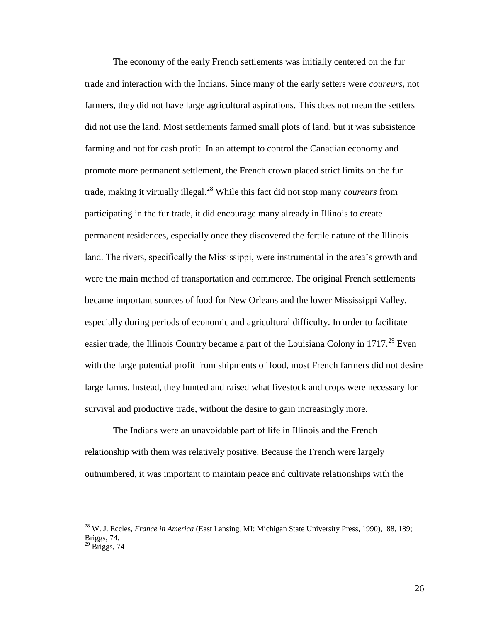The economy of the early French settlements was initially centered on the fur trade and interaction with the Indians. Since many of the early setters were *coureurs,* not farmers, they did not have large agricultural aspirations*.* This does not mean the settlers did not use the land. Most settlements farmed small plots of land, but it was subsistence farming and not for cash profit. In an attempt to control the Canadian economy and promote more permanent settlement, the French crown placed strict limits on the fur trade, making it virtually illegal.<sup>28</sup> While this fact did not stop many *coureurs* from participating in the fur trade, it did encourage many already in Illinois to create permanent residences, especially once they discovered the fertile nature of the Illinois land. The rivers, specifically the Mississippi, were instrumental in the area's growth and were the main method of transportation and commerce. The original French settlements became important sources of food for New Orleans and the lower Mississippi Valley, especially during periods of economic and agricultural difficulty. In order to facilitate easier trade, the Illinois Country became a part of the Louisiana Colony in 1717.<sup>29</sup> Even with the large potential profit from shipments of food, most French farmers did not desire large farms. Instead, they hunted and raised what livestock and crops were necessary for survival and productive trade, without the desire to gain increasingly more.

The Indians were an unavoidable part of life in Illinois and the French relationship with them was relatively positive. Because the French were largely outnumbered, it was important to maintain peace and cultivate relationships with the

<sup>28</sup> W. J. Eccles, *France in America* (East Lansing, MI: Michigan State University Press, 1990), 88, 189; Briggs, 74.

 $29$  Briggs, 74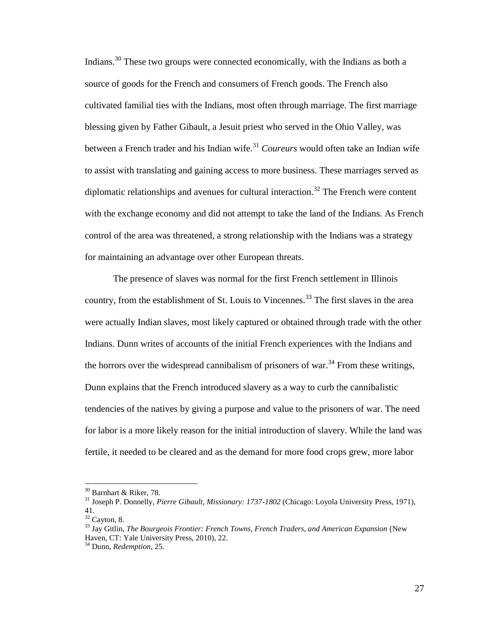Indians.<sup>30</sup> These two groups were connected economically, with the Indians as both a source of goods for the French and consumers of French goods. The French also cultivated familial ties with the Indians, most often through marriage. The first marriage blessing given by Father Gibault, a Jesuit priest who served in the Ohio Valley, was between a French trader and his Indian wife.<sup>31</sup> *Coureurs* would often take an Indian wife to assist with translating and gaining access to more business. These marriages served as diplomatic relationships and avenues for cultural interaction.<sup>32</sup> The French were content with the exchange economy and did not attempt to take the land of the Indians. As French control of the area was threatened, a strong relationship with the Indians was a strategy for maintaining an advantage over other European threats.

The presence of slaves was normal for the first French settlement in Illinois country, from the establishment of St. Louis to Vincennes.<sup>33</sup> The first slaves in the area were actually Indian slaves, most likely captured or obtained through trade with the other Indians. Dunn writes of accounts of the initial French experiences with the Indians and the horrors over the widespread cannibalism of prisoners of war.<sup>34</sup> From these writings, Dunn explains that the French introduced slavery as a way to curb the cannibalistic tendencies of the natives by giving a purpose and value to the prisoners of war. The need for labor is a more likely reason for the initial introduction of slavery. While the land was fertile, it needed to be cleared and as the demand for more food crops grew, more labor

 $30$  Barnhart & Riker, 78.

<sup>31</sup> Joseph P. Donnelly, *Pierre Gibault, Missionary: 1737-1802* (Chicago: Loyola University Press, 1971), 41.

 $32$  Cayton, 8.

<sup>&</sup>lt;sup>33</sup> Jay Gitlin, *The Bourgeois Frontier: French Towns, French Traders, and American Expansion* (New Haven, CT: Yale University Press, 2010), 22.

<sup>34</sup> Dunn, *Redemption*, 25.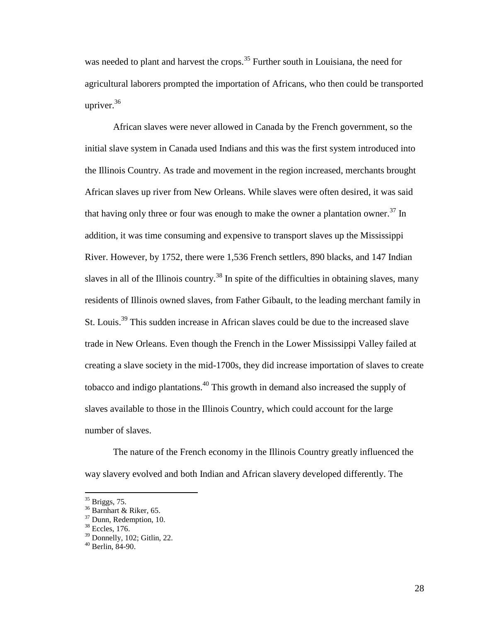was needed to plant and harvest the crops.<sup>35</sup> Further south in Louisiana, the need for agricultural laborers prompted the importation of Africans, who then could be transported upriver. $36$ 

African slaves were never allowed in Canada by the French government, so the initial slave system in Canada used Indians and this was the first system introduced into the Illinois Country. As trade and movement in the region increased, merchants brought African slaves up river from New Orleans. While slaves were often desired, it was said that having only three or four was enough to make the owner a plantation owner.<sup>37</sup> In addition, it was time consuming and expensive to transport slaves up the Mississippi River. However, by 1752, there were 1,536 French settlers, 890 blacks, and 147 Indian slaves in all of the Illinois country.<sup>38</sup> In spite of the difficulties in obtaining slaves, many residents of Illinois owned slaves, from Father Gibault, to the leading merchant family in St. Louis.<sup>39</sup> This sudden increase in African slaves could be due to the increased slave trade in New Orleans. Even though the French in the Lower Mississippi Valley failed at creating a slave society in the mid-1700s, they did increase importation of slaves to create tobacco and indigo plantations.<sup>40</sup> This growth in demand also increased the supply of slaves available to those in the Illinois Country, which could account for the large number of slaves.

The nature of the French economy in the Illinois Country greatly influenced the way slavery evolved and both Indian and African slavery developed differently. The

 $35$  Briggs, 75.

 $36 \overline{\smash{\big)}\smash{\big)}\}$  Barnhart & Riker, 65.

<sup>37</sup> Dunn, Redemption, 10.

<sup>&</sup>lt;sup>38</sup> Eccles, 176.

<sup>39</sup> Donnelly, 102; Gitlin, 22.

 $40$  Berlin, 84-90.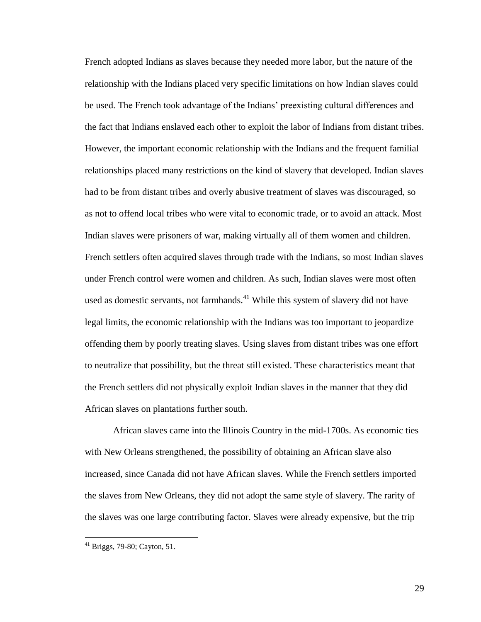French adopted Indians as slaves because they needed more labor, but the nature of the relationship with the Indians placed very specific limitations on how Indian slaves could be used. The French took advantage of the Indians' preexisting cultural differences and the fact that Indians enslaved each other to exploit the labor of Indians from distant tribes. However, the important economic relationship with the Indians and the frequent familial relationships placed many restrictions on the kind of slavery that developed. Indian slaves had to be from distant tribes and overly abusive treatment of slaves was discouraged, so as not to offend local tribes who were vital to economic trade, or to avoid an attack. Most Indian slaves were prisoners of war, making virtually all of them women and children. French settlers often acquired slaves through trade with the Indians, so most Indian slaves under French control were women and children. As such, Indian slaves were most often used as domestic servants, not farmhands.<sup>41</sup> While this system of slavery did not have legal limits, the economic relationship with the Indians was too important to jeopardize offending them by poorly treating slaves. Using slaves from distant tribes was one effort to neutralize that possibility, but the threat still existed. These characteristics meant that the French settlers did not physically exploit Indian slaves in the manner that they did African slaves on plantations further south.

African slaves came into the Illinois Country in the mid-1700s. As economic ties with New Orleans strengthened, the possibility of obtaining an African slave also increased, since Canada did not have African slaves. While the French settlers imported the slaves from New Orleans, they did not adopt the same style of slavery. The rarity of the slaves was one large contributing factor. Slaves were already expensive, but the trip

 $41$  Briggs, 79-80; Cayton, 51.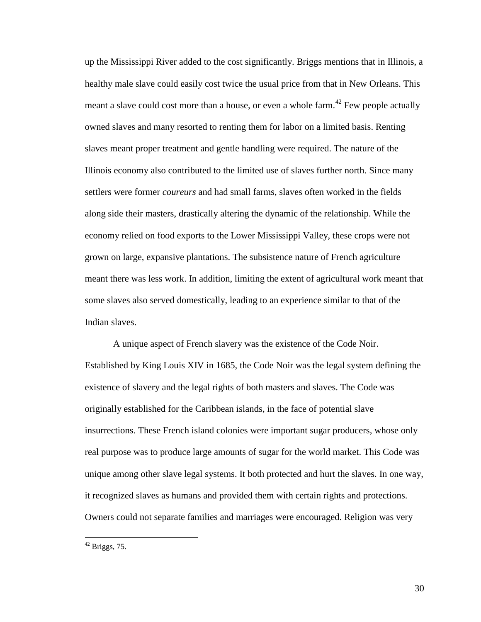up the Mississippi River added to the cost significantly. Briggs mentions that in Illinois, a healthy male slave could easily cost twice the usual price from that in New Orleans. This meant a slave could cost more than a house, or even a whole farm.<sup>42</sup> Few people actually owned slaves and many resorted to renting them for labor on a limited basis. Renting slaves meant proper treatment and gentle handling were required. The nature of the Illinois economy also contributed to the limited use of slaves further north. Since many settlers were former *coureurs* and had small farms, slaves often worked in the fields along side their masters, drastically altering the dynamic of the relationship. While the economy relied on food exports to the Lower Mississippi Valley, these crops were not grown on large, expansive plantations. The subsistence nature of French agriculture meant there was less work. In addition, limiting the extent of agricultural work meant that some slaves also served domestically, leading to an experience similar to that of the Indian slaves.

A unique aspect of French slavery was the existence of the Code Noir. Established by King Louis XIV in 1685, the Code Noir was the legal system defining the existence of slavery and the legal rights of both masters and slaves. The Code was originally established for the Caribbean islands, in the face of potential slave insurrections. These French island colonies were important sugar producers, whose only real purpose was to produce large amounts of sugar for the world market. This Code was unique among other slave legal systems. It both protected and hurt the slaves. In one way, it recognized slaves as humans and provided them with certain rights and protections. Owners could not separate families and marriages were encouraged. Religion was very

 $42$  Briggs, 75.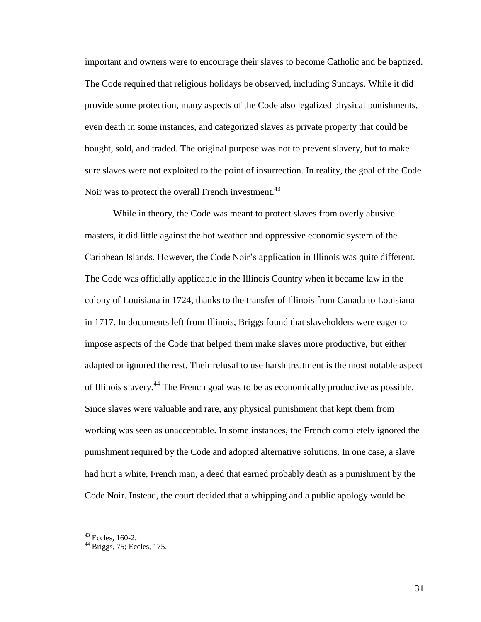important and owners were to encourage their slaves to become Catholic and be baptized. The Code required that religious holidays be observed, including Sundays. While it did provide some protection, many aspects of the Code also legalized physical punishments, even death in some instances, and categorized slaves as private property that could be bought, sold, and traded. The original purpose was not to prevent slavery, but to make sure slaves were not exploited to the point of insurrection. In reality, the goal of the Code Noir was to protect the overall French investment.<sup>43</sup>

While in theory, the Code was meant to protect slaves from overly abusive masters, it did little against the hot weather and oppressive economic system of the Caribbean Islands. However, the Code Noir's application in Illinois was quite different. The Code was officially applicable in the Illinois Country when it became law in the colony of Louisiana in 1724, thanks to the transfer of Illinois from Canada to Louisiana in 1717. In documents left from Illinois, Briggs found that slaveholders were eager to impose aspects of the Code that helped them make slaves more productive, but either adapted or ignored the rest. Their refusal to use harsh treatment is the most notable aspect of Illinois slavery.<sup>44</sup> The French goal was to be as economically productive as possible. Since slaves were valuable and rare, any physical punishment that kept them from working was seen as unacceptable. In some instances, the French completely ignored the punishment required by the Code and adopted alternative solutions. In one case, a slave had hurt a white, French man, a deed that earned probably death as a punishment by the Code Noir. Instead, the court decided that a whipping and a public apology would be

 $43$  Eccles, 160-2.

<sup>44</sup> Briggs, 75; Eccles, 175.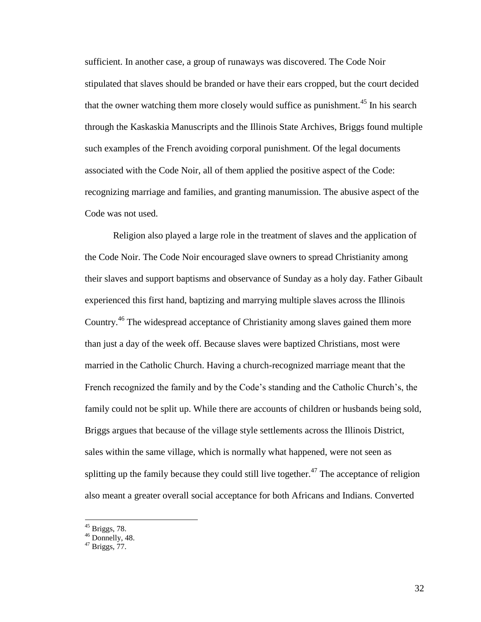sufficient. In another case, a group of runaways was discovered. The Code Noir stipulated that slaves should be branded or have their ears cropped, but the court decided that the owner watching them more closely would suffice as punishment.<sup>45</sup> In his search through the Kaskaskia Manuscripts and the Illinois State Archives, Briggs found multiple such examples of the French avoiding corporal punishment. Of the legal documents associated with the Code Noir, all of them applied the positive aspect of the Code: recognizing marriage and families, and granting manumission. The abusive aspect of the Code was not used.

Religion also played a large role in the treatment of slaves and the application of the Code Noir. The Code Noir encouraged slave owners to spread Christianity among their slaves and support baptisms and observance of Sunday as a holy day. Father Gibault experienced this first hand, baptizing and marrying multiple slaves across the Illinois Country.<sup>46</sup> The widespread acceptance of Christianity among slaves gained them more than just a day of the week off. Because slaves were baptized Christians, most were married in the Catholic Church. Having a church-recognized marriage meant that the French recognized the family and by the Code's standing and the Catholic Church's, the family could not be split up. While there are accounts of children or husbands being sold, Briggs argues that because of the village style settlements across the Illinois District, sales within the same village, which is normally what happened, were not seen as splitting up the family because they could still live together.<sup>47</sup> The acceptance of religion also meant a greater overall social acceptance for both Africans and Indians. Converted

 $45$  Briggs, 78.

<sup>&</sup>lt;sup>46</sup> Donnelly, 48.

 $47$  Briggs, 77.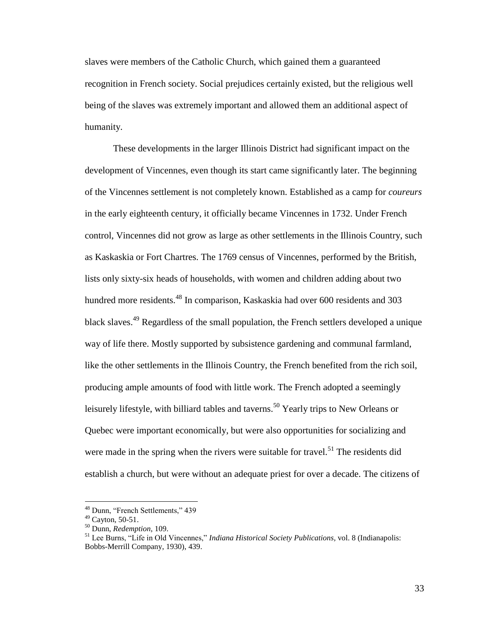slaves were members of the Catholic Church, which gained them a guaranteed recognition in French society. Social prejudices certainly existed, but the religious well being of the slaves was extremely important and allowed them an additional aspect of humanity.

These developments in the larger Illinois District had significant impact on the development of Vincennes, even though its start came significantly later. The beginning of the Vincennes settlement is not completely known. Established as a camp for *coureurs* in the early eighteenth century, it officially became Vincennes in 1732. Under French control, Vincennes did not grow as large as other settlements in the Illinois Country, such as Kaskaskia or Fort Chartres. The 1769 census of Vincennes, performed by the British, lists only sixty-six heads of households, with women and children adding about two hundred more residents.<sup>48</sup> In comparison, Kaskaskia had over 600 residents and 303 black slaves.<sup>49</sup> Regardless of the small population, the French settlers developed a unique way of life there. Mostly supported by subsistence gardening and communal farmland, like the other settlements in the Illinois Country, the French benefited from the rich soil, producing ample amounts of food with little work. The French adopted a seemingly leisurely lifestyle, with billiard tables and taverns.<sup>50</sup> Yearly trips to New Orleans or Quebec were important economically, but were also opportunities for socializing and were made in the spring when the rivers were suitable for travel.<sup>51</sup> The residents did establish a church, but were without an adequate priest for over a decade. The citizens of

<sup>&</sup>lt;sup>48</sup> Dunn, "French Settlements," 439

 $49$  Cayton, 50-51.

<sup>50</sup> Dunn, *Redemption*, 109.

<sup>51</sup> Lee Burns, "Life in Old Vincennes," *Indiana Historical Society Publications,* vol. 8 (Indianapolis: Bobbs-Merrill Company, 1930), 439.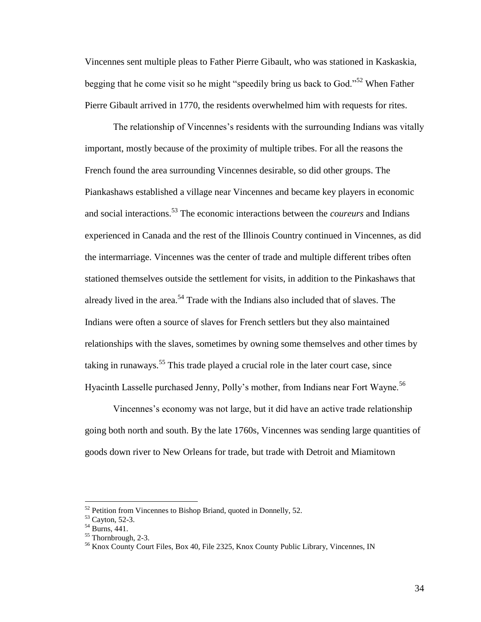Vincennes sent multiple pleas to Father Pierre Gibault, who was stationed in Kaskaskia, begging that he come visit so he might "speedily bring us back to God."<sup>52</sup> When Father Pierre Gibault arrived in 1770, the residents overwhelmed him with requests for rites.

The relationship of Vincennes's residents with the surrounding Indians was vitally important, mostly because of the proximity of multiple tribes. For all the reasons the French found the area surrounding Vincennes desirable, so did other groups. The Piankashaws established a village near Vincennes and became key players in economic and social interactions.<sup>53</sup> The economic interactions between the *coureurs* and Indians experienced in Canada and the rest of the Illinois Country continued in Vincennes, as did the intermarriage. Vincennes was the center of trade and multiple different tribes often stationed themselves outside the settlement for visits, in addition to the Pinkashaws that already lived in the area.<sup>54</sup> Trade with the Indians also included that of slaves. The Indians were often a source of slaves for French settlers but they also maintained relationships with the slaves, sometimes by owning some themselves and other times by taking in runaways.<sup>55</sup> This trade played a crucial role in the later court case, since Hyacinth Lasselle purchased Jenny, Polly's mother, from Indians near Fort Wayne.<sup>56</sup>

Vincennes's economy was not large, but it did have an active trade relationship going both north and south. By the late 1760s, Vincennes was sending large quantities of goods down river to New Orleans for trade, but trade with Detroit and Miamitown

 $52$  Petition from Vincennes to Bishop Briand, quoted in Donnelly, 52.

<sup>53</sup> Cayton, 52-3.

<sup>54</sup> Burns, 441.

<sup>&</sup>lt;sup>55</sup> Thornbrough, 2-3.

<sup>56</sup> Knox County Court Files, Box 40, File 2325, Knox County Public Library, Vincennes, IN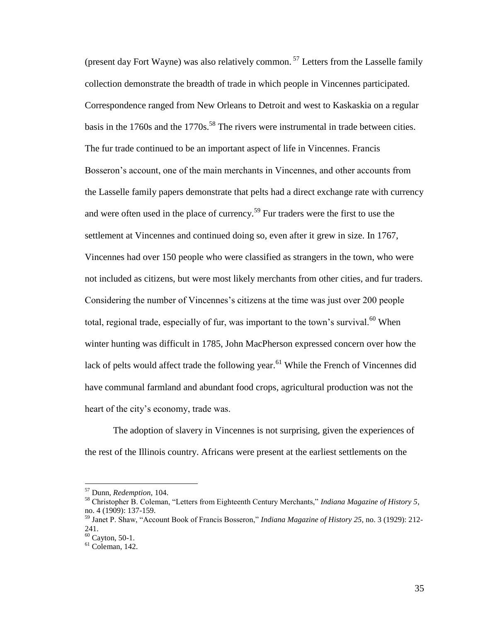(present day Fort Wayne) was also relatively common.<sup>57</sup> Letters from the Lasselle family collection demonstrate the breadth of trade in which people in Vincennes participated. Correspondence ranged from New Orleans to Detroit and west to Kaskaskia on a regular basis in the 1760s and the 1770s.<sup>58</sup> The rivers were instrumental in trade between cities. The fur trade continued to be an important aspect of life in Vincennes. Francis Bosseron's account, one of the main merchants in Vincennes, and other accounts from the Lasselle family papers demonstrate that pelts had a direct exchange rate with currency and were often used in the place of currency.<sup>59</sup> Fur traders were the first to use the settlement at Vincennes and continued doing so, even after it grew in size. In 1767, Vincennes had over 150 people who were classified as strangers in the town, who were not included as citizens, but were most likely merchants from other cities, and fur traders. Considering the number of Vincennes's citizens at the time was just over 200 people total, regional trade, especially of fur, was important to the town's survival.<sup>60</sup> When winter hunting was difficult in 1785, John MacPherson expressed concern over how the lack of pelts would affect trade the following year.<sup>61</sup> While the French of Vincennes did have communal farmland and abundant food crops, agricultural production was not the heart of the city's economy, trade was.

The adoption of slavery in Vincennes is not surprising, given the experiences of the rest of the Illinois country. Africans were present at the earliest settlements on the

<sup>57</sup> Dunn, *Redemption,* 104.

<sup>58</sup> Christopher B. Coleman, "Letters from Eighteenth Century Merchants," *Indiana Magazine of History 5*, no. 4 (1909): 137-159.

<sup>59</sup> Janet P. Shaw, "Account Book of Francis Bosseron," *Indiana Magazine of History 25,* no. 3 (1929): 212- 241.

 $60$  Cayton, 50-1.

 $61$  Coleman, 142.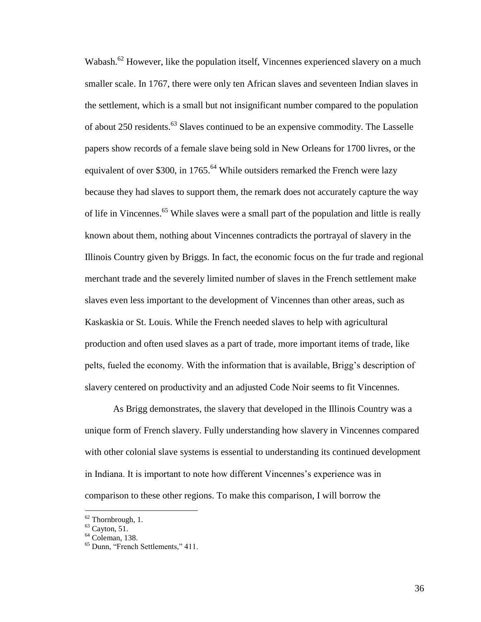Wabash.<sup>62</sup> However, like the population itself, Vincennes experienced slavery on a much smaller scale. In 1767, there were only ten African slaves and seventeen Indian slaves in the settlement, which is a small but not insignificant number compared to the population of about 250 residents.<sup>63</sup> Slaves continued to be an expensive commodity. The Lasselle papers show records of a female slave being sold in New Orleans for 1700 livres, or the equivalent of over \$300, in 1765.<sup>64</sup> While outsiders remarked the French were lazy because they had slaves to support them, the remark does not accurately capture the way of life in Vincennes.<sup>65</sup> While slaves were a small part of the population and little is really known about them, nothing about Vincennes contradicts the portrayal of slavery in the Illinois Country given by Briggs. In fact, the economic focus on the fur trade and regional merchant trade and the severely limited number of slaves in the French settlement make slaves even less important to the development of Vincennes than other areas, such as Kaskaskia or St. Louis. While the French needed slaves to help with agricultural production and often used slaves as a part of trade, more important items of trade, like pelts, fueled the economy. With the information that is available, Brigg's description of slavery centered on productivity and an adjusted Code Noir seems to fit Vincennes.

As Brigg demonstrates, the slavery that developed in the Illinois Country was a unique form of French slavery. Fully understanding how slavery in Vincennes compared with other colonial slave systems is essential to understanding its continued development in Indiana. It is important to note how different Vincennes's experience was in comparison to these other regions. To make this comparison, I will borrow the

 $62$  Thornbrough, 1.

 $63$  Cayton, 51.

 $64$  Coleman, 138.

<sup>65</sup> Dunn, "French Settlements," 411.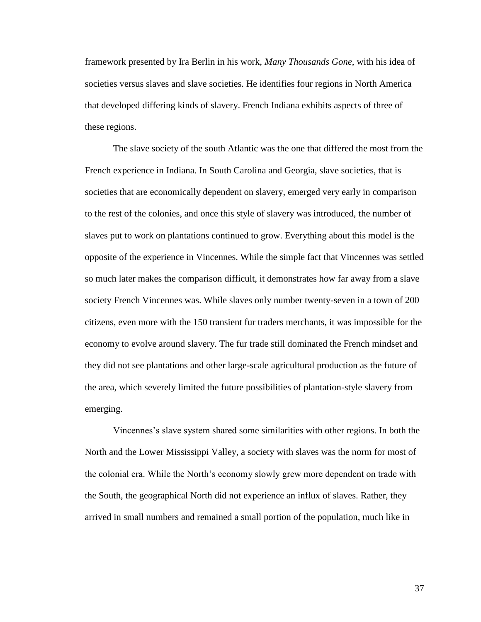framework presented by Ira Berlin in his work, *Many Thousands Gone*, with his idea of societies versus slaves and slave societies. He identifies four regions in North America that developed differing kinds of slavery. French Indiana exhibits aspects of three of these regions.

The slave society of the south Atlantic was the one that differed the most from the French experience in Indiana. In South Carolina and Georgia, slave societies, that is societies that are economically dependent on slavery, emerged very early in comparison to the rest of the colonies, and once this style of slavery was introduced, the number of slaves put to work on plantations continued to grow. Everything about this model is the opposite of the experience in Vincennes. While the simple fact that Vincennes was settled so much later makes the comparison difficult, it demonstrates how far away from a slave society French Vincennes was. While slaves only number twenty-seven in a town of 200 citizens, even more with the 150 transient fur traders merchants, it was impossible for the economy to evolve around slavery. The fur trade still dominated the French mindset and they did not see plantations and other large-scale agricultural production as the future of the area, which severely limited the future possibilities of plantation-style slavery from emerging.

Vincennes's slave system shared some similarities with other regions. In both the North and the Lower Mississippi Valley, a society with slaves was the norm for most of the colonial era. While the North's economy slowly grew more dependent on trade with the South, the geographical North did not experience an influx of slaves. Rather, they arrived in small numbers and remained a small portion of the population, much like in

37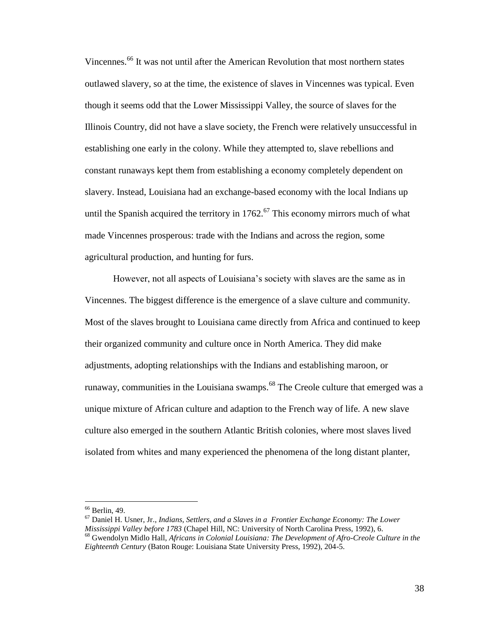Vincennes.<sup>66</sup> It was not until after the American Revolution that most northern states outlawed slavery, so at the time, the existence of slaves in Vincennes was typical. Even though it seems odd that the Lower Mississippi Valley, the source of slaves for the Illinois Country, did not have a slave society, the French were relatively unsuccessful in establishing one early in the colony. While they attempted to, slave rebellions and constant runaways kept them from establishing a economy completely dependent on slavery. Instead, Louisiana had an exchange-based economy with the local Indians up until the Spanish acquired the territory in  $1762$ .<sup>67</sup> This economy mirrors much of what made Vincennes prosperous: trade with the Indians and across the region, some agricultural production, and hunting for furs.

However, not all aspects of Louisiana's society with slaves are the same as in Vincennes. The biggest difference is the emergence of a slave culture and community. Most of the slaves brought to Louisiana came directly from Africa and continued to keep their organized community and culture once in North America. They did make adjustments, adopting relationships with the Indians and establishing maroon, or runaway, communities in the Louisiana swamps.<sup>68</sup> The Creole culture that emerged was a unique mixture of African culture and adaption to the French way of life. A new slave culture also emerged in the southern Atlantic British colonies, where most slaves lived isolated from whites and many experienced the phenomena of the long distant planter,

<sup>66</sup> Berlin, 49.

<sup>67</sup> Daniel H. Usner, Jr., *Indians, Settlers, and a Slaves in a Frontier Exchange Economy: The Lower Mississippi Valley before 1783* (Chapel Hill, NC: University of North Carolina Press, 1992), 6.

<sup>68</sup> Gwendolyn Midlo Hall, *Africans in Colonial Louisiana: The Development of Afro-Creole Culture in the Eighteenth Century* (Baton Rouge: Louisiana State University Press, 1992), 204-5.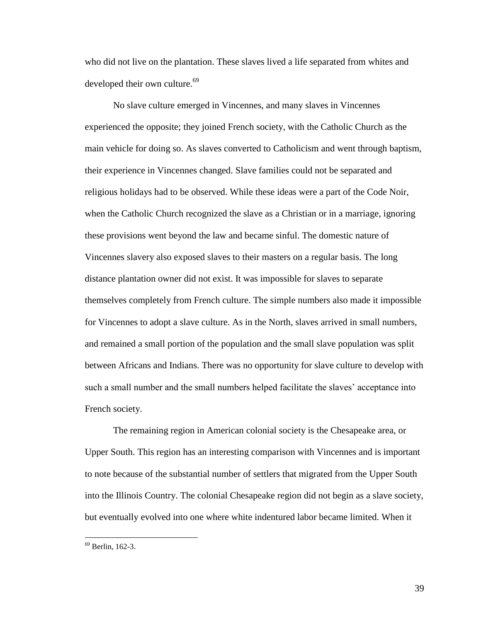who did not live on the plantation. These slaves lived a life separated from whites and developed their own culture.<sup>69</sup>

No slave culture emerged in Vincennes, and many slaves in Vincennes experienced the opposite; they joined French society, with the Catholic Church as the main vehicle for doing so. As slaves converted to Catholicism and went through baptism, their experience in Vincennes changed. Slave families could not be separated and religious holidays had to be observed. While these ideas were a part of the Code Noir, when the Catholic Church recognized the slave as a Christian or in a marriage, ignoring these provisions went beyond the law and became sinful. The domestic nature of Vincennes slavery also exposed slaves to their masters on a regular basis. The long distance plantation owner did not exist. It was impossible for slaves to separate themselves completely from French culture. The simple numbers also made it impossible for Vincennes to adopt a slave culture. As in the North, slaves arrived in small numbers, and remained a small portion of the population and the small slave population was split between Africans and Indians. There was no opportunity for slave culture to develop with such a small number and the small numbers helped facilitate the slaves' acceptance into French society.

The remaining region in American colonial society is the Chesapeake area, or Upper South. This region has an interesting comparison with Vincennes and is important to note because of the substantial number of settlers that migrated from the Upper South into the Illinois Country. The colonial Chesapeake region did not begin as a slave society, but eventually evolved into one where white indentured labor became limited. When it

<sup>&</sup>lt;sup>69</sup> Berlin, 162-3.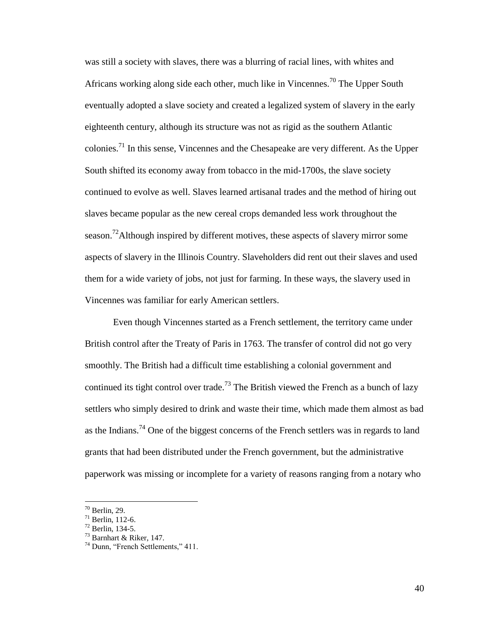was still a society with slaves, there was a blurring of racial lines, with whites and Africans working along side each other, much like in Vincennes.<sup>70</sup> The Upper South eventually adopted a slave society and created a legalized system of slavery in the early eighteenth century, although its structure was not as rigid as the southern Atlantic colonies.<sup>71</sup> In this sense, Vincennes and the Chesapeake are very different. As the Upper South shifted its economy away from tobacco in the mid-1700s, the slave society continued to evolve as well. Slaves learned artisanal trades and the method of hiring out slaves became popular as the new cereal crops demanded less work throughout the season.<sup>72</sup> Although inspired by different motives, these aspects of slavery mirror some aspects of slavery in the Illinois Country. Slaveholders did rent out their slaves and used them for a wide variety of jobs, not just for farming. In these ways, the slavery used in Vincennes was familiar for early American settlers.

Even though Vincennes started as a French settlement, the territory came under British control after the Treaty of Paris in 1763. The transfer of control did not go very smoothly. The British had a difficult time establishing a colonial government and continued its tight control over trade.<sup>73</sup> The British viewed the French as a bunch of lazy settlers who simply desired to drink and waste their time, which made them almost as bad as the Indians.<sup>74</sup> One of the biggest concerns of the French settlers was in regards to land grants that had been distributed under the French government, but the administrative paperwork was missing or incomplete for a variety of reasons ranging from a notary who

 $70$  Berlin, 29.

 $71$  Berlin, 112-6.

<sup>72</sup> Berlin, 134-5.

<sup>73</sup> Barnhart & Riker, 147.

<sup>&</sup>lt;sup>74</sup> Dunn, "French Settlements," 411.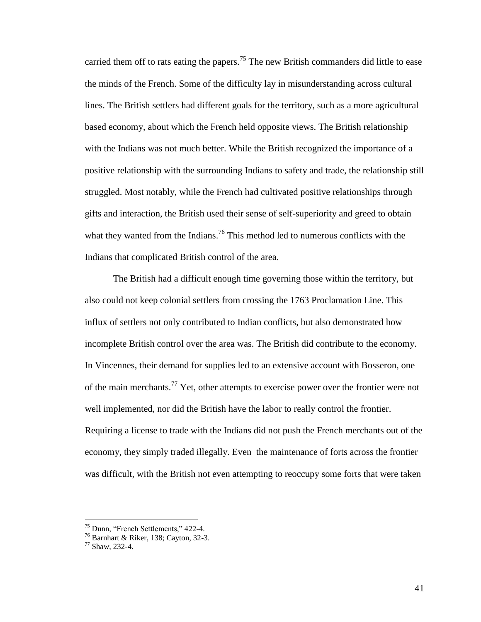carried them off to rats eating the papers.<sup>75</sup> The new British commanders did little to ease the minds of the French. Some of the difficulty lay in misunderstanding across cultural lines. The British settlers had different goals for the territory, such as a more agricultural based economy, about which the French held opposite views. The British relationship with the Indians was not much better. While the British recognized the importance of a positive relationship with the surrounding Indians to safety and trade, the relationship still struggled. Most notably, while the French had cultivated positive relationships through gifts and interaction, the British used their sense of self-superiority and greed to obtain what they wanted from the Indians.<sup>76</sup> This method led to numerous conflicts with the Indians that complicated British control of the area.

The British had a difficult enough time governing those within the territory, but also could not keep colonial settlers from crossing the 1763 Proclamation Line. This influx of settlers not only contributed to Indian conflicts, but also demonstrated how incomplete British control over the area was. The British did contribute to the economy. In Vincennes, their demand for supplies led to an extensive account with Bosseron, one of the main merchants.<sup>77</sup> Yet, other attempts to exercise power over the frontier were not well implemented, nor did the British have the labor to really control the frontier. Requiring a license to trade with the Indians did not push the French merchants out of the economy, they simply traded illegally. Even the maintenance of forts across the frontier was difficult, with the British not even attempting to reoccupy some forts that were taken

<sup>75</sup> Dunn, "French Settlements," 422-4.

<sup>76</sup> Barnhart & Riker, 138; Cayton, 32-3.

<sup>77</sup> Shaw, 232-4.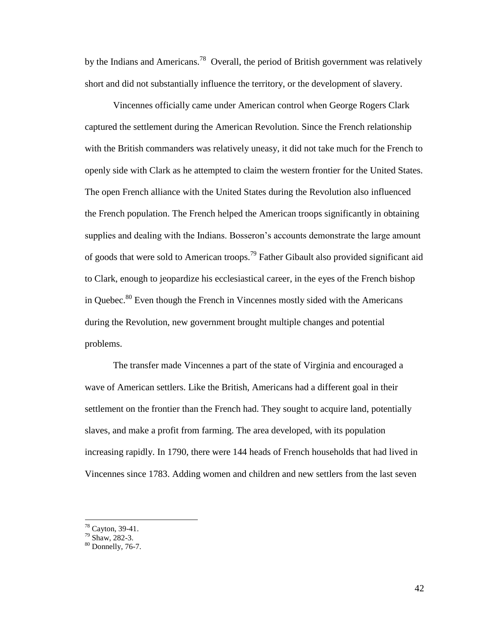by the Indians and Americans.<sup>78</sup> Overall, the period of British government was relatively short and did not substantially influence the territory, or the development of slavery.

Vincennes officially came under American control when George Rogers Clark captured the settlement during the American Revolution. Since the French relationship with the British commanders was relatively uneasy, it did not take much for the French to openly side with Clark as he attempted to claim the western frontier for the United States. The open French alliance with the United States during the Revolution also influenced the French population. The French helped the American troops significantly in obtaining supplies and dealing with the Indians. Bosseron's accounts demonstrate the large amount of goods that were sold to American troops.<sup>79</sup> Father Gibault also provided significant aid to Clark, enough to jeopardize his ecclesiastical career, in the eyes of the French bishop in Quebec.<sup>80</sup> Even though the French in Vincennes mostly sided with the Americans during the Revolution, new government brought multiple changes and potential problems.

The transfer made Vincennes a part of the state of Virginia and encouraged a wave of American settlers. Like the British, Americans had a different goal in their settlement on the frontier than the French had. They sought to acquire land, potentially slaves, and make a profit from farming. The area developed, with its population increasing rapidly. In 1790, there were 144 heads of French households that had lived in Vincennes since 1783. Adding women and children and new settlers from the last seven

 $78$  Cayton, 39-41.

 $79$  Shaw, 282-3.

 $80$  Donnelly, 76-7.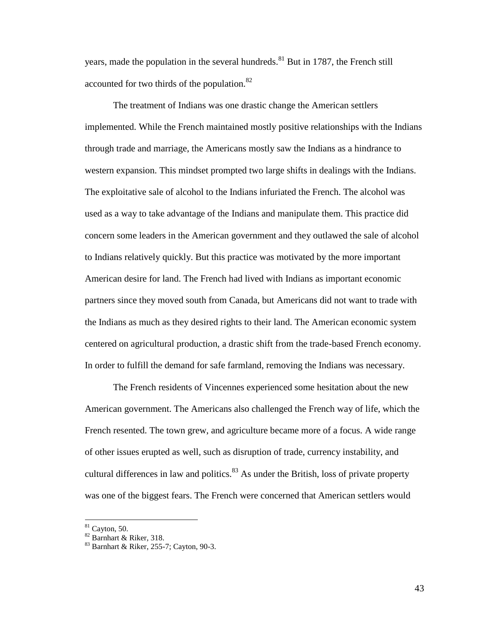years, made the population in the several hundreds. $81$  But in 1787, the French still accounted for two thirds of the population.<sup>82</sup>

The treatment of Indians was one drastic change the American settlers implemented. While the French maintained mostly positive relationships with the Indians through trade and marriage, the Americans mostly saw the Indians as a hindrance to western expansion. This mindset prompted two large shifts in dealings with the Indians. The exploitative sale of alcohol to the Indians infuriated the French. The alcohol was used as a way to take advantage of the Indians and manipulate them. This practice did concern some leaders in the American government and they outlawed the sale of alcohol to Indians relatively quickly. But this practice was motivated by the more important American desire for land. The French had lived with Indians as important economic partners since they moved south from Canada, but Americans did not want to trade with the Indians as much as they desired rights to their land. The American economic system centered on agricultural production, a drastic shift from the trade-based French economy. In order to fulfill the demand for safe farmland, removing the Indians was necessary.

The French residents of Vincennes experienced some hesitation about the new American government. The Americans also challenged the French way of life, which the French resented. The town grew, and agriculture became more of a focus. A wide range of other issues erupted as well, such as disruption of trade, currency instability, and cultural differences in law and politics. $83$  As under the British, loss of private property was one of the biggest fears. The French were concerned that American settlers would

 $81$  Cayton, 50.

 $82$  Barnhart & Riker, 318.

<sup>83</sup> Barnhart & Riker, 255-7; Cayton, 90-3.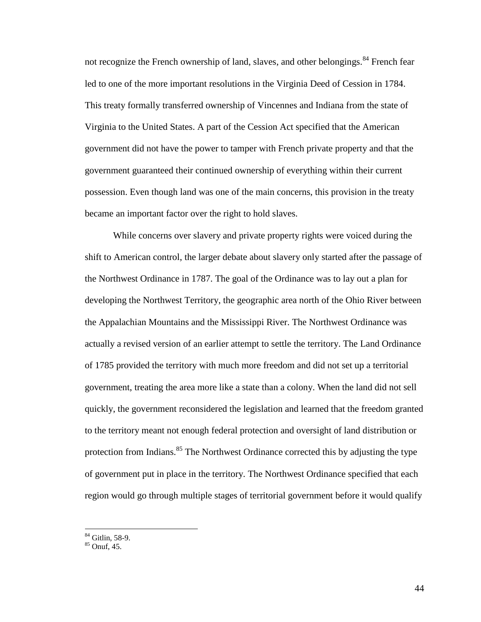not recognize the French ownership of land, slaves, and other belongings.<sup>84</sup> French fear led to one of the more important resolutions in the Virginia Deed of Cession in 1784. This treaty formally transferred ownership of Vincennes and Indiana from the state of Virginia to the United States. A part of the Cession Act specified that the American government did not have the power to tamper with French private property and that the government guaranteed their continued ownership of everything within their current possession. Even though land was one of the main concerns, this provision in the treaty became an important factor over the right to hold slaves.

While concerns over slavery and private property rights were voiced during the shift to American control, the larger debate about slavery only started after the passage of the Northwest Ordinance in 1787. The goal of the Ordinance was to lay out a plan for developing the Northwest Territory, the geographic area north of the Ohio River between the Appalachian Mountains and the Mississippi River. The Northwest Ordinance was actually a revised version of an earlier attempt to settle the territory. The Land Ordinance of 1785 provided the territory with much more freedom and did not set up a territorial government, treating the area more like a state than a colony. When the land did not sell quickly, the government reconsidered the legislation and learned that the freedom granted to the territory meant not enough federal protection and oversight of land distribution or protection from Indians.<sup>85</sup> The Northwest Ordinance corrected this by adjusting the type of government put in place in the territory. The Northwest Ordinance specified that each region would go through multiple stages of territorial government before it would qualify

<sup>84</sup> Gitlin, 58-9.

 $85$  Onuf, 45.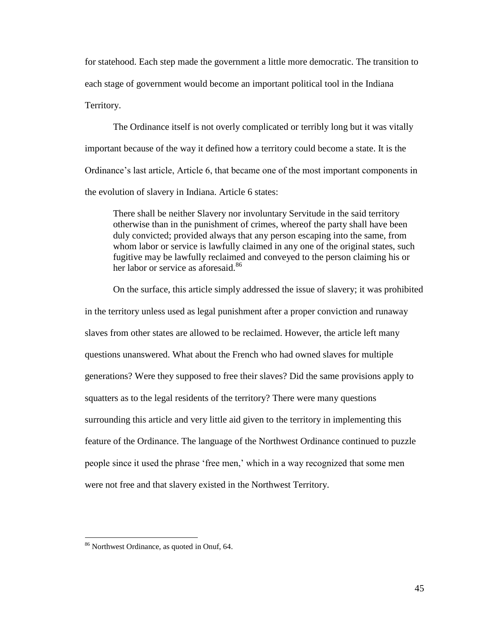for statehood. Each step made the government a little more democratic. The transition to each stage of government would become an important political tool in the Indiana Territory.

The Ordinance itself is not overly complicated or terribly long but it was vitally important because of the way it defined how a territory could become a state. It is the Ordinance's last article, Article 6, that became one of the most important components in the evolution of slavery in Indiana. Article 6 states:

There shall be neither Slavery nor involuntary Servitude in the said territory otherwise than in the punishment of crimes, whereof the party shall have been duly convicted; provided always that any person escaping into the same, from whom labor or service is lawfully claimed in any one of the original states, such fugitive may be lawfully reclaimed and conveyed to the person claiming his or her labor or service as aforesaid.<sup>86</sup>

On the surface, this article simply addressed the issue of slavery; it was prohibited in the territory unless used as legal punishment after a proper conviction and runaway slaves from other states are allowed to be reclaimed. However, the article left many questions unanswered. What about the French who had owned slaves for multiple generations? Were they supposed to free their slaves? Did the same provisions apply to squatters as to the legal residents of the territory? There were many questions surrounding this article and very little aid given to the territory in implementing this feature of the Ordinance. The language of the Northwest Ordinance continued to puzzle people since it used the phrase 'free men,' which in a way recognized that some men were not free and that slavery existed in the Northwest Territory.

<sup>86</sup> Northwest Ordinance, as quoted in Onuf, 64.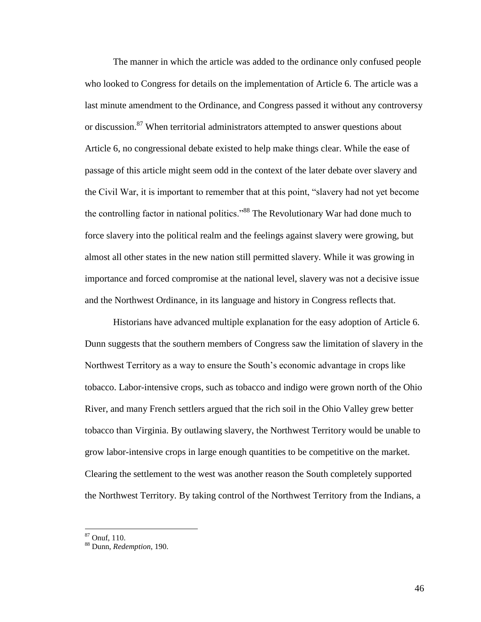The manner in which the article was added to the ordinance only confused people who looked to Congress for details on the implementation of Article 6. The article was a last minute amendment to the Ordinance, and Congress passed it without any controversy or discussion.<sup>87</sup> When territorial administrators attempted to answer questions about Article 6, no congressional debate existed to help make things clear. While the ease of passage of this article might seem odd in the context of the later debate over slavery and the Civil War, it is important to remember that at this point, "slavery had not yet become the controlling factor in national politics."<sup>88</sup> The Revolutionary War had done much to force slavery into the political realm and the feelings against slavery were growing, but almost all other states in the new nation still permitted slavery. While it was growing in importance and forced compromise at the national level, slavery was not a decisive issue and the Northwest Ordinance, in its language and history in Congress reflects that.

Historians have advanced multiple explanation for the easy adoption of Article 6. Dunn suggests that the southern members of Congress saw the limitation of slavery in the Northwest Territory as a way to ensure the South's economic advantage in crops like tobacco. Labor-intensive crops, such as tobacco and indigo were grown north of the Ohio River, and many French settlers argued that the rich soil in the Ohio Valley grew better tobacco than Virginia. By outlawing slavery, the Northwest Territory would be unable to grow labor-intensive crops in large enough quantities to be competitive on the market. Clearing the settlement to the west was another reason the South completely supported the Northwest Territory. By taking control of the Northwest Territory from the Indians, a

<sup>87</sup> Onuf, 110.

<sup>88</sup> Dunn, *Redemption*, 190.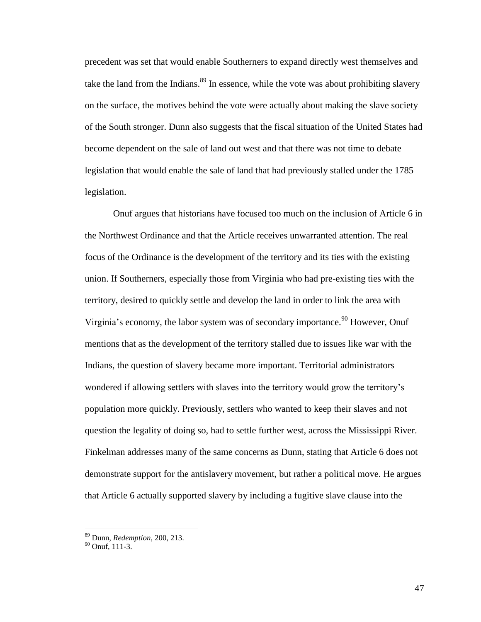precedent was set that would enable Southerners to expand directly west themselves and take the land from the Indians.<sup>89</sup> In essence, while the vote was about prohibiting slavery on the surface, the motives behind the vote were actually about making the slave society of the South stronger. Dunn also suggests that the fiscal situation of the United States had become dependent on the sale of land out west and that there was not time to debate legislation that would enable the sale of land that had previously stalled under the 1785 legislation.

Onuf argues that historians have focused too much on the inclusion of Article 6 in the Northwest Ordinance and that the Article receives unwarranted attention. The real focus of the Ordinance is the development of the territory and its ties with the existing union. If Southerners, especially those from Virginia who had pre-existing ties with the territory, desired to quickly settle and develop the land in order to link the area with Virginia's economy, the labor system was of secondary importance.<sup>90</sup> However, Onuf mentions that as the development of the territory stalled due to issues like war with the Indians, the question of slavery became more important. Territorial administrators wondered if allowing settlers with slaves into the territory would grow the territory's population more quickly. Previously, settlers who wanted to keep their slaves and not question the legality of doing so, had to settle further west, across the Mississippi River. Finkelman addresses many of the same concerns as Dunn, stating that Article 6 does not demonstrate support for the antislavery movement, but rather a political move. He argues that Article 6 actually supported slavery by including a fugitive slave clause into the

<sup>89</sup> Dunn, *Redemption*, 200, 213.

<sup>90</sup> Onuf, 111-3.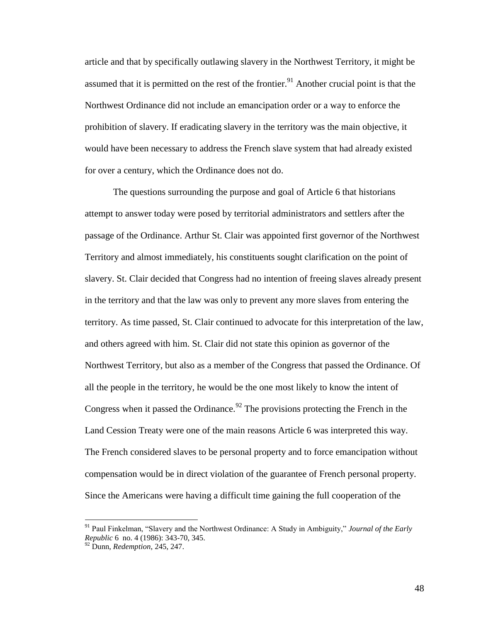article and that by specifically outlawing slavery in the Northwest Territory, it might be assumed that it is permitted on the rest of the frontier.<sup>91</sup> Another crucial point is that the Northwest Ordinance did not include an emancipation order or a way to enforce the prohibition of slavery. If eradicating slavery in the territory was the main objective, it would have been necessary to address the French slave system that had already existed for over a century, which the Ordinance does not do.

The questions surrounding the purpose and goal of Article 6 that historians attempt to answer today were posed by territorial administrators and settlers after the passage of the Ordinance. Arthur St. Clair was appointed first governor of the Northwest Territory and almost immediately, his constituents sought clarification on the point of slavery. St. Clair decided that Congress had no intention of freeing slaves already present in the territory and that the law was only to prevent any more slaves from entering the territory. As time passed, St. Clair continued to advocate for this interpretation of the law, and others agreed with him. St. Clair did not state this opinion as governor of the Northwest Territory, but also as a member of the Congress that passed the Ordinance. Of all the people in the territory, he would be the one most likely to know the intent of Congress when it passed the Ordinance.<sup>92</sup> The provisions protecting the French in the Land Cession Treaty were one of the main reasons Article 6 was interpreted this way. The French considered slaves to be personal property and to force emancipation without compensation would be in direct violation of the guarantee of French personal property. Since the Americans were having a difficult time gaining the full cooperation of the

<sup>91</sup> Paul Finkelman, "Slavery and the Northwest Ordinance: A Study in Ambiguity," *Journal of the Early Republic* 6 no. 4 (1986): 343-70, 345.

<sup>92</sup> Dunn, *Redemption*, 245, 247.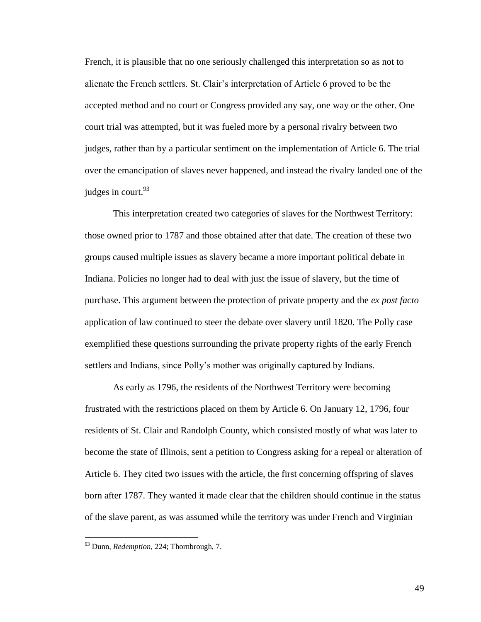French, it is plausible that no one seriously challenged this interpretation so as not to alienate the French settlers. St. Clair's interpretation of Article 6 proved to be the accepted method and no court or Congress provided any say, one way or the other. One court trial was attempted, but it was fueled more by a personal rivalry between two judges, rather than by a particular sentiment on the implementation of Article 6. The trial over the emancipation of slaves never happened, and instead the rivalry landed one of the judges in court. $93$ 

This interpretation created two categories of slaves for the Northwest Territory: those owned prior to 1787 and those obtained after that date. The creation of these two groups caused multiple issues as slavery became a more important political debate in Indiana. Policies no longer had to deal with just the issue of slavery, but the time of purchase. This argument between the protection of private property and the *ex post facto* application of law continued to steer the debate over slavery until 1820. The Polly case exemplified these questions surrounding the private property rights of the early French settlers and Indians, since Polly's mother was originally captured by Indians.

As early as 1796, the residents of the Northwest Territory were becoming frustrated with the restrictions placed on them by Article 6. On January 12, 1796, four residents of St. Clair and Randolph County, which consisted mostly of what was later to become the state of Illinois, sent a petition to Congress asking for a repeal or alteration of Article 6. They cited two issues with the article, the first concerning offspring of slaves born after 1787. They wanted it made clear that the children should continue in the status of the slave parent, as was assumed while the territory was under French and Virginian

<sup>93</sup> Dunn, *Redemption*, 224; Thornbrough, 7.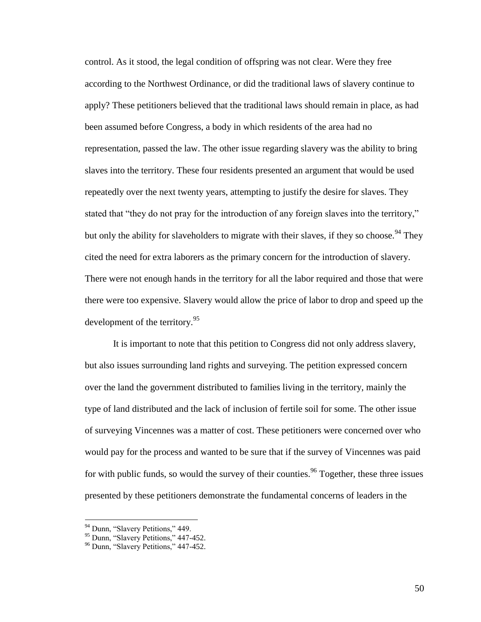control. As it stood, the legal condition of offspring was not clear. Were they free according to the Northwest Ordinance, or did the traditional laws of slavery continue to apply? These petitioners believed that the traditional laws should remain in place, as had been assumed before Congress, a body in which residents of the area had no representation, passed the law. The other issue regarding slavery was the ability to bring slaves into the territory. These four residents presented an argument that would be used repeatedly over the next twenty years, attempting to justify the desire for slaves. They stated that "they do not pray for the introduction of any foreign slaves into the territory," but only the ability for slaveholders to migrate with their slaves, if they so choose.<sup>94</sup> They cited the need for extra laborers as the primary concern for the introduction of slavery. There were not enough hands in the territory for all the labor required and those that were there were too expensive. Slavery would allow the price of labor to drop and speed up the development of the territory.<sup>95</sup>

It is important to note that this petition to Congress did not only address slavery, but also issues surrounding land rights and surveying. The petition expressed concern over the land the government distributed to families living in the territory, mainly the type of land distributed and the lack of inclusion of fertile soil for some. The other issue of surveying Vincennes was a matter of cost. These petitioners were concerned over who would pay for the process and wanted to be sure that if the survey of Vincennes was paid for with public funds, so would the survey of their counties.<sup>96</sup> Together, these three issues presented by these petitioners demonstrate the fundamental concerns of leaders in the

<sup>&</sup>lt;sup>94</sup> Dunn, "Slavery Petitions," 449.

<sup>&</sup>lt;sup>95</sup> Dunn, "Slavery Petitions," 447-452.

<sup>96</sup> Dunn, "Slavery Petitions," 447-452.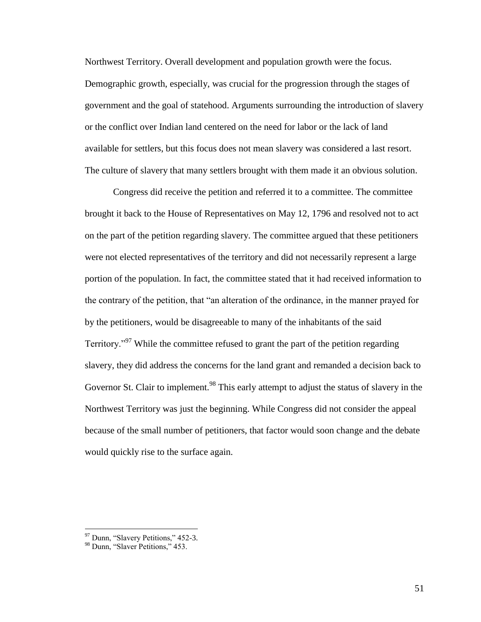Northwest Territory. Overall development and population growth were the focus. Demographic growth, especially, was crucial for the progression through the stages of government and the goal of statehood. Arguments surrounding the introduction of slavery or the conflict over Indian land centered on the need for labor or the lack of land available for settlers, but this focus does not mean slavery was considered a last resort. The culture of slavery that many settlers brought with them made it an obvious solution.

Congress did receive the petition and referred it to a committee. The committee brought it back to the House of Representatives on May 12, 1796 and resolved not to act on the part of the petition regarding slavery. The committee argued that these petitioners were not elected representatives of the territory and did not necessarily represent a large portion of the population. In fact, the committee stated that it had received information to the contrary of the petition, that "an alteration of the ordinance, in the manner prayed for by the petitioners, would be disagreeable to many of the inhabitants of the said Territory."<sup>97</sup> While the committee refused to grant the part of the petition regarding slavery, they did address the concerns for the land grant and remanded a decision back to Governor St. Clair to implement.<sup>98</sup> This early attempt to adjust the status of slavery in the Northwest Territory was just the beginning. While Congress did not consider the appeal because of the small number of petitioners, that factor would soon change and the debate would quickly rise to the surface again.

<sup>&</sup>lt;sup>97</sup> Dunn, "Slavery Petitions," 452-3.

<sup>&</sup>lt;sup>98</sup> Dunn. "Slaver Petitions." 453.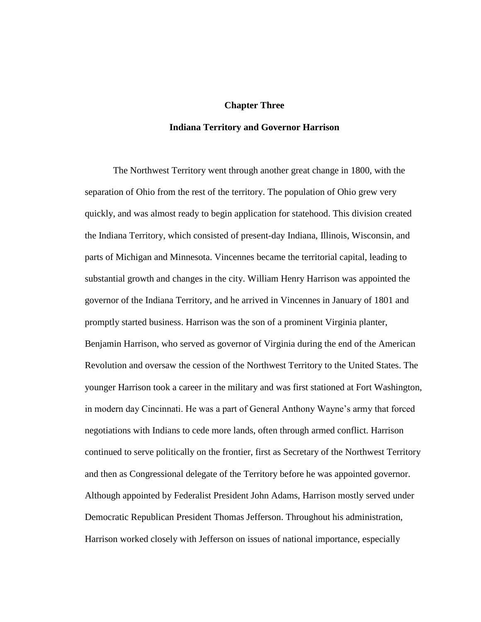## **Chapter Three**

## **Indiana Territory and Governor Harrison**

The Northwest Territory went through another great change in 1800, with the separation of Ohio from the rest of the territory. The population of Ohio grew very quickly, and was almost ready to begin application for statehood. This division created the Indiana Territory, which consisted of present-day Indiana, Illinois, Wisconsin, and parts of Michigan and Minnesota. Vincennes became the territorial capital, leading to substantial growth and changes in the city. William Henry Harrison was appointed the governor of the Indiana Territory, and he arrived in Vincennes in January of 1801 and promptly started business. Harrison was the son of a prominent Virginia planter, Benjamin Harrison, who served as governor of Virginia during the end of the American Revolution and oversaw the cession of the Northwest Territory to the United States. The younger Harrison took a career in the military and was first stationed at Fort Washington, in modern day Cincinnati. He was a part of General Anthony Wayne's army that forced negotiations with Indians to cede more lands, often through armed conflict. Harrison continued to serve politically on the frontier, first as Secretary of the Northwest Territory and then as Congressional delegate of the Territory before he was appointed governor. Although appointed by Federalist President John Adams, Harrison mostly served under Democratic Republican President Thomas Jefferson. Throughout his administration, Harrison worked closely with Jefferson on issues of national importance, especially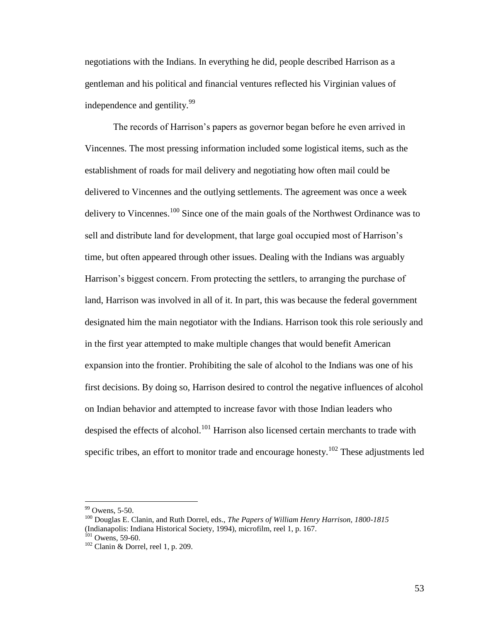negotiations with the Indians. In everything he did, people described Harrison as a gentleman and his political and financial ventures reflected his Virginian values of independence and gentility.<sup>99</sup>

The records of Harrison's papers as governor began before he even arrived in Vincennes. The most pressing information included some logistical items, such as the establishment of roads for mail delivery and negotiating how often mail could be delivered to Vincennes and the outlying settlements. The agreement was once a week delivery to Vincennes.<sup>100</sup> Since one of the main goals of the Northwest Ordinance was to sell and distribute land for development, that large goal occupied most of Harrison's time, but often appeared through other issues. Dealing with the Indians was arguably Harrison's biggest concern. From protecting the settlers, to arranging the purchase of land, Harrison was involved in all of it. In part, this was because the federal government designated him the main negotiator with the Indians. Harrison took this role seriously and in the first year attempted to make multiple changes that would benefit American expansion into the frontier. Prohibiting the sale of alcohol to the Indians was one of his first decisions. By doing so, Harrison desired to control the negative influences of alcohol on Indian behavior and attempted to increase favor with those Indian leaders who despised the effects of alcohol.<sup>101</sup> Harrison also licensed certain merchants to trade with specific tribes, an effort to monitor trade and encourage honesty.<sup>102</sup> These adjustments led

 $99$  Owens, 5-50.

<sup>100</sup> Douglas E. Clanin, and Ruth Dorrel, eds., *The Papers of William Henry Harrison, 1800-1815* (Indianapolis: Indiana Historical Society, 1994), microfilm, reel 1, p. 167.  $101$  Owens, 59-60.

 $102$  Clanin & Dorrel, reel 1, p. 209.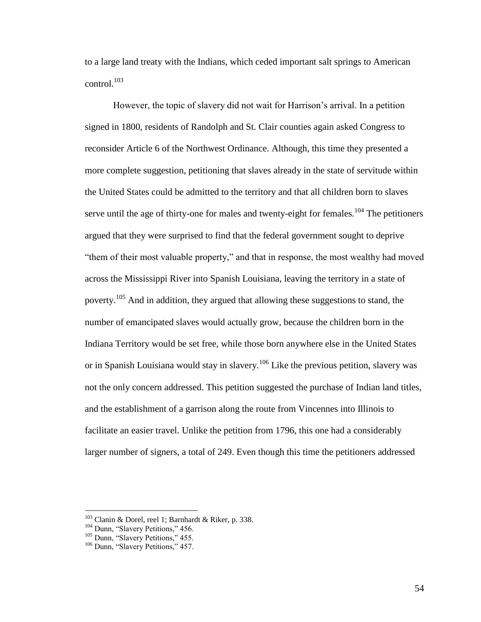to a large land treaty with the Indians, which ceded important salt springs to American  $control<sup>103</sup>$ 

However, the topic of slavery did not wait for Harrison's arrival. In a petition signed in 1800, residents of Randolph and St. Clair counties again asked Congress to reconsider Article 6 of the Northwest Ordinance. Although, this time they presented a more complete suggestion, petitioning that slaves already in the state of servitude within the United States could be admitted to the territory and that all children born to slaves serve until the age of thirty-one for males and twenty-eight for females.<sup>104</sup> The petitioners argued that they were surprised to find that the federal government sought to deprive "them of their most valuable property," and that in response, the most wealthy had moved across the Mississippi River into Spanish Louisiana, leaving the territory in a state of poverty.<sup>105</sup> And in addition, they argued that allowing these suggestions to stand, the number of emancipated slaves would actually grow, because the children born in the Indiana Territory would be set free, while those born anywhere else in the United States or in Spanish Louisiana would stay in slavery.<sup>106</sup> Like the previous petition, slavery was not the only concern addressed. This petition suggested the purchase of Indian land titles, and the establishment of a garrison along the route from Vincennes into Illinois to facilitate an easier travel. Unlike the petition from 1796, this one had a considerably larger number of signers, a total of 249. Even though this time the petitioners addressed

 $103$  Clanin & Dorel, reel 1; Barnhardt & Riker, p. 338.

<sup>&</sup>lt;sup>104</sup> Dunn, "Slavery Petitions," 456.

<sup>&</sup>lt;sup>105</sup> Dunn, "Slavery Petitions," 455.

<sup>&</sup>lt;sup>106</sup> Dunn, "Slavery Petitions," 457.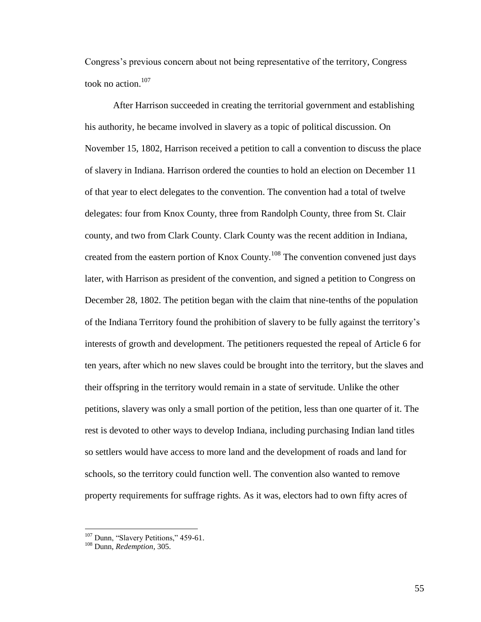Congress's previous concern about not being representative of the territory, Congress took no action.<sup>107</sup>

After Harrison succeeded in creating the territorial government and establishing his authority, he became involved in slavery as a topic of political discussion. On November 15, 1802, Harrison received a petition to call a convention to discuss the place of slavery in Indiana. Harrison ordered the counties to hold an election on December 11 of that year to elect delegates to the convention. The convention had a total of twelve delegates: four from Knox County, three from Randolph County, three from St. Clair county, and two from Clark County. Clark County was the recent addition in Indiana, created from the eastern portion of Knox County.<sup>108</sup> The convention convened just days later, with Harrison as president of the convention, and signed a petition to Congress on December 28, 1802. The petition began with the claim that nine-tenths of the population of the Indiana Territory found the prohibition of slavery to be fully against the territory's interests of growth and development. The petitioners requested the repeal of Article 6 for ten years, after which no new slaves could be brought into the territory, but the slaves and their offspring in the territory would remain in a state of servitude. Unlike the other petitions, slavery was only a small portion of the petition, less than one quarter of it. The rest is devoted to other ways to develop Indiana, including purchasing Indian land titles so settlers would have access to more land and the development of roads and land for schools, so the territory could function well. The convention also wanted to remove property requirements for suffrage rights. As it was, electors had to own fifty acres of

<sup>&</sup>lt;sup>107</sup> Dunn, "Slavery Petitions," 459-61.

<sup>108</sup> Dunn, *Redemption*, 305.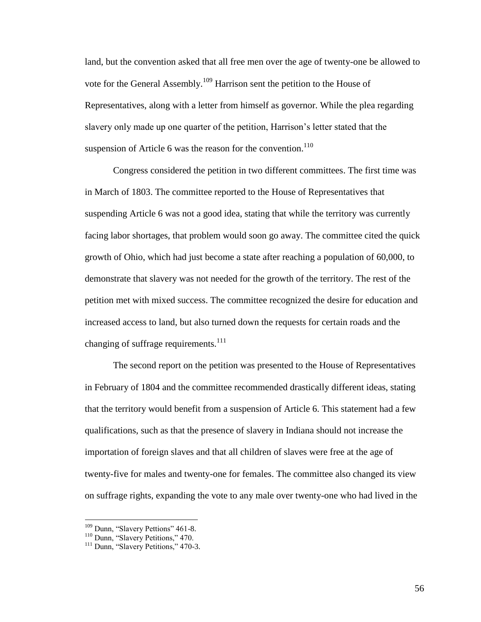land, but the convention asked that all free men over the age of twenty-one be allowed to vote for the General Assembly.<sup>109</sup> Harrison sent the petition to the House of Representatives, along with a letter from himself as governor. While the plea regarding slavery only made up one quarter of the petition, Harrison's letter stated that the suspension of Article 6 was the reason for the convention. $110$ 

Congress considered the petition in two different committees. The first time was in March of 1803. The committee reported to the House of Representatives that suspending Article 6 was not a good idea, stating that while the territory was currently facing labor shortages, that problem would soon go away. The committee cited the quick growth of Ohio, which had just become a state after reaching a population of 60,000, to demonstrate that slavery was not needed for the growth of the territory. The rest of the petition met with mixed success. The committee recognized the desire for education and increased access to land, but also turned down the requests for certain roads and the changing of suffrage requirements.<sup>111</sup>

The second report on the petition was presented to the House of Representatives in February of 1804 and the committee recommended drastically different ideas, stating that the territory would benefit from a suspension of Article 6. This statement had a few qualifications, such as that the presence of slavery in Indiana should not increase the importation of foreign slaves and that all children of slaves were free at the age of twenty-five for males and twenty-one for females. The committee also changed its view on suffrage rights, expanding the vote to any male over twenty-one who had lived in the

 $\overline{a}$ 

56

<sup>&</sup>lt;sup>109</sup> Dunn, "Slavery Pettions" 461-8.

<sup>&</sup>lt;sup>110</sup> Dunn, "Slavery Petitions," 470.

<sup>&</sup>lt;sup>111</sup> Dunn, "Slavery Petitions," 470-3.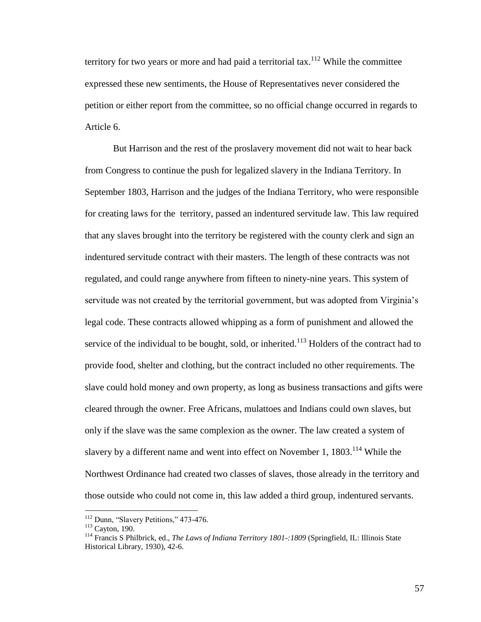territory for two years or more and had paid a territorial tax.<sup>112</sup> While the committee expressed these new sentiments, the House of Representatives never considered the petition or either report from the committee, so no official change occurred in regards to Article 6.

But Harrison and the rest of the proslavery movement did not wait to hear back from Congress to continue the push for legalized slavery in the Indiana Territory. In September 1803, Harrison and the judges of the Indiana Territory, who were responsible for creating laws for the territory, passed an indentured servitude law. This law required that any slaves brought into the territory be registered with the county clerk and sign an indentured servitude contract with their masters. The length of these contracts was not regulated, and could range anywhere from fifteen to ninety-nine years. This system of servitude was not created by the territorial government, but was adopted from Virginia's legal code. These contracts allowed whipping as a form of punishment and allowed the service of the individual to be bought, sold, or inherited.<sup>113</sup> Holders of the contract had to provide food, shelter and clothing, but the contract included no other requirements. The slave could hold money and own property, as long as business transactions and gifts were cleared through the owner. Free Africans, mulattoes and Indians could own slaves, but only if the slave was the same complexion as the owner. The law created a system of slavery by a different name and went into effect on November 1,  $1803$ <sup> $114$ </sup> While the Northwest Ordinance had created two classes of slaves, those already in the territory and those outside who could not come in, this law added a third group, indentured servants.

<sup>&</sup>lt;sup>112</sup> Dunn, "Slavery Petitions," 473-476.

<sup>113</sup> Cayton, 190.

<sup>114</sup> Francis S Philbrick, ed., *The Laws of Indiana Territory 1801-:1809* (Springfield, IL: Illinois State Historical Library, 1930), 42-6.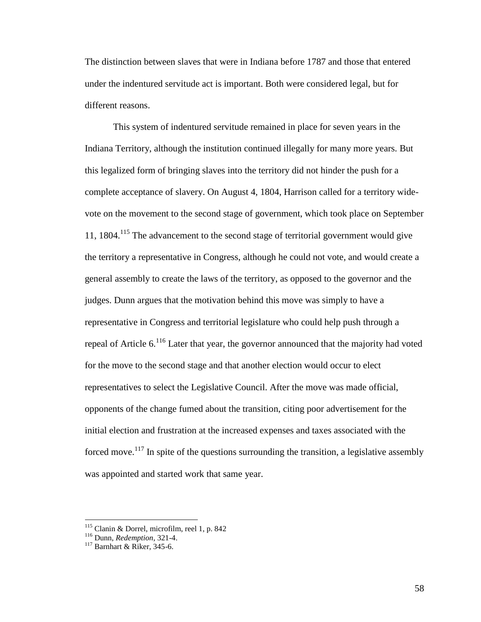The distinction between slaves that were in Indiana before 1787 and those that entered under the indentured servitude act is important. Both were considered legal, but for different reasons.

This system of indentured servitude remained in place for seven years in the Indiana Territory, although the institution continued illegally for many more years. But this legalized form of bringing slaves into the territory did not hinder the push for a complete acceptance of slavery. On August 4, 1804, Harrison called for a territory widevote on the movement to the second stage of government, which took place on September 11,  $1804<sup>115</sup>$  The advancement to the second stage of territorial government would give the territory a representative in Congress, although he could not vote, and would create a general assembly to create the laws of the territory, as opposed to the governor and the judges. Dunn argues that the motivation behind this move was simply to have a representative in Congress and territorial legislature who could help push through a repeal of Article  $6<sup>116</sup>$  Later that year, the governor announced that the majority had voted for the move to the second stage and that another election would occur to elect representatives to select the Legislative Council. After the move was made official, opponents of the change fumed about the transition, citing poor advertisement for the initial election and frustration at the increased expenses and taxes associated with the forced move.<sup>117</sup> In spite of the questions surrounding the transition, a legislative assembly was appointed and started work that same year.

<sup>115</sup> Clanin & Dorrel, microfilm, reel 1, p. 842

<sup>116</sup> Dunn, *Redemption*, 321-4.

 $117$  Barnhart & Riker, 345-6.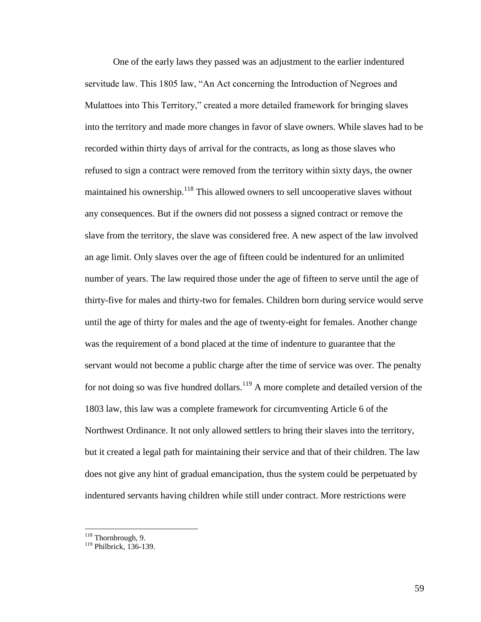One of the early laws they passed was an adjustment to the earlier indentured servitude law. This 1805 law, "An Act concerning the Introduction of Negroes and Mulattoes into This Territory," created a more detailed framework for bringing slaves into the territory and made more changes in favor of slave owners. While slaves had to be recorded within thirty days of arrival for the contracts, as long as those slaves who refused to sign a contract were removed from the territory within sixty days, the owner maintained his ownership.<sup>118</sup> This allowed owners to sell uncooperative slaves without any consequences. But if the owners did not possess a signed contract or remove the slave from the territory, the slave was considered free. A new aspect of the law involved an age limit. Only slaves over the age of fifteen could be indentured for an unlimited number of years. The law required those under the age of fifteen to serve until the age of thirty-five for males and thirty-two for females. Children born during service would serve until the age of thirty for males and the age of twenty-eight for females. Another change was the requirement of a bond placed at the time of indenture to guarantee that the servant would not become a public charge after the time of service was over. The penalty for not doing so was five hundred dollars.<sup>119</sup> A more complete and detailed version of the 1803 law, this law was a complete framework for circumventing Article 6 of the Northwest Ordinance. It not only allowed settlers to bring their slaves into the territory, but it created a legal path for maintaining their service and that of their children. The law does not give any hint of gradual emancipation, thus the system could be perpetuated by indentured servants having children while still under contract. More restrictions were

<sup>&</sup>lt;sup>118</sup> Thornbrough, 9.

<sup>119</sup> Philbrick, 136-139.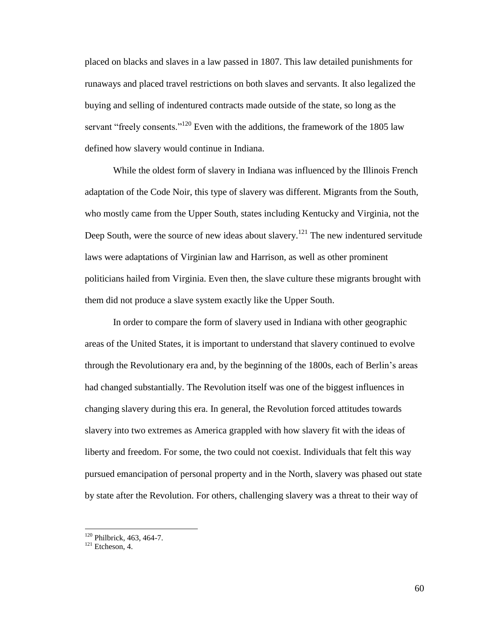placed on blacks and slaves in a law passed in 1807. This law detailed punishments for runaways and placed travel restrictions on both slaves and servants. It also legalized the buying and selling of indentured contracts made outside of the state, so long as the servant "freely consents."<sup>120</sup> Even with the additions, the framework of the 1805 law defined how slavery would continue in Indiana.

While the oldest form of slavery in Indiana was influenced by the Illinois French adaptation of the Code Noir, this type of slavery was different. Migrants from the South, who mostly came from the Upper South, states including Kentucky and Virginia, not the Deep South, were the source of new ideas about slavery.<sup>121</sup> The new indentured servitude laws were adaptations of Virginian law and Harrison, as well as other prominent politicians hailed from Virginia. Even then, the slave culture these migrants brought with them did not produce a slave system exactly like the Upper South.

In order to compare the form of slavery used in Indiana with other geographic areas of the United States, it is important to understand that slavery continued to evolve through the Revolutionary era and, by the beginning of the 1800s, each of Berlin's areas had changed substantially. The Revolution itself was one of the biggest influences in changing slavery during this era. In general, the Revolution forced attitudes towards slavery into two extremes as America grappled with how slavery fit with the ideas of liberty and freedom. For some, the two could not coexist. Individuals that felt this way pursued emancipation of personal property and in the North, slavery was phased out state by state after the Revolution. For others, challenging slavery was a threat to their way of

<sup>&</sup>lt;sup>120</sup> Philbrick, 463, 464-7.

 $121$  Etcheson, 4.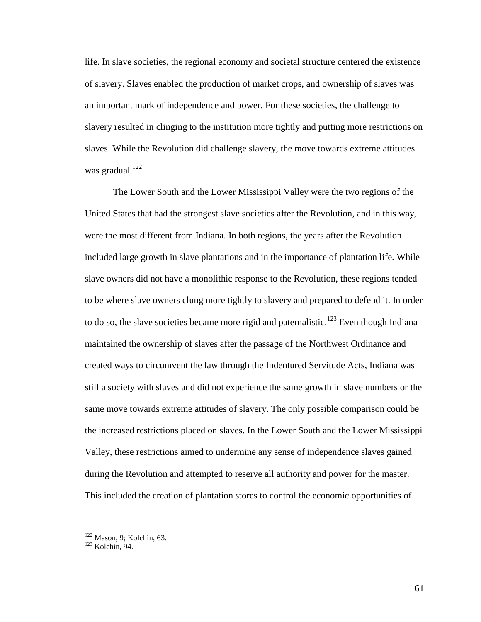life. In slave societies, the regional economy and societal structure centered the existence of slavery. Slaves enabled the production of market crops, and ownership of slaves was an important mark of independence and power. For these societies, the challenge to slavery resulted in clinging to the institution more tightly and putting more restrictions on slaves. While the Revolution did challenge slavery, the move towards extreme attitudes was gradual. $122$ 

The Lower South and the Lower Mississippi Valley were the two regions of the United States that had the strongest slave societies after the Revolution, and in this way, were the most different from Indiana. In both regions, the years after the Revolution included large growth in slave plantations and in the importance of plantation life. While slave owners did not have a monolithic response to the Revolution, these regions tended to be where slave owners clung more tightly to slavery and prepared to defend it. In order to do so, the slave societies became more rigid and paternalistic.<sup>123</sup> Even though Indiana maintained the ownership of slaves after the passage of the Northwest Ordinance and created ways to circumvent the law through the Indentured Servitude Acts, Indiana was still a society with slaves and did not experience the same growth in slave numbers or the same move towards extreme attitudes of slavery. The only possible comparison could be the increased restrictions placed on slaves. In the Lower South and the Lower Mississippi Valley, these restrictions aimed to undermine any sense of independence slaves gained during the Revolution and attempted to reserve all authority and power for the master. This included the creation of plantation stores to control the economic opportunities of

<sup>&</sup>lt;sup>122</sup> Mason, 9; Kolchin, 63.

 $123$  Kolchin, 94.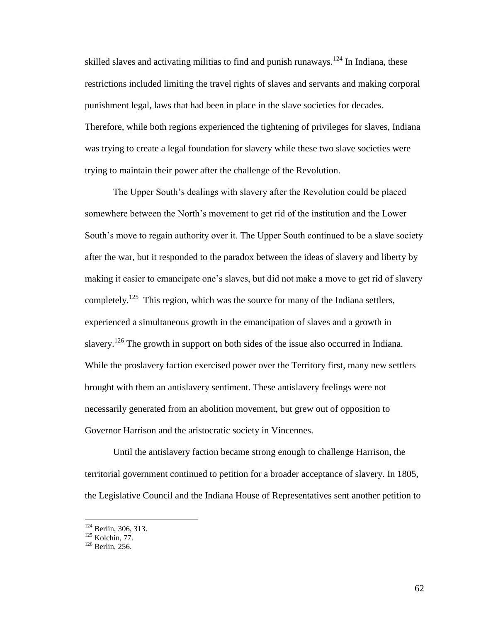skilled slaves and activating militias to find and punish runaways.<sup>124</sup> In Indiana, these restrictions included limiting the travel rights of slaves and servants and making corporal punishment legal, laws that had been in place in the slave societies for decades. Therefore, while both regions experienced the tightening of privileges for slaves, Indiana was trying to create a legal foundation for slavery while these two slave societies were trying to maintain their power after the challenge of the Revolution.

The Upper South's dealings with slavery after the Revolution could be placed somewhere between the North's movement to get rid of the institution and the Lower South's move to regain authority over it. The Upper South continued to be a slave society after the war, but it responded to the paradox between the ideas of slavery and liberty by making it easier to emancipate one's slaves, but did not make a move to get rid of slavery completely.<sup>125</sup> This region, which was the source for many of the Indiana settlers, experienced a simultaneous growth in the emancipation of slaves and a growth in slavery.<sup>126</sup> The growth in support on both sides of the issue also occurred in Indiana. While the proslavery faction exercised power over the Territory first, many new settlers brought with them an antislavery sentiment. These antislavery feelings were not necessarily generated from an abolition movement, but grew out of opposition to Governor Harrison and the aristocratic society in Vincennes.

Until the antislavery faction became strong enough to challenge Harrison, the territorial government continued to petition for a broader acceptance of slavery. In 1805, the Legislative Council and the Indiana House of Representatives sent another petition to

<sup>&</sup>lt;sup>124</sup> Berlin, 306, 313.

 $125$  Kolchin, 77.

<sup>126</sup> Berlin, 256.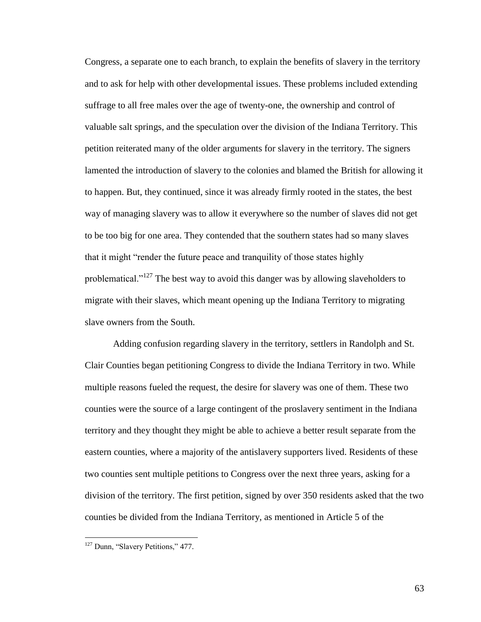Congress, a separate one to each branch, to explain the benefits of slavery in the territory and to ask for help with other developmental issues. These problems included extending suffrage to all free males over the age of twenty-one, the ownership and control of valuable salt springs, and the speculation over the division of the Indiana Territory. This petition reiterated many of the older arguments for slavery in the territory. The signers lamented the introduction of slavery to the colonies and blamed the British for allowing it to happen. But, they continued, since it was already firmly rooted in the states, the best way of managing slavery was to allow it everywhere so the number of slaves did not get to be too big for one area. They contended that the southern states had so many slaves that it might "render the future peace and tranquility of those states highly problematical."<sup>127</sup> The best way to avoid this danger was by allowing slaveholders to migrate with their slaves, which meant opening up the Indiana Territory to migrating slave owners from the South.

Adding confusion regarding slavery in the territory, settlers in Randolph and St. Clair Counties began petitioning Congress to divide the Indiana Territory in two. While multiple reasons fueled the request, the desire for slavery was one of them. These two counties were the source of a large contingent of the proslavery sentiment in the Indiana territory and they thought they might be able to achieve a better result separate from the eastern counties, where a majority of the antislavery supporters lived. Residents of these two counties sent multiple petitions to Congress over the next three years, asking for a division of the territory. The first petition, signed by over 350 residents asked that the two counties be divided from the Indiana Territory, as mentioned in Article 5 of the

<sup>&</sup>lt;sup>127</sup> Dunn, "Slavery Petitions," 477.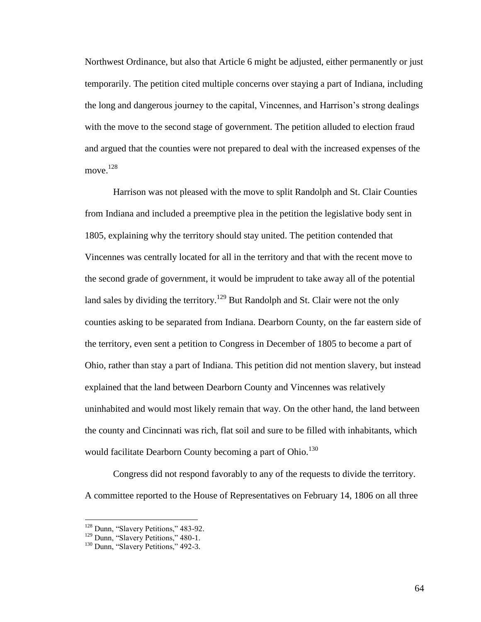Northwest Ordinance, but also that Article 6 might be adjusted, either permanently or just temporarily. The petition cited multiple concerns over staying a part of Indiana, including the long and dangerous journey to the capital, Vincennes, and Harrison's strong dealings with the move to the second stage of government. The petition alluded to election fraud and argued that the counties were not prepared to deal with the increased expenses of the move.<sup>128</sup>

Harrison was not pleased with the move to split Randolph and St. Clair Counties from Indiana and included a preemptive plea in the petition the legislative body sent in 1805, explaining why the territory should stay united. The petition contended that Vincennes was centrally located for all in the territory and that with the recent move to the second grade of government, it would be imprudent to take away all of the potential land sales by dividing the territory.<sup>129</sup> But Randolph and St. Clair were not the only counties asking to be separated from Indiana. Dearborn County, on the far eastern side of the territory, even sent a petition to Congress in December of 1805 to become a part of Ohio, rather than stay a part of Indiana. This petition did not mention slavery, but instead explained that the land between Dearborn County and Vincennes was relatively uninhabited and would most likely remain that way. On the other hand, the land between the county and Cincinnati was rich, flat soil and sure to be filled with inhabitants, which would facilitate Dearborn County becoming a part of Ohio.<sup>130</sup>

Congress did not respond favorably to any of the requests to divide the territory. A committee reported to the House of Representatives on February 14, 1806 on all three

<sup>&</sup>lt;sup>128</sup> Dunn, "Slavery Petitions," 483-92.

 $129$  Dunn, "Slavery Petitions," 480-1.

<sup>&</sup>lt;sup>130</sup> Dunn, "Slavery Petitions," 492-3.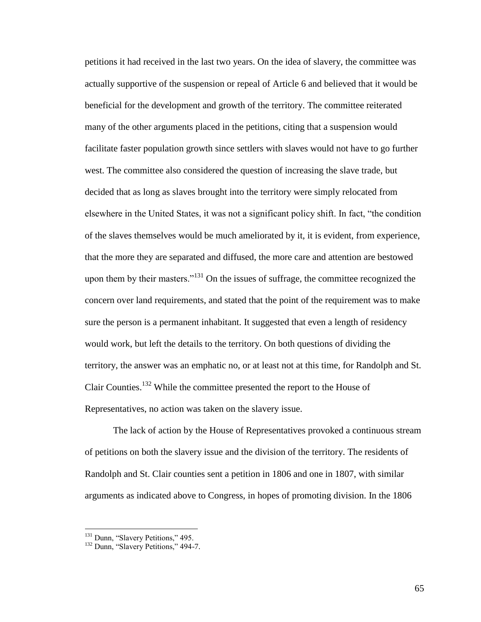petitions it had received in the last two years. On the idea of slavery, the committee was actually supportive of the suspension or repeal of Article 6 and believed that it would be beneficial for the development and growth of the territory. The committee reiterated many of the other arguments placed in the petitions, citing that a suspension would facilitate faster population growth since settlers with slaves would not have to go further west. The committee also considered the question of increasing the slave trade, but decided that as long as slaves brought into the territory were simply relocated from elsewhere in the United States, it was not a significant policy shift. In fact, "the condition of the slaves themselves would be much ameliorated by it, it is evident, from experience, that the more they are separated and diffused, the more care and attention are bestowed upon them by their masters."<sup>131</sup> On the issues of suffrage, the committee recognized the concern over land requirements, and stated that the point of the requirement was to make sure the person is a permanent inhabitant. It suggested that even a length of residency would work, but left the details to the territory. On both questions of dividing the territory, the answer was an emphatic no, or at least not at this time, for Randolph and St. Clair Counties.<sup>132</sup> While the committee presented the report to the House of Representatives, no action was taken on the slavery issue.

The lack of action by the House of Representatives provoked a continuous stream of petitions on both the slavery issue and the division of the territory. The residents of Randolph and St. Clair counties sent a petition in 1806 and one in 1807, with similar arguments as indicated above to Congress, in hopes of promoting division. In the 1806

<sup>&</sup>lt;sup>131</sup> Dunn, "Slavery Petitions," 495.

<sup>&</sup>lt;sup>132</sup> Dunn, "Slavery Petitions," 494-7.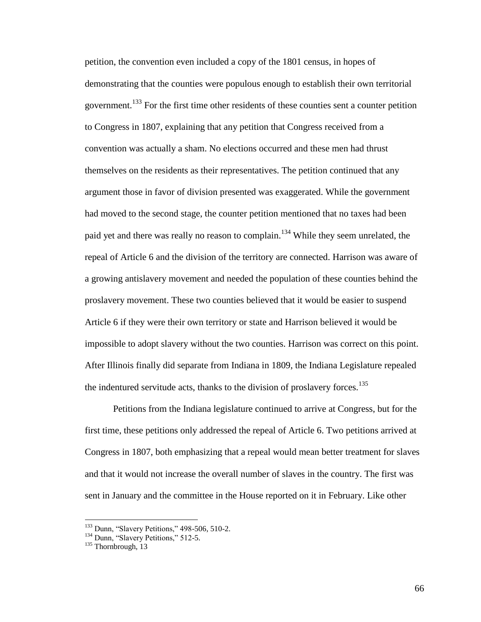petition, the convention even included a copy of the 1801 census, in hopes of demonstrating that the counties were populous enough to establish their own territorial government.<sup>133</sup> For the first time other residents of these counties sent a counter petition to Congress in 1807, explaining that any petition that Congress received from a convention was actually a sham. No elections occurred and these men had thrust themselves on the residents as their representatives. The petition continued that any argument those in favor of division presented was exaggerated. While the government had moved to the second stage, the counter petition mentioned that no taxes had been paid yet and there was really no reason to complain.<sup>134</sup> While they seem unrelated, the repeal of Article 6 and the division of the territory are connected. Harrison was aware of a growing antislavery movement and needed the population of these counties behind the proslavery movement. These two counties believed that it would be easier to suspend Article 6 if they were their own territory or state and Harrison believed it would be impossible to adopt slavery without the two counties. Harrison was correct on this point. After Illinois finally did separate from Indiana in 1809, the Indiana Legislature repealed the indentured servitude acts, thanks to the division of proslavery forces.<sup>135</sup>

Petitions from the Indiana legislature continued to arrive at Congress, but for the first time, these petitions only addressed the repeal of Article 6. Two petitions arrived at Congress in 1807, both emphasizing that a repeal would mean better treatment for slaves and that it would not increase the overall number of slaves in the country. The first was sent in January and the committee in the House reported on it in February. Like other

<sup>&</sup>lt;sup>133</sup> Dunn, "Slavery Petitions," 498-506, 510-2.

 $134$  Dunn, "Slavery Petitions," 512-5.

<sup>&</sup>lt;sup>135</sup> Thornbrough, 13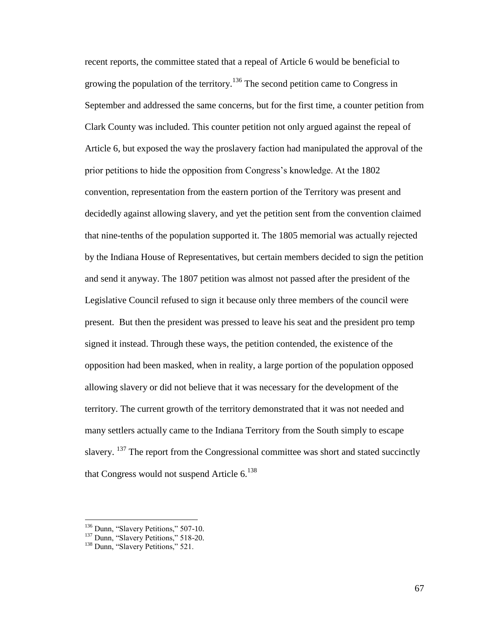recent reports, the committee stated that a repeal of Article 6 would be beneficial to growing the population of the territory.<sup>136</sup> The second petition came to Congress in September and addressed the same concerns, but for the first time, a counter petition from Clark County was included. This counter petition not only argued against the repeal of Article 6, but exposed the way the proslavery faction had manipulated the approval of the prior petitions to hide the opposition from Congress's knowledge. At the 1802 convention, representation from the eastern portion of the Territory was present and decidedly against allowing slavery, and yet the petition sent from the convention claimed that nine-tenths of the population supported it. The 1805 memorial was actually rejected by the Indiana House of Representatives, but certain members decided to sign the petition and send it anyway. The 1807 petition was almost not passed after the president of the Legislative Council refused to sign it because only three members of the council were present. But then the president was pressed to leave his seat and the president pro temp signed it instead. Through these ways, the petition contended, the existence of the opposition had been masked, when in reality, a large portion of the population opposed allowing slavery or did not believe that it was necessary for the development of the territory. The current growth of the territory demonstrated that it was not needed and many settlers actually came to the Indiana Territory from the South simply to escape slavery. <sup>137</sup> The report from the Congressional committee was short and stated succinctly that Congress would not suspend Article  $6^{138}$ 

<sup>&</sup>lt;sup>136</sup> Dunn, "Slavery Petitions," 507-10.

<sup>&</sup>lt;sup>137</sup> Dunn. "Slavery Petitions," 518-20.

<sup>&</sup>lt;sup>138</sup> Dunn, "Slavery Petitions," 521.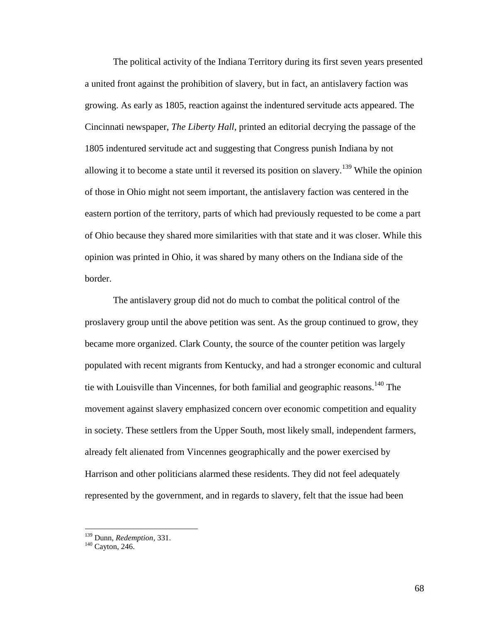The political activity of the Indiana Territory during its first seven years presented a united front against the prohibition of slavery, but in fact, an antislavery faction was growing. As early as 1805, reaction against the indentured servitude acts appeared. The Cincinnati newspaper, *The Liberty Hall*, printed an editorial decrying the passage of the 1805 indentured servitude act and suggesting that Congress punish Indiana by not allowing it to become a state until it reversed its position on slavery.<sup>139</sup> While the opinion of those in Ohio might not seem important, the antislavery faction was centered in the eastern portion of the territory, parts of which had previously requested to be come a part of Ohio because they shared more similarities with that state and it was closer. While this opinion was printed in Ohio, it was shared by many others on the Indiana side of the border.

The antislavery group did not do much to combat the political control of the proslavery group until the above petition was sent. As the group continued to grow, they became more organized. Clark County, the source of the counter petition was largely populated with recent migrants from Kentucky, and had a stronger economic and cultural tie with Louisville than Vincennes, for both familial and geographic reasons.<sup>140</sup> The movement against slavery emphasized concern over economic competition and equality in society. These settlers from the Upper South, most likely small, independent farmers, already felt alienated from Vincennes geographically and the power exercised by Harrison and other politicians alarmed these residents. They did not feel adequately represented by the government, and in regards to slavery, felt that the issue had been

<sup>139</sup> Dunn, *Redemption*, 331.

<sup>140</sup> Cayton, 246.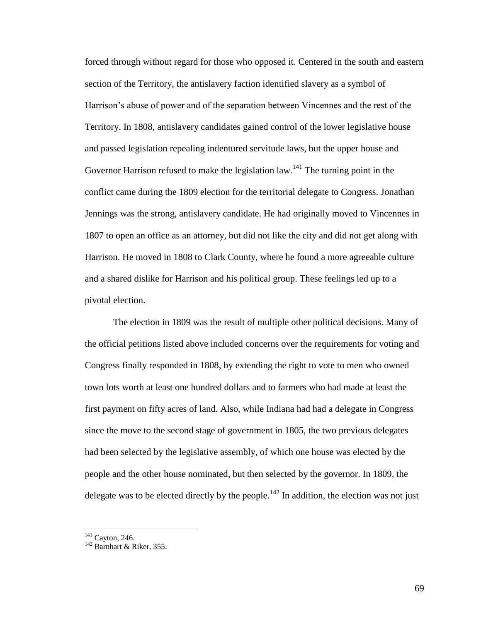forced through without regard for those who opposed it. Centered in the south and eastern section of the Territory, the antislavery faction identified slavery as a symbol of Harrison's abuse of power and of the separation between Vincennes and the rest of the Territory. In 1808, antislavery candidates gained control of the lower legislative house and passed legislation repealing indentured servitude laws, but the upper house and Governor Harrison refused to make the legislation  $law$ <sup>141</sup>. The turning point in the conflict came during the 1809 election for the territorial delegate to Congress. Jonathan Jennings was the strong, antislavery candidate. He had originally moved to Vincennes in 1807 to open an office as an attorney, but did not like the city and did not get along with Harrison. He moved in 1808 to Clark County, where he found a more agreeable culture and a shared dislike for Harrison and his political group. These feelings led up to a pivotal election.

The election in 1809 was the result of multiple other political decisions. Many of the official petitions listed above included concerns over the requirements for voting and Congress finally responded in 1808, by extending the right to vote to men who owned town lots worth at least one hundred dollars and to farmers who had made at least the first payment on fifty acres of land. Also, while Indiana had had a delegate in Congress since the move to the second stage of government in 1805, the two previous delegates had been selected by the legislative assembly, of which one house was elected by the people and the other house nominated, but then selected by the governor. In 1809, the delegate was to be elected directly by the people.<sup>142</sup> In addition, the election was not just

 $141$  Cayton, 246.

 $142$  Barnhart & Riker, 355.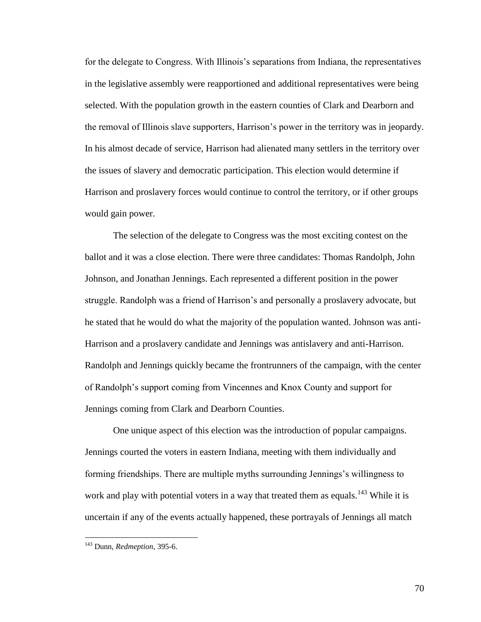for the delegate to Congress. With Illinois's separations from Indiana, the representatives in the legislative assembly were reapportioned and additional representatives were being selected. With the population growth in the eastern counties of Clark and Dearborn and the removal of Illinois slave supporters, Harrison's power in the territory was in jeopardy. In his almost decade of service, Harrison had alienated many settlers in the territory over the issues of slavery and democratic participation. This election would determine if Harrison and proslavery forces would continue to control the territory, or if other groups would gain power.

The selection of the delegate to Congress was the most exciting contest on the ballot and it was a close election. There were three candidates: Thomas Randolph, John Johnson, and Jonathan Jennings. Each represented a different position in the power struggle. Randolph was a friend of Harrison's and personally a proslavery advocate, but he stated that he would do what the majority of the population wanted. Johnson was anti-Harrison and a proslavery candidate and Jennings was antislavery and anti-Harrison. Randolph and Jennings quickly became the frontrunners of the campaign, with the center of Randolph's support coming from Vincennes and Knox County and support for Jennings coming from Clark and Dearborn Counties.

One unique aspect of this election was the introduction of popular campaigns. Jennings courted the voters in eastern Indiana, meeting with them individually and forming friendships. There are multiple myths surrounding Jennings's willingness to work and play with potential voters in a way that treated them as equals.<sup>143</sup> While it is uncertain if any of the events actually happened, these portrayals of Jennings all match

 $\overline{a}$ 

70

<sup>143</sup> Dunn, *Redmeption*, 395-6.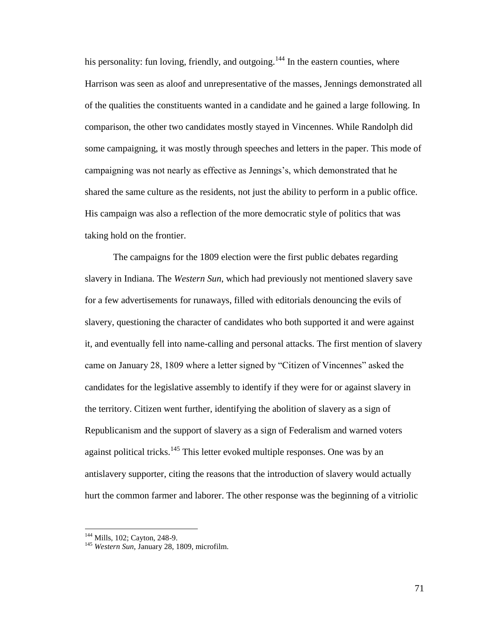his personality: fun loving, friendly, and outgoing.<sup>144</sup> In the eastern counties, where Harrison was seen as aloof and unrepresentative of the masses, Jennings demonstrated all of the qualities the constituents wanted in a candidate and he gained a large following. In comparison, the other two candidates mostly stayed in Vincennes. While Randolph did some campaigning, it was mostly through speeches and letters in the paper. This mode of campaigning was not nearly as effective as Jennings's, which demonstrated that he shared the same culture as the residents, not just the ability to perform in a public office. His campaign was also a reflection of the more democratic style of politics that was taking hold on the frontier.

The campaigns for the 1809 election were the first public debates regarding slavery in Indiana. The *Western Sun*, which had previously not mentioned slavery save for a few advertisements for runaways, filled with editorials denouncing the evils of slavery, questioning the character of candidates who both supported it and were against it, and eventually fell into name-calling and personal attacks. The first mention of slavery came on January 28, 1809 where a letter signed by "Citizen of Vincennes" asked the candidates for the legislative assembly to identify if they were for or against slavery in the territory. Citizen went further, identifying the abolition of slavery as a sign of Republicanism and the support of slavery as a sign of Federalism and warned voters against political tricks.<sup>145</sup> This letter evoked multiple responses. One was by an antislavery supporter, citing the reasons that the introduction of slavery would actually hurt the common farmer and laborer. The other response was the beginning of a vitriolic

 $\overline{a}$ 

<sup>144</sup> Mills, 102; Cayton, 248-9.

<sup>145</sup> *Western Sun,* January 28, 1809, microfilm.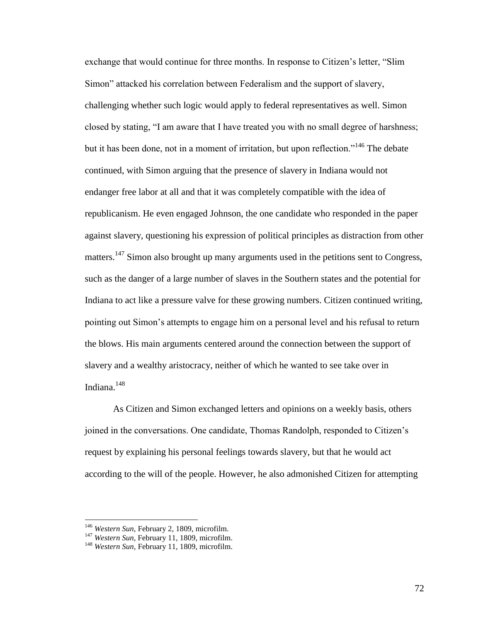exchange that would continue for three months. In response to Citizen's letter, "Slim Simon" attacked his correlation between Federalism and the support of slavery, challenging whether such logic would apply to federal representatives as well. Simon closed by stating, "I am aware that I have treated you with no small degree of harshness; but it has been done, not in a moment of irritation, but upon reflection."<sup>146</sup> The debate continued, with Simon arguing that the presence of slavery in Indiana would not endanger free labor at all and that it was completely compatible with the idea of republicanism. He even engaged Johnson, the one candidate who responded in the paper against slavery, questioning his expression of political principles as distraction from other matters.<sup>147</sup> Simon also brought up many arguments used in the petitions sent to Congress, such as the danger of a large number of slaves in the Southern states and the potential for Indiana to act like a pressure valve for these growing numbers. Citizen continued writing, pointing out Simon's attempts to engage him on a personal level and his refusal to return the blows. His main arguments centered around the connection between the support of slavery and a wealthy aristocracy, neither of which he wanted to see take over in Indiana.<sup>148</sup>

As Citizen and Simon exchanged letters and opinions on a weekly basis, others joined in the conversations. One candidate, Thomas Randolph, responded to Citizen's request by explaining his personal feelings towards slavery, but that he would act according to the will of the people. However, he also admonished Citizen for attempting

<sup>146</sup> *Western Sun,* February 2, 1809, microfilm.

<sup>147</sup> *Western Sun*, February 11, 1809, microfilm.

<sup>148</sup> *Western Sun,* February 11, 1809, microfilm.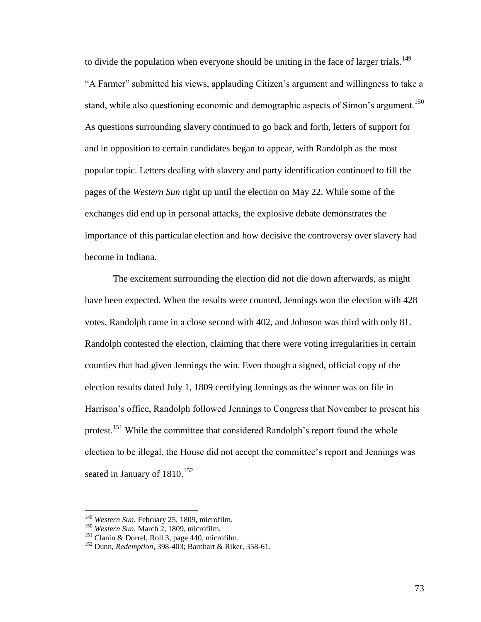to divide the population when everyone should be uniting in the face of larger trials.<sup>149</sup> "A Farmer" submitted his views, applauding Citizen's argument and willingness to take a stand, while also questioning economic and demographic aspects of Simon's argument.<sup>150</sup> As questions surrounding slavery continued to go back and forth, letters of support for and in opposition to certain candidates began to appear, with Randolph as the most popular topic. Letters dealing with slavery and party identification continued to fill the pages of the *Western Sun* right up until the election on May 22. While some of the exchanges did end up in personal attacks, the explosive debate demonstrates the importance of this particular election and how decisive the controversy over slavery had become in Indiana.

The excitement surrounding the election did not die down afterwards, as might have been expected. When the results were counted, Jennings won the election with 428 votes, Randolph came in a close second with 402, and Johnson was third with only 81. Randolph contested the election, claiming that there were voting irregularities in certain counties that had given Jennings the win. Even though a signed, official copy of the election results dated July 1, 1809 certifying Jennings as the winner was on file in Harrison's office, Randolph followed Jennings to Congress that November to present his protest.<sup>151</sup> While the committee that considered Randolph's report found the whole election to be illegal, the House did not accept the committee's report and Jennings was seated in January of  $1810.<sup>152</sup>$ 

<sup>149</sup> *Western Sun,* February 25, 1809, microfilm.

<sup>150</sup> *Western Sun,* March 2, 1809, microfilm.

<sup>&</sup>lt;sup>151</sup> Clanin & Dorrel, Roll 3, page 440, microfilm.

<sup>152</sup> Dunn, *Redemption*, 398-403; Barnhart & Riker, 358-61.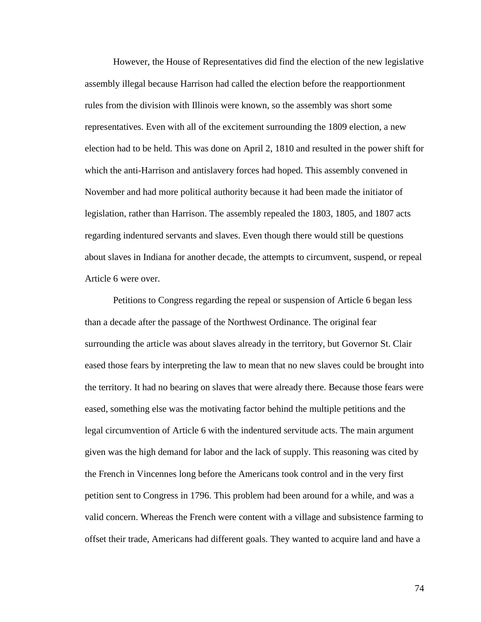However, the House of Representatives did find the election of the new legislative assembly illegal because Harrison had called the election before the reapportionment rules from the division with Illinois were known, so the assembly was short some representatives. Even with all of the excitement surrounding the 1809 election, a new election had to be held. This was done on April 2, 1810 and resulted in the power shift for which the anti-Harrison and antislavery forces had hoped. This assembly convened in November and had more political authority because it had been made the initiator of legislation, rather than Harrison. The assembly repealed the 1803, 1805, and 1807 acts regarding indentured servants and slaves. Even though there would still be questions about slaves in Indiana for another decade, the attempts to circumvent, suspend, or repeal Article 6 were over.

Petitions to Congress regarding the repeal or suspension of Article 6 began less than a decade after the passage of the Northwest Ordinance. The original fear surrounding the article was about slaves already in the territory, but Governor St. Clair eased those fears by interpreting the law to mean that no new slaves could be brought into the territory. It had no bearing on slaves that were already there. Because those fears were eased, something else was the motivating factor behind the multiple petitions and the legal circumvention of Article 6 with the indentured servitude acts. The main argument given was the high demand for labor and the lack of supply. This reasoning was cited by the French in Vincennes long before the Americans took control and in the very first petition sent to Congress in 1796. This problem had been around for a while, and was a valid concern. Whereas the French were content with a village and subsistence farming to offset their trade, Americans had different goals. They wanted to acquire land and have a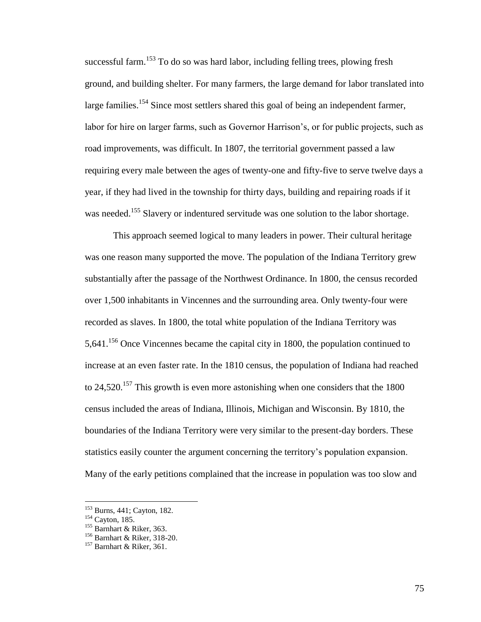successful farm.<sup>153</sup> To do so was hard labor, including felling trees, plowing fresh ground, and building shelter. For many farmers, the large demand for labor translated into large families.<sup>154</sup> Since most settlers shared this goal of being an independent farmer, labor for hire on larger farms, such as Governor Harrison's, or for public projects, such as road improvements, was difficult. In 1807, the territorial government passed a law requiring every male between the ages of twenty-one and fifty-five to serve twelve days a year, if they had lived in the township for thirty days, building and repairing roads if it was needed.<sup>155</sup> Slavery or indentured servitude was one solution to the labor shortage.

This approach seemed logical to many leaders in power. Their cultural heritage was one reason many supported the move. The population of the Indiana Territory grew substantially after the passage of the Northwest Ordinance. In 1800, the census recorded over 1,500 inhabitants in Vincennes and the surrounding area. Only twenty-four were recorded as slaves. In 1800, the total white population of the Indiana Territory was 5,641.<sup>156</sup> Once Vincennes became the capital city in 1800, the population continued to increase at an even faster rate. In the 1810 census, the population of Indiana had reached to  $24,520$ .<sup>157</sup> This growth is even more astonishing when one considers that the 1800 census included the areas of Indiana, Illinois, Michigan and Wisconsin. By 1810, the boundaries of the Indiana Territory were very similar to the present-day borders. These statistics easily counter the argument concerning the territory's population expansion. Many of the early petitions complained that the increase in population was too slow and

<sup>&</sup>lt;sup>153</sup> Burns, 441; Cayton, 182.

 $154$  Cayton, 185.

<sup>&</sup>lt;sup>155</sup> Barnhart & Riker, 363.

<sup>156</sup> Barnhart & Riker, 318-20.

<sup>157</sup> Barnhart & Riker, 361.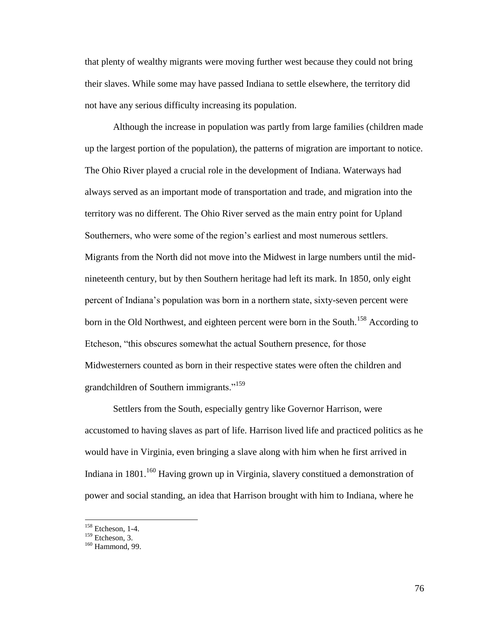that plenty of wealthy migrants were moving further west because they could not bring their slaves. While some may have passed Indiana to settle elsewhere, the territory did not have any serious difficulty increasing its population.

Although the increase in population was partly from large families (children made up the largest portion of the population), the patterns of migration are important to notice. The Ohio River played a crucial role in the development of Indiana. Waterways had always served as an important mode of transportation and trade, and migration into the territory was no different. The Ohio River served as the main entry point for Upland Southerners, who were some of the region's earliest and most numerous settlers. Migrants from the North did not move into the Midwest in large numbers until the midnineteenth century, but by then Southern heritage had left its mark. In 1850, only eight percent of Indiana's population was born in a northern state, sixty-seven percent were born in the Old Northwest, and eighteen percent were born in the South.<sup>158</sup> According to Etcheson, "this obscures somewhat the actual Southern presence, for those Midwesterners counted as born in their respective states were often the children and grandchildren of Southern immigrants."<sup>159</sup>

Settlers from the South, especially gentry like Governor Harrison, were accustomed to having slaves as part of life. Harrison lived life and practiced politics as he would have in Virginia, even bringing a slave along with him when he first arrived in Indiana in 1801.<sup>160</sup> Having grown up in Virginia, slavery constitued a demonstration of power and social standing, an idea that Harrison brought with him to Indiana, where he

 $158$  Etcheson, 1-4.

 $159$  Etcheson, 3.

<sup>&</sup>lt;sup>160</sup> Hammond, 99.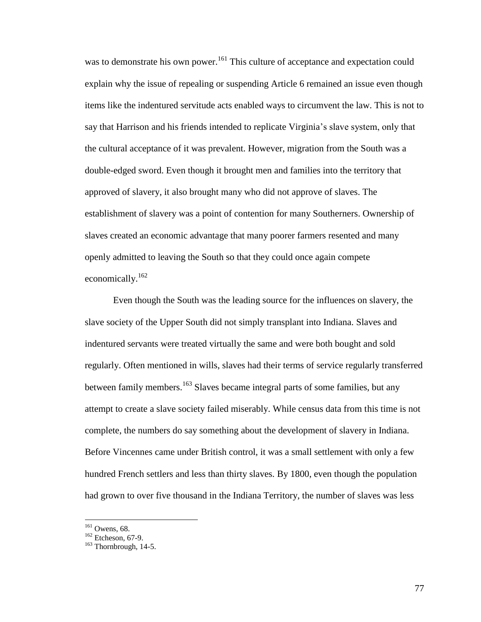was to demonstrate his own power.<sup>161</sup> This culture of acceptance and expectation could explain why the issue of repealing or suspending Article 6 remained an issue even though items like the indentured servitude acts enabled ways to circumvent the law. This is not to say that Harrison and his friends intended to replicate Virginia's slave system, only that the cultural acceptance of it was prevalent. However, migration from the South was a double-edged sword. Even though it brought men and families into the territory that approved of slavery, it also brought many who did not approve of slaves. The establishment of slavery was a point of contention for many Southerners. Ownership of slaves created an economic advantage that many poorer farmers resented and many openly admitted to leaving the South so that they could once again compete economically. $162$ 

Even though the South was the leading source for the influences on slavery, the slave society of the Upper South did not simply transplant into Indiana. Slaves and indentured servants were treated virtually the same and were both bought and sold regularly. Often mentioned in wills, slaves had their terms of service regularly transferred between family members.<sup>163</sup> Slaves became integral parts of some families, but any attempt to create a slave society failed miserably. While census data from this time is not complete, the numbers do say something about the development of slavery in Indiana. Before Vincennes came under British control, it was a small settlement with only a few hundred French settlers and less than thirty slaves. By 1800, even though the population had grown to over five thousand in the Indiana Territory, the number of slaves was less

 $161$  Owens, 68.

 $162$  Etcheson, 67-9.

 $163$  Thornbrough, 14-5.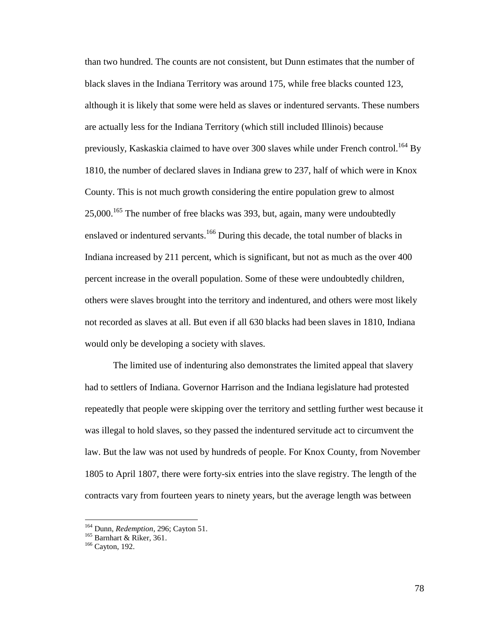than two hundred. The counts are not consistent, but Dunn estimates that the number of black slaves in the Indiana Territory was around 175, while free blacks counted 123, although it is likely that some were held as slaves or indentured servants. These numbers are actually less for the Indiana Territory (which still included Illinois) because previously, Kaskaskia claimed to have over 300 slaves while under French control.<sup>164</sup> By 1810, the number of declared slaves in Indiana grew to 237, half of which were in Knox County. This is not much growth considering the entire population grew to almost 25,000.<sup>165</sup> The number of free blacks was 393, but, again, many were undoubtedly enslaved or indentured servants.<sup>166</sup> During this decade, the total number of blacks in Indiana increased by 211 percent, which is significant, but not as much as the over 400 percent increase in the overall population. Some of these were undoubtedly children, others were slaves brought into the territory and indentured, and others were most likely not recorded as slaves at all. But even if all 630 blacks had been slaves in 1810, Indiana would only be developing a society with slaves.

The limited use of indenturing also demonstrates the limited appeal that slavery had to settlers of Indiana. Governor Harrison and the Indiana legislature had protested repeatedly that people were skipping over the territory and settling further west because it was illegal to hold slaves, so they passed the indentured servitude act to circumvent the law. But the law was not used by hundreds of people. For Knox County, from November 1805 to April 1807, there were forty-six entries into the slave registry. The length of the contracts vary from fourteen years to ninety years, but the average length was between

<sup>164</sup> Dunn, *Redemption*, 296; Cayton 51.

 $^{165}$  Barnhart & Riker, 361.

<sup>&</sup>lt;sup>166</sup> Cayton, 192.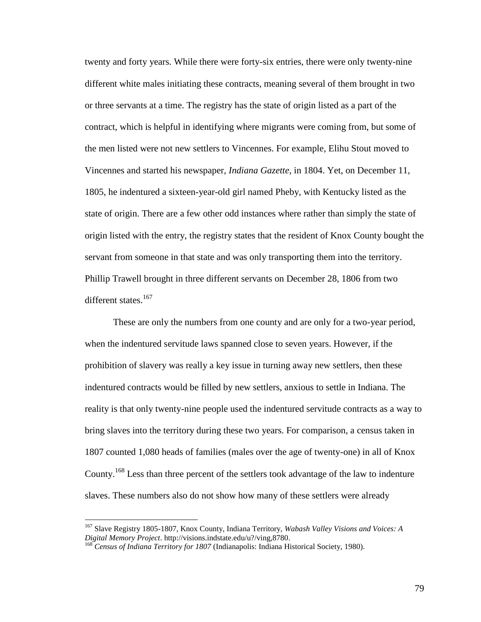twenty and forty years. While there were forty-six entries, there were only twenty-nine different white males initiating these contracts, meaning several of them brought in two or three servants at a time. The registry has the state of origin listed as a part of the contract, which is helpful in identifying where migrants were coming from, but some of the men listed were not new settlers to Vincennes. For example, Elihu Stout moved to Vincennes and started his newspaper, *Indiana Gazette*, in 1804. Yet, on December 11, 1805, he indentured a sixteen-year-old girl named Pheby, with Kentucky listed as the state of origin. There are a few other odd instances where rather than simply the state of origin listed with the entry, the registry states that the resident of Knox County bought the servant from someone in that state and was only transporting them into the territory. Phillip Trawell brought in three different servants on December 28, 1806 from two different states.<sup>167</sup>

These are only the numbers from one county and are only for a two-year period, when the indentured servitude laws spanned close to seven years. However, if the prohibition of slavery was really a key issue in turning away new settlers, then these indentured contracts would be filled by new settlers, anxious to settle in Indiana. The reality is that only twenty-nine people used the indentured servitude contracts as a way to bring slaves into the territory during these two years. For comparison, a census taken in 1807 counted 1,080 heads of families (males over the age of twenty-one) in all of Knox County.<sup>168</sup> Less than three percent of the settlers took advantage of the law to indenture slaves. These numbers also do not show how many of these settlers were already

<sup>167</sup> Slave Registry 1805-1807, Knox County, Indiana Territory, *Wabash Valley Visions and Voices: A Digital Memory Project*. http://visions.indstate.edu/u?/ving,8780.

<sup>&</sup>lt;sup>168</sup> *Census of Indiana Territory for 1807* (Indianapolis: Indiana Historical Society, 1980).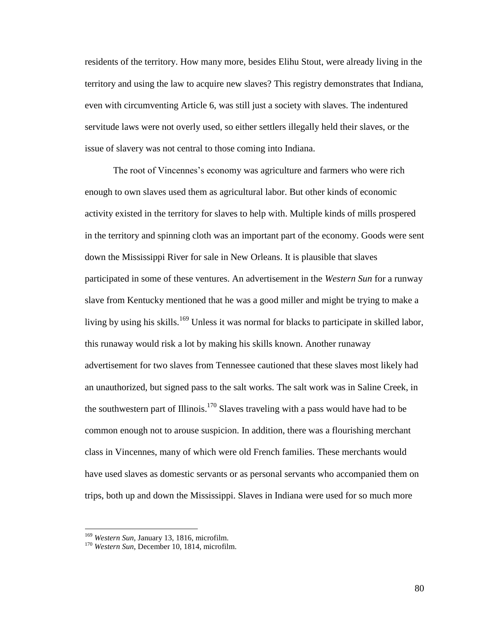residents of the territory. How many more, besides Elihu Stout, were already living in the territory and using the law to acquire new slaves? This registry demonstrates that Indiana, even with circumventing Article 6, was still just a society with slaves. The indentured servitude laws were not overly used, so either settlers illegally held their slaves, or the issue of slavery was not central to those coming into Indiana.

The root of Vincennes's economy was agriculture and farmers who were rich enough to own slaves used them as agricultural labor. But other kinds of economic activity existed in the territory for slaves to help with. Multiple kinds of mills prospered in the territory and spinning cloth was an important part of the economy. Goods were sent down the Mississippi River for sale in New Orleans. It is plausible that slaves participated in some of these ventures. An advertisement in the *Western Sun* for a runway slave from Kentucky mentioned that he was a good miller and might be trying to make a living by using his skills.<sup>169</sup> Unless it was normal for blacks to participate in skilled labor, this runaway would risk a lot by making his skills known. Another runaway advertisement for two slaves from Tennessee cautioned that these slaves most likely had an unauthorized, but signed pass to the salt works. The salt work was in Saline Creek, in the southwestern part of Illinois.<sup>170</sup> Slaves traveling with a pass would have had to be common enough not to arouse suspicion. In addition, there was a flourishing merchant class in Vincennes, many of which were old French families. These merchants would have used slaves as domestic servants or as personal servants who accompanied them on trips, both up and down the Mississippi. Slaves in Indiana were used for so much more

<sup>169</sup> *Western Sun*, January 13, 1816, microfilm.

<sup>170</sup> *Western Sun*, December 10, 1814, microfilm.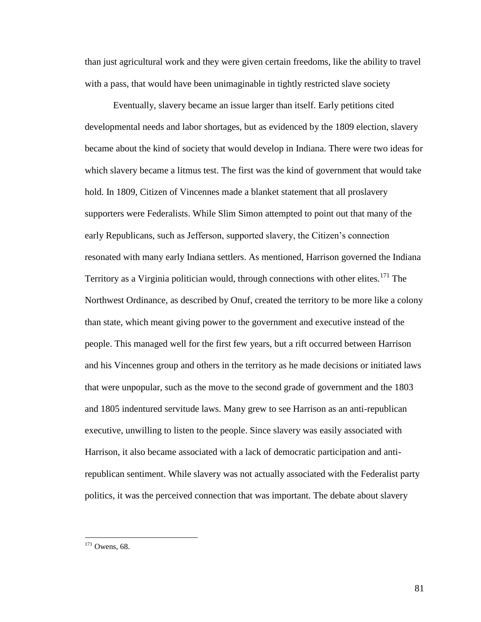than just agricultural work and they were given certain freedoms, like the ability to travel with a pass, that would have been unimaginable in tightly restricted slave society

Eventually, slavery became an issue larger than itself. Early petitions cited developmental needs and labor shortages, but as evidenced by the 1809 election, slavery became about the kind of society that would develop in Indiana. There were two ideas for which slavery became a litmus test. The first was the kind of government that would take hold. In 1809, Citizen of Vincennes made a blanket statement that all proslavery supporters were Federalists. While Slim Simon attempted to point out that many of the early Republicans, such as Jefferson, supported slavery, the Citizen's connection resonated with many early Indiana settlers. As mentioned, Harrison governed the Indiana Territory as a Virginia politician would, through connections with other elites.<sup>171</sup> The Northwest Ordinance, as described by Onuf, created the territory to be more like a colony than state, which meant giving power to the government and executive instead of the people. This managed well for the first few years, but a rift occurred between Harrison and his Vincennes group and others in the territory as he made decisions or initiated laws that were unpopular, such as the move to the second grade of government and the 1803 and 1805 indentured servitude laws. Many grew to see Harrison as an anti-republican executive, unwilling to listen to the people. Since slavery was easily associated with Harrison, it also became associated with a lack of democratic participation and antirepublican sentiment. While slavery was not actually associated with the Federalist party politics, it was the perceived connection that was important. The debate about slavery

 $\overline{a}$ 

 $171$  Owens, 68.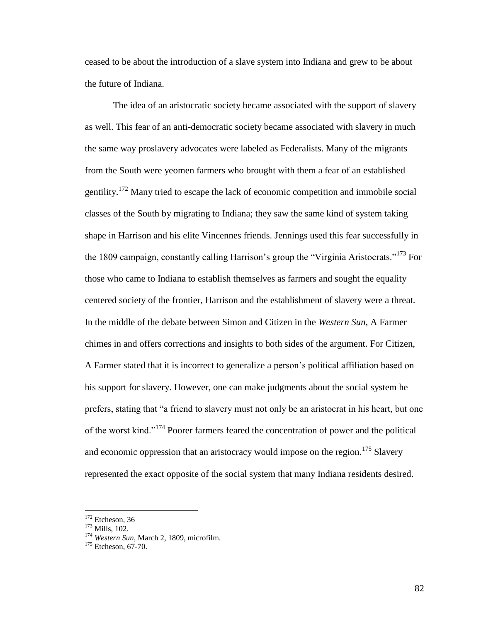ceased to be about the introduction of a slave system into Indiana and grew to be about the future of Indiana.

The idea of an aristocratic society became associated with the support of slavery as well. This fear of an anti-democratic society became associated with slavery in much the same way proslavery advocates were labeled as Federalists. Many of the migrants from the South were yeomen farmers who brought with them a fear of an established gentility.<sup>172</sup> Many tried to escape the lack of economic competition and immobile social classes of the South by migrating to Indiana; they saw the same kind of system taking shape in Harrison and his elite Vincennes friends. Jennings used this fear successfully in the 1809 campaign, constantly calling Harrison's group the "Virginia Aristocrats."<sup>173</sup> For those who came to Indiana to establish themselves as farmers and sought the equality centered society of the frontier, Harrison and the establishment of slavery were a threat. In the middle of the debate between Simon and Citizen in the *Western Sun*, A Farmer chimes in and offers corrections and insights to both sides of the argument. For Citizen, A Farmer stated that it is incorrect to generalize a person's political affiliation based on his support for slavery. However, one can make judgments about the social system he prefers, stating that "a friend to slavery must not only be an aristocrat in his heart, but one of the worst kind."<sup>174</sup> Poorer farmers feared the concentration of power and the political and economic oppression that an aristocracy would impose on the region.<sup>175</sup> Slavery represented the exact opposite of the social system that many Indiana residents desired.

 $172$  Etcheson, 36

<sup>173</sup> Mills, 102.

<sup>174</sup> *Western Sun*, March 2, 1809, microfilm.

<sup>&</sup>lt;sup>175</sup> Etcheson, 67-70.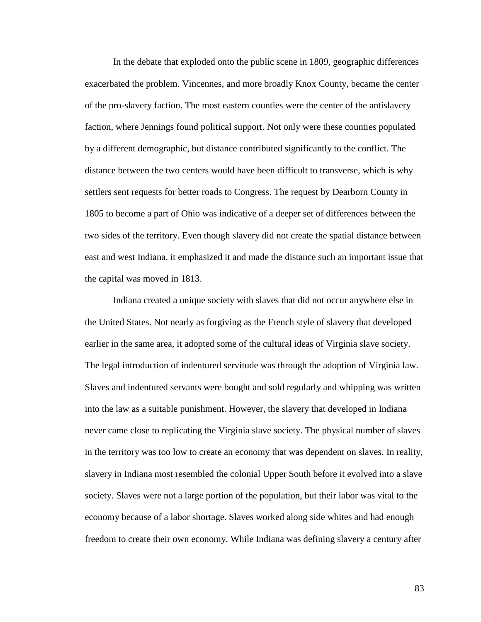In the debate that exploded onto the public scene in 1809, geographic differences exacerbated the problem. Vincennes, and more broadly Knox County, became the center of the pro-slavery faction. The most eastern counties were the center of the antislavery faction, where Jennings found political support. Not only were these counties populated by a different demographic, but distance contributed significantly to the conflict. The distance between the two centers would have been difficult to transverse, which is why settlers sent requests for better roads to Congress. The request by Dearborn County in 1805 to become a part of Ohio was indicative of a deeper set of differences between the two sides of the territory. Even though slavery did not create the spatial distance between east and west Indiana, it emphasized it and made the distance such an important issue that the capital was moved in 1813.

Indiana created a unique society with slaves that did not occur anywhere else in the United States. Not nearly as forgiving as the French style of slavery that developed earlier in the same area, it adopted some of the cultural ideas of Virginia slave society. The legal introduction of indentured servitude was through the adoption of Virginia law. Slaves and indentured servants were bought and sold regularly and whipping was written into the law as a suitable punishment. However, the slavery that developed in Indiana never came close to replicating the Virginia slave society. The physical number of slaves in the territory was too low to create an economy that was dependent on slaves. In reality, slavery in Indiana most resembled the colonial Upper South before it evolved into a slave society. Slaves were not a large portion of the population, but their labor was vital to the economy because of a labor shortage. Slaves worked along side whites and had enough freedom to create their own economy. While Indiana was defining slavery a century after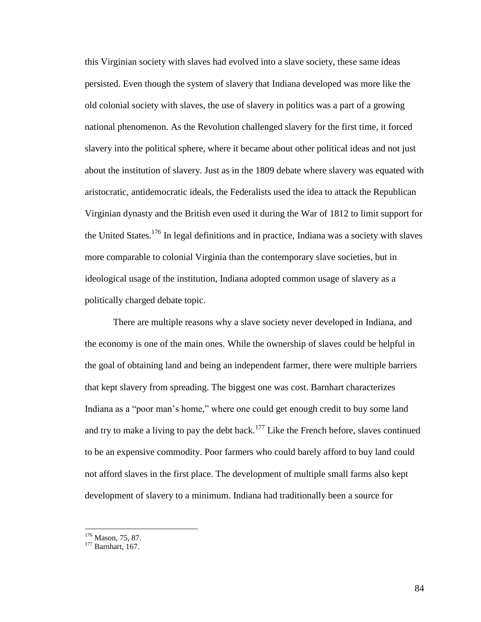this Virginian society with slaves had evolved into a slave society, these same ideas persisted. Even though the system of slavery that Indiana developed was more like the old colonial society with slaves, the use of slavery in politics was a part of a growing national phenomenon. As the Revolution challenged slavery for the first time, it forced slavery into the political sphere, where it became about other political ideas and not just about the institution of slavery. Just as in the 1809 debate where slavery was equated with aristocratic, antidemocratic ideals, the Federalists used the idea to attack the Republican Virginian dynasty and the British even used it during the War of 1812 to limit support for the United States.<sup>176</sup> In legal definitions and in practice, Indiana was a society with slaves more comparable to colonial Virginia than the contemporary slave societies, but in ideological usage of the institution, Indiana adopted common usage of slavery as a politically charged debate topic.

There are multiple reasons why a slave society never developed in Indiana, and the economy is one of the main ones. While the ownership of slaves could be helpful in the goal of obtaining land and being an independent farmer, there were multiple barriers that kept slavery from spreading. The biggest one was cost. Barnhart characterizes Indiana as a "poor man's home," where one could get enough credit to buy some land and try to make a living to pay the debt back.<sup>177</sup> Like the French before, slaves continued to be an expensive commodity. Poor farmers who could barely afford to buy land could not afford slaves in the first place. The development of multiple small farms also kept development of slavery to a minimum. Indiana had traditionally been a source for

<sup>&</sup>lt;sup>176</sup> Mason, 75, 87.

 $177$  Barnhart, 167.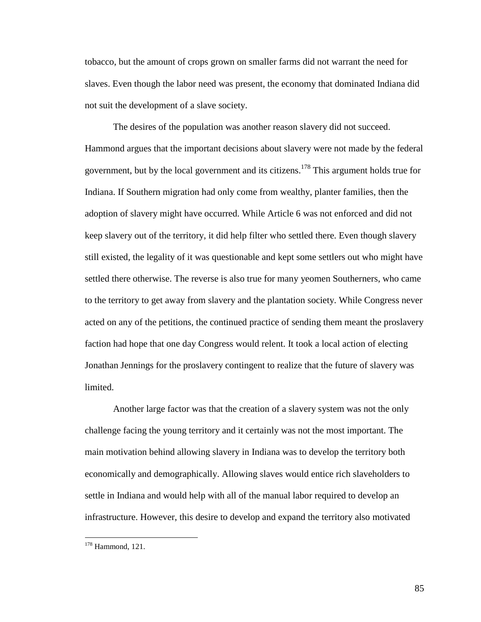tobacco, but the amount of crops grown on smaller farms did not warrant the need for slaves. Even though the labor need was present, the economy that dominated Indiana did not suit the development of a slave society.

The desires of the population was another reason slavery did not succeed. Hammond argues that the important decisions about slavery were not made by the federal government, but by the local government and its citizens.<sup>178</sup> This argument holds true for Indiana. If Southern migration had only come from wealthy, planter families, then the adoption of slavery might have occurred. While Article 6 was not enforced and did not keep slavery out of the territory, it did help filter who settled there. Even though slavery still existed, the legality of it was questionable and kept some settlers out who might have settled there otherwise. The reverse is also true for many yeomen Southerners, who came to the territory to get away from slavery and the plantation society. While Congress never acted on any of the petitions, the continued practice of sending them meant the proslavery faction had hope that one day Congress would relent. It took a local action of electing Jonathan Jennings for the proslavery contingent to realize that the future of slavery was limited.

Another large factor was that the creation of a slavery system was not the only challenge facing the young territory and it certainly was not the most important. The main motivation behind allowing slavery in Indiana was to develop the territory both economically and demographically. Allowing slaves would entice rich slaveholders to settle in Indiana and would help with all of the manual labor required to develop an infrastructure. However, this desire to develop and expand the territory also motivated

 $\overline{a}$ 

 $178$  Hammond, 121.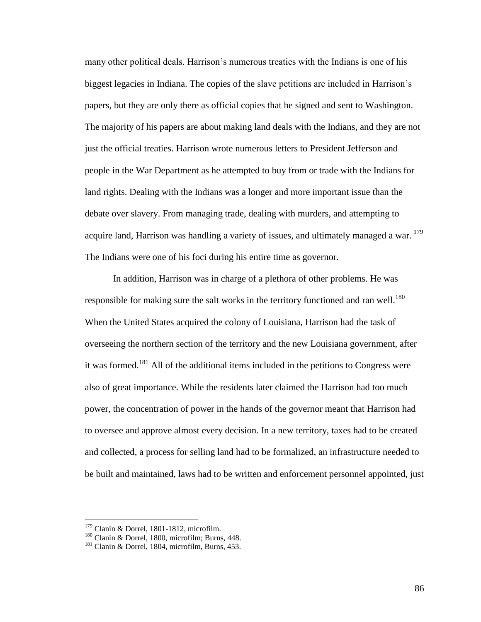many other political deals. Harrison's numerous treaties with the Indians is one of his biggest legacies in Indiana. The copies of the slave petitions are included in Harrison's papers, but they are only there as official copies that he signed and sent to Washington. The majority of his papers are about making land deals with the Indians, and they are not just the official treaties. Harrison wrote numerous letters to President Jefferson and people in the War Department as he attempted to buy from or trade with the Indians for land rights. Dealing with the Indians was a longer and more important issue than the debate over slavery. From managing trade, dealing with murders, and attempting to acquire land, Harrison was handling a variety of issues, and ultimately managed a war. <sup>179</sup> The Indians were one of his foci during his entire time as governor.

In addition, Harrison was in charge of a plethora of other problems. He was responsible for making sure the salt works in the territory functioned and ran well.<sup>180</sup> When the United States acquired the colony of Louisiana, Harrison had the task of overseeing the northern section of the territory and the new Louisiana government, after it was formed.<sup>181</sup> All of the additional items included in the petitions to Congress were also of great importance. While the residents later claimed the Harrison had too much power, the concentration of power in the hands of the governor meant that Harrison had to oversee and approve almost every decision. In a new territory, taxes had to be created and collected, a process for selling land had to be formalized, an infrastructure needed to be built and maintained, laws had to be written and enforcement personnel appointed, just

<sup>&</sup>lt;sup>179</sup> Clanin & Dorrel, 1801-1812, microfilm.

<sup>180</sup> Clanin & Dorrel, 1800, microfilm; Burns, 448.

<sup>&</sup>lt;sup>181</sup> Clanin & Dorrel, 1804, microfilm, Burns, 453.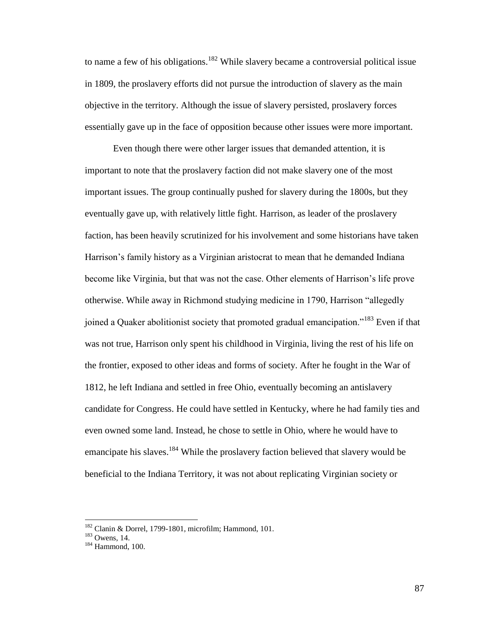to name a few of his obligations.<sup>182</sup> While slavery became a controversial political issue in 1809, the proslavery efforts did not pursue the introduction of slavery as the main objective in the territory. Although the issue of slavery persisted, proslavery forces essentially gave up in the face of opposition because other issues were more important.

Even though there were other larger issues that demanded attention, it is important to note that the proslavery faction did not make slavery one of the most important issues. The group continually pushed for slavery during the 1800s, but they eventually gave up, with relatively little fight. Harrison, as leader of the proslavery faction, has been heavily scrutinized for his involvement and some historians have taken Harrison's family history as a Virginian aristocrat to mean that he demanded Indiana become like Virginia, but that was not the case. Other elements of Harrison's life prove otherwise. While away in Richmond studying medicine in 1790, Harrison "allegedly joined a Quaker abolitionist society that promoted gradual emancipation."<sup>183</sup> Even if that was not true, Harrison only spent his childhood in Virginia, living the rest of his life on the frontier, exposed to other ideas and forms of society. After he fought in the War of 1812, he left Indiana and settled in free Ohio, eventually becoming an antislavery candidate for Congress. He could have settled in Kentucky, where he had family ties and even owned some land. Instead, he chose to settle in Ohio, where he would have to emancipate his slaves.<sup>184</sup> While the proslavery faction believed that slavery would be beneficial to the Indiana Territory, it was not about replicating Virginian society or

<sup>&</sup>lt;sup>182</sup> Clanin & Dorrel, 1799-1801, microfilm; Hammond, 101.

 $183$  Owens, 14.

<sup>184</sup> Hammond, 100.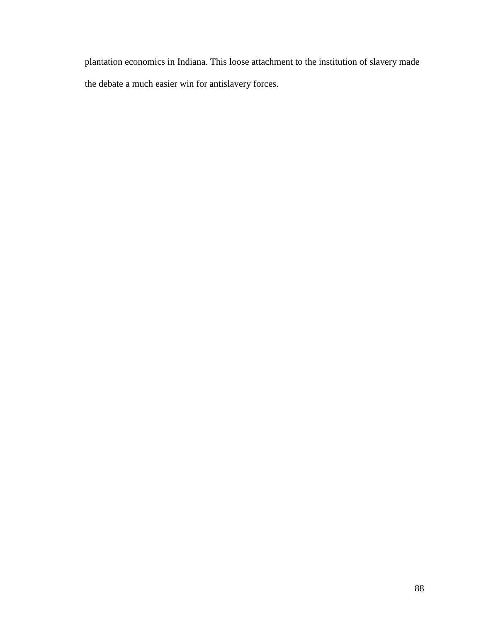plantation economics in Indiana. This loose attachment to the institution of slavery made the debate a much easier win for antislavery forces.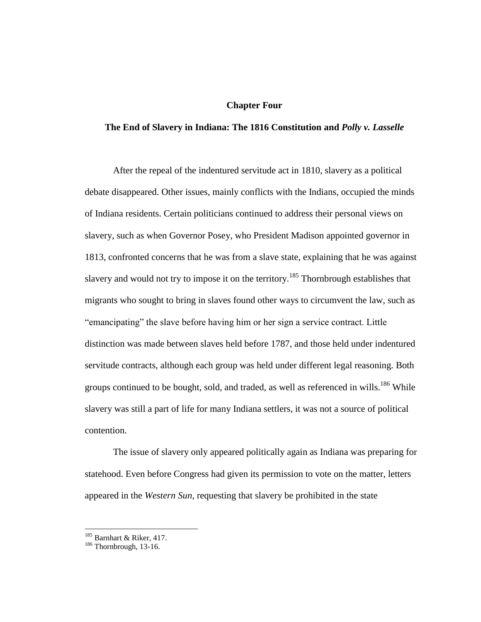## **Chapter Four**

## **The End of Slavery in Indiana: The 1816 Constitution and** *Polly v. Lasselle*

After the repeal of the indentured servitude act in 1810, slavery as a political debate disappeared. Other issues, mainly conflicts with the Indians, occupied the minds of Indiana residents. Certain politicians continued to address their personal views on slavery, such as when Governor Posey, who President Madison appointed governor in 1813, confronted concerns that he was from a slave state, explaining that he was against slavery and would not try to impose it on the territory.<sup>185</sup> Thornbrough establishes that migrants who sought to bring in slaves found other ways to circumvent the law, such as "emancipating" the slave before having him or her sign a service contract. Little distinction was made between slaves held before 1787, and those held under indentured servitude contracts, although each group was held under different legal reasoning. Both groups continued to be bought, sold, and traded, as well as referenced in wills.<sup>186</sup> While slavery was still a part of life for many Indiana settlers, it was not a source of political contention.

The issue of slavery only appeared politically again as Indiana was preparing for statehood. Even before Congress had given its permission to vote on the matter, letters appeared in the *Western Sun*, requesting that slavery be prohibited in the state

<sup>&</sup>lt;sup>185</sup> Barnhart & Riker, 417.

<sup>&</sup>lt;sup>186</sup> Thornbrough, 13-16.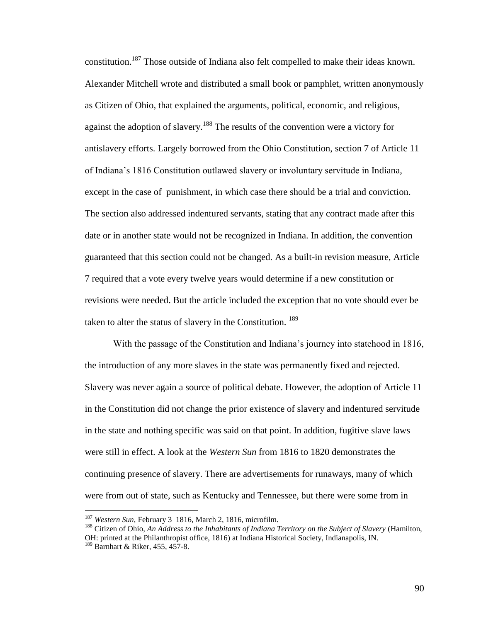constitution.<sup>187</sup> Those outside of Indiana also felt compelled to make their ideas known. Alexander Mitchell wrote and distributed a small book or pamphlet, written anonymously as Citizen of Ohio, that explained the arguments, political, economic, and religious, against the adoption of slavery.<sup>188</sup> The results of the convention were a victory for antislavery efforts. Largely borrowed from the Ohio Constitution, section 7 of Article 11 of Indiana's 1816 Constitution outlawed slavery or involuntary servitude in Indiana, except in the case of punishment, in which case there should be a trial and conviction. The section also addressed indentured servants, stating that any contract made after this date or in another state would not be recognized in Indiana. In addition, the convention guaranteed that this section could not be changed. As a built-in revision measure, Article 7 required that a vote every twelve years would determine if a new constitution or revisions were needed. But the article included the exception that no vote should ever be taken to alter the status of slavery in the Constitution. <sup>189</sup>

With the passage of the Constitution and Indiana's journey into statehood in 1816, the introduction of any more slaves in the state was permanently fixed and rejected. Slavery was never again a source of political debate. However, the adoption of Article 11 in the Constitution did not change the prior existence of slavery and indentured servitude in the state and nothing specific was said on that point. In addition, fugitive slave laws were still in effect. A look at the *Western Sun* from 1816 to 1820 demonstrates the continuing presence of slavery. There are advertisements for runaways, many of which were from out of state, such as Kentucky and Tennessee, but there were some from in

<sup>187</sup> *Western Sun,* February 3 1816, March 2, 1816, microfilm.

<sup>&</sup>lt;sup>188</sup> Citizen of Ohio, *An Address to the Inhabitants of Indiana Territory on the Subject of Slavery (Hamilton,* OH: printed at the Philanthropist office, 1816) at Indiana Historical Society, Indianapolis, IN.

<sup>&</sup>lt;sup>189</sup> Barnhart & Riker, 455, 457-8.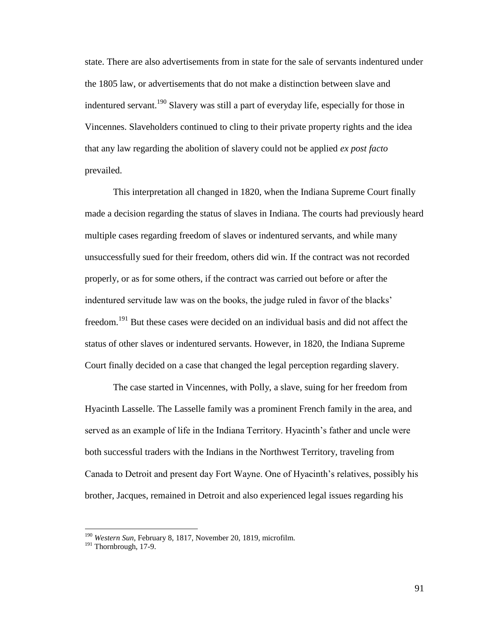state. There are also advertisements from in state for the sale of servants indentured under the 1805 law, or advertisements that do not make a distinction between slave and indentured servant.<sup>190</sup> Slavery was still a part of everyday life, especially for those in Vincennes. Slaveholders continued to cling to their private property rights and the idea that any law regarding the abolition of slavery could not be applied *ex post facto*  prevailed.

This interpretation all changed in 1820, when the Indiana Supreme Court finally made a decision regarding the status of slaves in Indiana. The courts had previously heard multiple cases regarding freedom of slaves or indentured servants, and while many unsuccessfully sued for their freedom, others did win. If the contract was not recorded properly, or as for some others, if the contract was carried out before or after the indentured servitude law was on the books, the judge ruled in favor of the blacks' freedom.<sup>191</sup> But these cases were decided on an individual basis and did not affect the status of other slaves or indentured servants. However, in 1820, the Indiana Supreme Court finally decided on a case that changed the legal perception regarding slavery.

The case started in Vincennes, with Polly, a slave, suing for her freedom from Hyacinth Lasselle. The Lasselle family was a prominent French family in the area, and served as an example of life in the Indiana Territory. Hyacinth's father and uncle were both successful traders with the Indians in the Northwest Territory, traveling from Canada to Detroit and present day Fort Wayne. One of Hyacinth's relatives, possibly his brother, Jacques, remained in Detroit and also experienced legal issues regarding his

 $\overline{a}$ 

<sup>190</sup> *Western Sun*, February 8, 1817, November 20, 1819, microfilm.

<sup>&</sup>lt;sup>191</sup> Thornbrough, 17-9.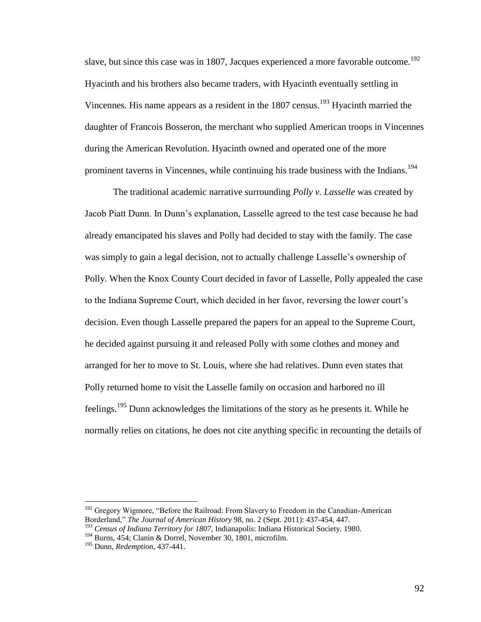slave, but since this case was in 1807, Jacques experienced a more favorable outcome.<sup>192</sup> Hyacinth and his brothers also became traders, with Hyacinth eventually settling in Vincennes. His name appears as a resident in the  $1807$  census.<sup>193</sup> Hyacinth married the daughter of Francois Bosseron, the merchant who supplied American troops in Vincennes during the American Revolution. Hyacinth owned and operated one of the more prominent taverns in Vincennes, while continuing his trade business with the Indians.<sup>194</sup>

The traditional academic narrative surrounding *Polly v. Lasselle* was created by Jacob Piatt Dunn. In Dunn's explanation, Lasselle agreed to the test case because he had already emancipated his slaves and Polly had decided to stay with the family. The case was simply to gain a legal decision, not to actually challenge Lasselle's ownership of Polly. When the Knox County Court decided in favor of Lasselle, Polly appealed the case to the Indiana Supreme Court, which decided in her favor, reversing the lower court's decision. Even though Lasselle prepared the papers for an appeal to the Supreme Court, he decided against pursuing it and released Polly with some clothes and money and arranged for her to move to St. Louis, where she had relatives. Dunn even states that Polly returned home to visit the Lasselle family on occasion and harbored no ill feelings.<sup>195</sup> Dunn acknowledges the limitations of the story as he presents it. While he normally relies on citations, he does not cite anything specific in recounting the details of

<sup>&</sup>lt;sup>192</sup> Gregory Wigmore, "Before the Railroad: From Slavery to Freedom in the Canadian-American Borderland," *The Journal of American History* 98, no. 2 (Sept. 2011): 437-454, 447.

<sup>193</sup> *Census of Indiana Territory for 1807,* Indianapolis: Indiana Historical Society. 1980.

<sup>194</sup> Burns, 454; Clanin & Dorrel, November 30, 1801, microfilm.

<sup>195</sup> Dunn, *Redemption*, 437-441.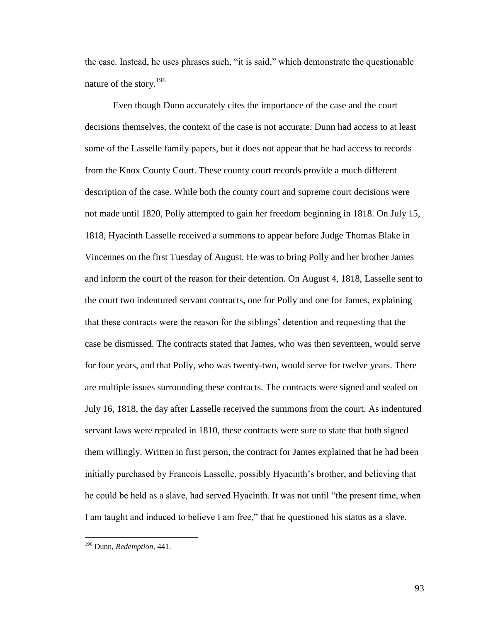the case. Instead, he uses phrases such, "it is said," which demonstrate the questionable nature of the story.<sup>196</sup>

Even though Dunn accurately cites the importance of the case and the court decisions themselves, the context of the case is not accurate. Dunn had access to at least some of the Lasselle family papers, but it does not appear that he had access to records from the Knox County Court. These county court records provide a much different description of the case. While both the county court and supreme court decisions were not made until 1820, Polly attempted to gain her freedom beginning in 1818. On July 15, 1818, Hyacinth Lasselle received a summons to appear before Judge Thomas Blake in Vincennes on the first Tuesday of August. He was to bring Polly and her brother James and inform the court of the reason for their detention. On August 4, 1818, Lasselle sent to the court two indentured servant contracts, one for Polly and one for James, explaining that these contracts were the reason for the siblings' detention and requesting that the case be dismissed. The contracts stated that James, who was then seventeen, would serve for four years, and that Polly, who was twenty-two, would serve for twelve years. There are multiple issues surrounding these contracts. The contracts were signed and sealed on July 16, 1818, the day after Lasselle received the summons from the court. As indentured servant laws were repealed in 1810, these contracts were sure to state that both signed them willingly. Written in first person, the contract for James explained that he had been initially purchased by Francois Lasselle, possibly Hyacinth's brother, and believing that he could be held as a slave, had served Hyacinth. It was not until "the present time, when I am taught and induced to believe I am free," that he questioned his status as a slave.

<sup>196</sup> Dunn, *Redemption,* 441.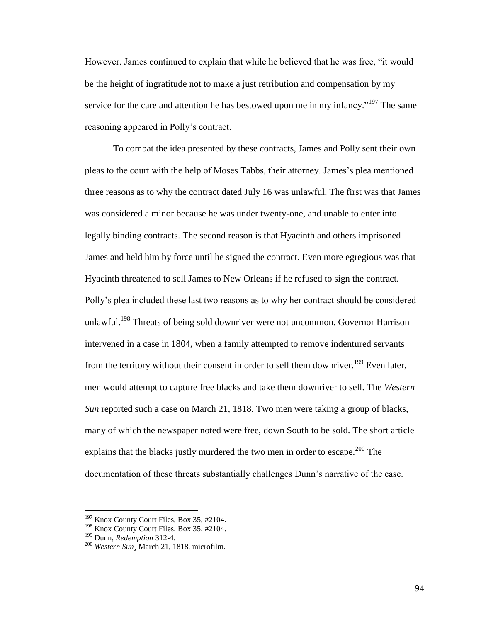However, James continued to explain that while he believed that he was free, "it would be the height of ingratitude not to make a just retribution and compensation by my service for the care and attention he has bestowed upon me in my infancy.<sup>"197</sup> The same reasoning appeared in Polly's contract.

To combat the idea presented by these contracts, James and Polly sent their own pleas to the court with the help of Moses Tabbs, their attorney. James's plea mentioned three reasons as to why the contract dated July 16 was unlawful. The first was that James was considered a minor because he was under twenty-one, and unable to enter into legally binding contracts. The second reason is that Hyacinth and others imprisoned James and held him by force until he signed the contract. Even more egregious was that Hyacinth threatened to sell James to New Orleans if he refused to sign the contract. Polly's plea included these last two reasons as to why her contract should be considered unlawful.<sup>198</sup> Threats of being sold downriver were not uncommon. Governor Harrison intervened in a case in 1804, when a family attempted to remove indentured servants from the territory without their consent in order to sell them downriver.<sup>199</sup> Even later, men would attempt to capture free blacks and take them downriver to sell. The *Western Sun* reported such a case on March 21, 1818. Two men were taking a group of blacks, many of which the newspaper noted were free, down South to be sold. The short article explains that the blacks justly murdered the two men in order to escape.<sup>200</sup> The documentation of these threats substantially challenges Dunn's narrative of the case.

 $\overline{a}$ 

<sup>&</sup>lt;sup>197</sup> Knox County Court Files, Box 35, #2104.

<sup>&</sup>lt;sup>198</sup> Knox County Court Files, Box 35, #2104.

<sup>199</sup> Dunn, *Redemption* 312-4.

<sup>200</sup> *Western Sun¸* March 21, 1818, microfilm.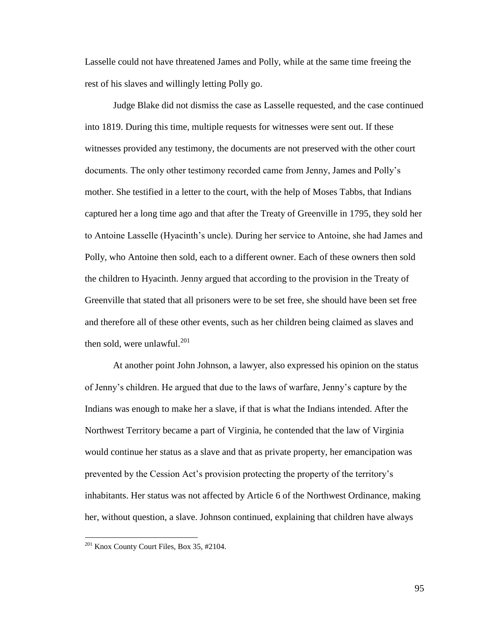Lasselle could not have threatened James and Polly, while at the same time freeing the rest of his slaves and willingly letting Polly go.

Judge Blake did not dismiss the case as Lasselle requested, and the case continued into 1819. During this time, multiple requests for witnesses were sent out. If these witnesses provided any testimony, the documents are not preserved with the other court documents. The only other testimony recorded came from Jenny, James and Polly's mother. She testified in a letter to the court, with the help of Moses Tabbs, that Indians captured her a long time ago and that after the Treaty of Greenville in 1795, they sold her to Antoine Lasselle (Hyacinth's uncle). During her service to Antoine, she had James and Polly, who Antoine then sold, each to a different owner. Each of these owners then sold the children to Hyacinth. Jenny argued that according to the provision in the Treaty of Greenville that stated that all prisoners were to be set free, she should have been set free and therefore all of these other events, such as her children being claimed as slaves and then sold, were unlawful.<sup>201</sup>

At another point John Johnson, a lawyer, also expressed his opinion on the status of Jenny's children. He argued that due to the laws of warfare, Jenny's capture by the Indians was enough to make her a slave, if that is what the Indians intended. After the Northwest Territory became a part of Virginia, he contended that the law of Virginia would continue her status as a slave and that as private property, her emancipation was prevented by the Cession Act's provision protecting the property of the territory's inhabitants. Her status was not affected by Article 6 of the Northwest Ordinance, making her, without question, a slave. Johnson continued, explaining that children have always

 $\overline{a}$ 

 $201$  Knox County Court Files, Box 35, #2104.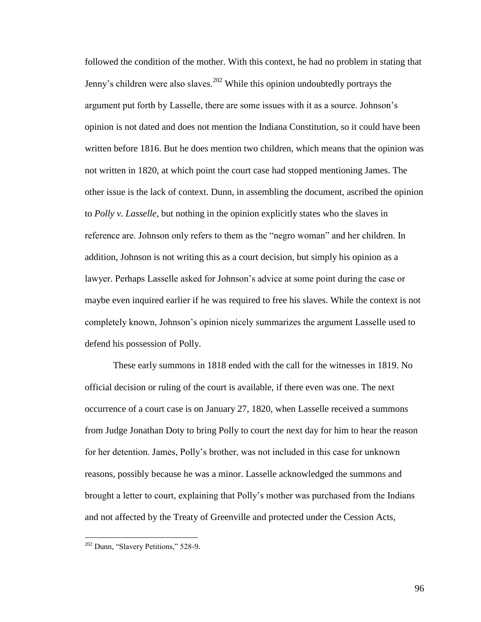followed the condition of the mother. With this context, he had no problem in stating that Jenny's children were also slaves.<sup>202</sup> While this opinion undoubtedly portrays the argument put forth by Lasselle, there are some issues with it as a source. Johnson's opinion is not dated and does not mention the Indiana Constitution, so it could have been written before 1816. But he does mention two children, which means that the opinion was not written in 1820, at which point the court case had stopped mentioning James. The other issue is the lack of context. Dunn, in assembling the document, ascribed the opinion to *Polly v. Lasselle*, but nothing in the opinion explicitly states who the slaves in reference are. Johnson only refers to them as the "negro woman" and her children. In addition, Johnson is not writing this as a court decision, but simply his opinion as a lawyer. Perhaps Lasselle asked for Johnson's advice at some point during the case or maybe even inquired earlier if he was required to free his slaves. While the context is not completely known, Johnson's opinion nicely summarizes the argument Lasselle used to defend his possession of Polly.

These early summons in 1818 ended with the call for the witnesses in 1819. No official decision or ruling of the court is available, if there even was one. The next occurrence of a court case is on January 27, 1820, when Lasselle received a summons from Judge Jonathan Doty to bring Polly to court the next day for him to hear the reason for her detention. James, Polly's brother, was not included in this case for unknown reasons, possibly because he was a minor. Lasselle acknowledged the summons and brought a letter to court, explaining that Polly's mother was purchased from the Indians and not affected by the Treaty of Greenville and protected under the Cession Acts,

 $202$  Dunn, "Slavery Petitions," 528-9.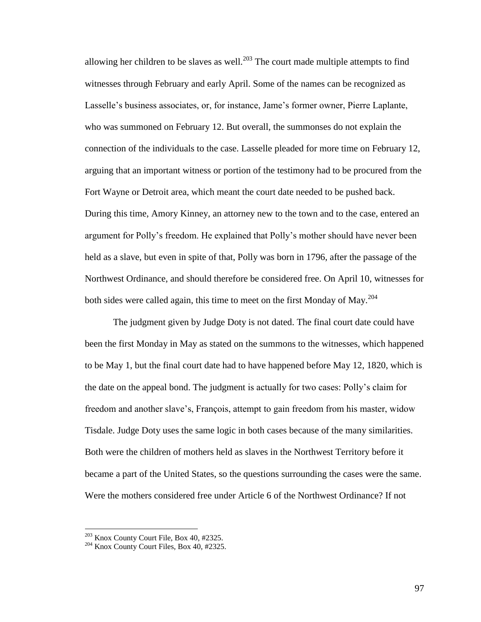allowing her children to be slaves as well.<sup>203</sup> The court made multiple attempts to find witnesses through February and early April. Some of the names can be recognized as Lasselle's business associates, or, for instance, Jame's former owner, Pierre Laplante, who was summoned on February 12. But overall, the summonses do not explain the connection of the individuals to the case. Lasselle pleaded for more time on February 12, arguing that an important witness or portion of the testimony had to be procured from the Fort Wayne or Detroit area, which meant the court date needed to be pushed back. During this time, Amory Kinney, an attorney new to the town and to the case, entered an argument for Polly's freedom. He explained that Polly's mother should have never been held as a slave, but even in spite of that, Polly was born in 1796, after the passage of the Northwest Ordinance, and should therefore be considered free. On April 10, witnesses for both sides were called again, this time to meet on the first Monday of May.<sup>204</sup>

The judgment given by Judge Doty is not dated. The final court date could have been the first Monday in May as stated on the summons to the witnesses, which happened to be May 1, but the final court date had to have happened before May 12, 1820, which is the date on the appeal bond. The judgment is actually for two cases: Polly's claim for freedom and another slave's, François, attempt to gain freedom from his master, widow Tisdale. Judge Doty uses the same logic in both cases because of the many similarities. Both were the children of mothers held as slaves in the Northwest Territory before it became a part of the United States, so the questions surrounding the cases were the same. Were the mothers considered free under Article 6 of the Northwest Ordinance? If not

 $\overline{a}$ 

 $203$  Knox County Court File, Box 40, #2325.

 $204$  Knox County Court Files, Box 40, #2325.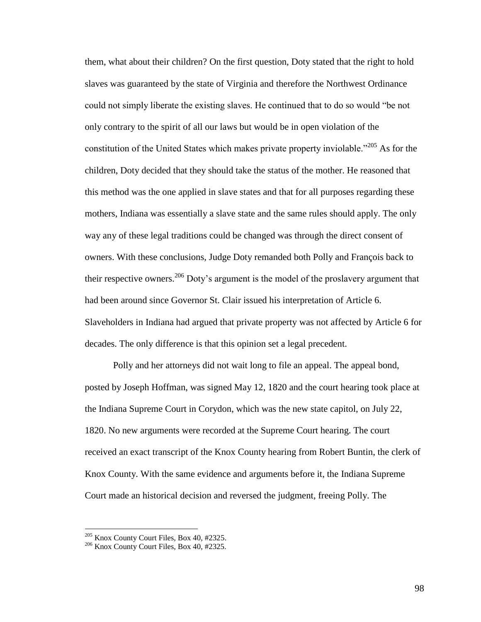them, what about their children? On the first question, Doty stated that the right to hold slaves was guaranteed by the state of Virginia and therefore the Northwest Ordinance could not simply liberate the existing slaves. He continued that to do so would "be not only contrary to the spirit of all our laws but would be in open violation of the constitution of the United States which makes private property inviolable."<sup>205</sup> As for the children, Doty decided that they should take the status of the mother. He reasoned that this method was the one applied in slave states and that for all purposes regarding these mothers, Indiana was essentially a slave state and the same rules should apply. The only way any of these legal traditions could be changed was through the direct consent of owners. With these conclusions, Judge Doty remanded both Polly and François back to their respective owners.<sup>206</sup> Doty's argument is the model of the proslavery argument that had been around since Governor St. Clair issued his interpretation of Article 6. Slaveholders in Indiana had argued that private property was not affected by Article 6 for decades. The only difference is that this opinion set a legal precedent.

Polly and her attorneys did not wait long to file an appeal. The appeal bond, posted by Joseph Hoffman, was signed May 12, 1820 and the court hearing took place at the Indiana Supreme Court in Corydon, which was the new state capitol, on July 22, 1820. No new arguments were recorded at the Supreme Court hearing. The court received an exact transcript of the Knox County hearing from Robert Buntin, the clerk of Knox County. With the same evidence and arguments before it, the Indiana Supreme Court made an historical decision and reversed the judgment, freeing Polly. The

 $205$  Knox County Court Files, Box 40, #2325.

<sup>&</sup>lt;sup>206</sup> Knox County Court Files, Box 40, #2325.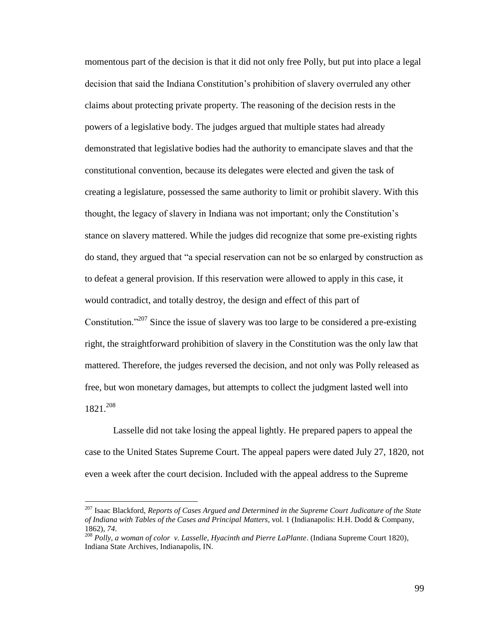momentous part of the decision is that it did not only free Polly, but put into place a legal decision that said the Indiana Constitution's prohibition of slavery overruled any other claims about protecting private property. The reasoning of the decision rests in the powers of a legislative body. The judges argued that multiple states had already demonstrated that legislative bodies had the authority to emancipate slaves and that the constitutional convention, because its delegates were elected and given the task of creating a legislature, possessed the same authority to limit or prohibit slavery. With this thought, the legacy of slavery in Indiana was not important; only the Constitution's stance on slavery mattered. While the judges did recognize that some pre-existing rights do stand, they argued that "a special reservation can not be so enlarged by construction as to defeat a general provision. If this reservation were allowed to apply in this case, it would contradict, and totally destroy, the design and effect of this part of Constitution."<sup>207</sup> Since the issue of slavery was too large to be considered a pre-existing right, the straightforward prohibition of slavery in the Constitution was the only law that mattered. Therefore, the judges reversed the decision, and not only was Polly released as free, but won monetary damages, but attempts to collect the judgment lasted well into 1821.<sup>208</sup>

Lasselle did not take losing the appeal lightly. He prepared papers to appeal the case to the United States Supreme Court. The appeal papers were dated July 27, 1820, not even a week after the court decision. Included with the appeal address to the Supreme

<sup>207</sup> Isaac Blackford, *Reports of Cases Argued and Determined in the Supreme Court Judicature of the State of Indiana with Tables of the Cases and Principal Matters,* vol. 1 (Indianapolis: H.H. Dodd & Company, 1862), *74*.

<sup>208</sup> *Polly, a woman of color v. Lasselle, Hyacinth and Pierre LaPlante*. (Indiana Supreme Court 1820), Indiana State Archives, Indianapolis, IN.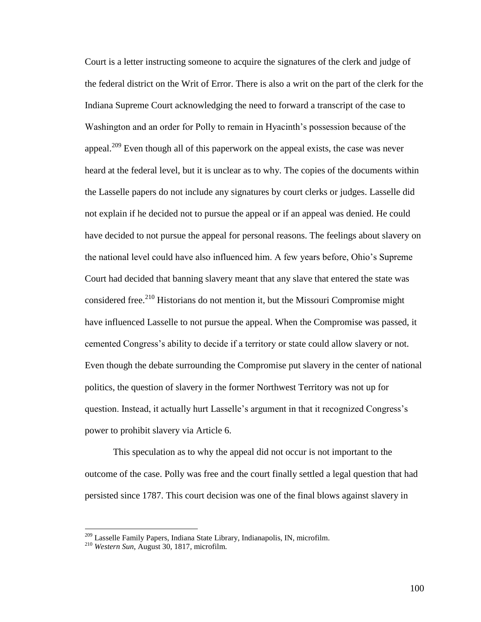Court is a letter instructing someone to acquire the signatures of the clerk and judge of the federal district on the Writ of Error. There is also a writ on the part of the clerk for the Indiana Supreme Court acknowledging the need to forward a transcript of the case to Washington and an order for Polly to remain in Hyacinth's possession because of the appeal.<sup>209</sup> Even though all of this paperwork on the appeal exists, the case was never heard at the federal level, but it is unclear as to why. The copies of the documents within the Lasselle papers do not include any signatures by court clerks or judges. Lasselle did not explain if he decided not to pursue the appeal or if an appeal was denied. He could have decided to not pursue the appeal for personal reasons. The feelings about slavery on the national level could have also influenced him. A few years before, Ohio's Supreme Court had decided that banning slavery meant that any slave that entered the state was considered free.<sup>210</sup> Historians do not mention it, but the Missouri Compromise might have influenced Lasselle to not pursue the appeal. When the Compromise was passed, it cemented Congress's ability to decide if a territory or state could allow slavery or not. Even though the debate surrounding the Compromise put slavery in the center of national politics, the question of slavery in the former Northwest Territory was not up for question. Instead, it actually hurt Lasselle's argument in that it recognized Congress's power to prohibit slavery via Article 6.

This speculation as to why the appeal did not occur is not important to the outcome of the case. Polly was free and the court finally settled a legal question that had persisted since 1787. This court decision was one of the final blows against slavery in

 $209$  Lasselle Family Papers, Indiana State Library, Indianapolis, IN, microfilm.

<sup>210</sup> *Western Sun*, August 30, 1817, microfilm.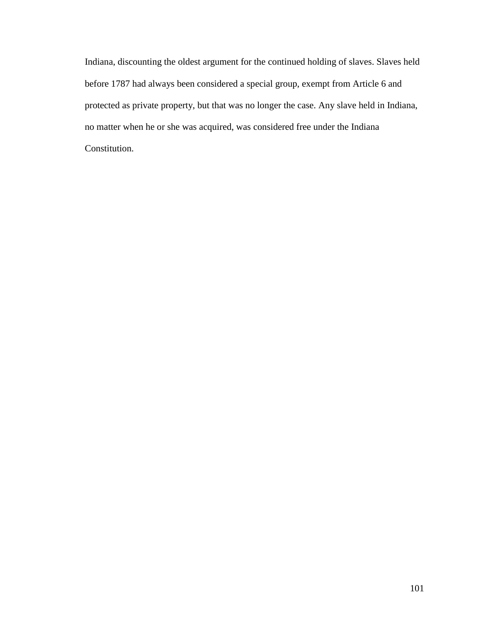Indiana, discounting the oldest argument for the continued holding of slaves. Slaves held before 1787 had always been considered a special group, exempt from Article 6 and protected as private property, but that was no longer the case. Any slave held in Indiana, no matter when he or she was acquired, was considered free under the Indiana Constitution.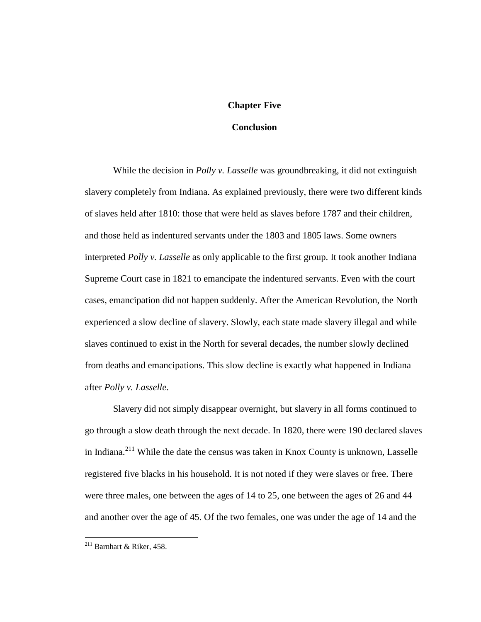## **Chapter Five**

## **Conclusion**

While the decision in *Polly v. Lasselle* was groundbreaking, it did not extinguish slavery completely from Indiana. As explained previously, there were two different kinds of slaves held after 1810: those that were held as slaves before 1787 and their children, and those held as indentured servants under the 1803 and 1805 laws. Some owners interpreted *Polly v. Lasselle* as only applicable to the first group. It took another Indiana Supreme Court case in 1821 to emancipate the indentured servants. Even with the court cases, emancipation did not happen suddenly. After the American Revolution, the North experienced a slow decline of slavery. Slowly, each state made slavery illegal and while slaves continued to exist in the North for several decades, the number slowly declined from deaths and emancipations. This slow decline is exactly what happened in Indiana after *Polly v. Lasselle*.

Slavery did not simply disappear overnight, but slavery in all forms continued to go through a slow death through the next decade. In 1820, there were 190 declared slaves in Indiana.<sup>211</sup> While the date the census was taken in Knox County is unknown, Lasselle registered five blacks in his household. It is not noted if they were slaves or free. There were three males, one between the ages of 14 to 25, one between the ages of 26 and 44 and another over the age of 45. Of the two females, one was under the age of 14 and the

 $^{211}$  Barnhart & Riker, 458.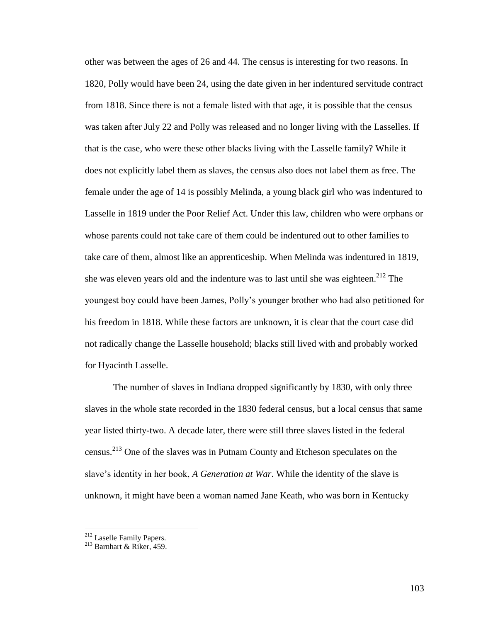other was between the ages of 26 and 44. The census is interesting for two reasons. In 1820, Polly would have been 24, using the date given in her indentured servitude contract from 1818. Since there is not a female listed with that age, it is possible that the census was taken after July 22 and Polly was released and no longer living with the Lasselles. If that is the case, who were these other blacks living with the Lasselle family? While it does not explicitly label them as slaves, the census also does not label them as free. The female under the age of 14 is possibly Melinda, a young black girl who was indentured to Lasselle in 1819 under the Poor Relief Act. Under this law, children who were orphans or whose parents could not take care of them could be indentured out to other families to take care of them, almost like an apprenticeship. When Melinda was indentured in 1819, she was eleven years old and the indenture was to last until she was eighteen.<sup>212</sup> The youngest boy could have been James, Polly's younger brother who had also petitioned for his freedom in 1818. While these factors are unknown, it is clear that the court case did not radically change the Lasselle household; blacks still lived with and probably worked for Hyacinth Lasselle.

The number of slaves in Indiana dropped significantly by 1830, with only three slaves in the whole state recorded in the 1830 federal census, but a local census that same year listed thirty-two. A decade later, there were still three slaves listed in the federal census.<sup>213</sup> One of the slaves was in Putnam County and Etcheson speculates on the slave's identity in her book, *A Generation at War*. While the identity of the slave is unknown, it might have been a woman named Jane Keath, who was born in Kentucky

<sup>&</sup>lt;sup>212</sup> Laselle Family Papers.

 $213$  Barnhart & Riker, 459.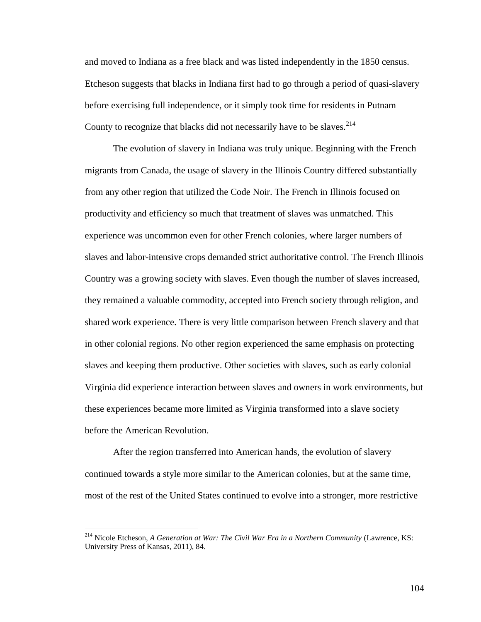and moved to Indiana as a free black and was listed independently in the 1850 census. Etcheson suggests that blacks in Indiana first had to go through a period of quasi-slavery before exercising full independence, or it simply took time for residents in Putnam County to recognize that blacks did not necessarily have to be slaves.<sup>214</sup>

The evolution of slavery in Indiana was truly unique. Beginning with the French migrants from Canada, the usage of slavery in the Illinois Country differed substantially from any other region that utilized the Code Noir. The French in Illinois focused on productivity and efficiency so much that treatment of slaves was unmatched. This experience was uncommon even for other French colonies, where larger numbers of slaves and labor-intensive crops demanded strict authoritative control. The French Illinois Country was a growing society with slaves. Even though the number of slaves increased, they remained a valuable commodity, accepted into French society through religion, and shared work experience. There is very little comparison between French slavery and that in other colonial regions. No other region experienced the same emphasis on protecting slaves and keeping them productive. Other societies with slaves, such as early colonial Virginia did experience interaction between slaves and owners in work environments, but these experiences became more limited as Virginia transformed into a slave society before the American Revolution.

After the region transferred into American hands, the evolution of slavery continued towards a style more similar to the American colonies, but at the same time, most of the rest of the United States continued to evolve into a stronger, more restrictive

<sup>214</sup> Nicole Etcheson, *A Generation at War: The Civil War Era in a Northern Community* (Lawrence, KS: University Press of Kansas, 2011), 84.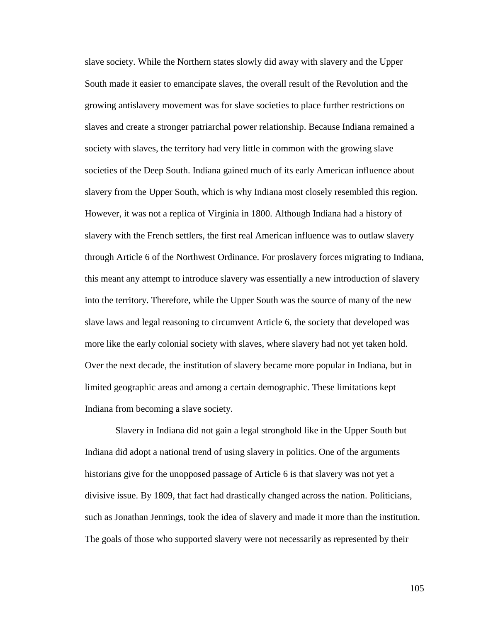slave society. While the Northern states slowly did away with slavery and the Upper South made it easier to emancipate slaves, the overall result of the Revolution and the growing antislavery movement was for slave societies to place further restrictions on slaves and create a stronger patriarchal power relationship. Because Indiana remained a society with slaves, the territory had very little in common with the growing slave societies of the Deep South. Indiana gained much of its early American influence about slavery from the Upper South, which is why Indiana most closely resembled this region. However, it was not a replica of Virginia in 1800. Although Indiana had a history of slavery with the French settlers, the first real American influence was to outlaw slavery through Article 6 of the Northwest Ordinance. For proslavery forces migrating to Indiana, this meant any attempt to introduce slavery was essentially a new introduction of slavery into the territory. Therefore, while the Upper South was the source of many of the new slave laws and legal reasoning to circumvent Article 6, the society that developed was more like the early colonial society with slaves, where slavery had not yet taken hold. Over the next decade, the institution of slavery became more popular in Indiana, but in limited geographic areas and among a certain demographic. These limitations kept Indiana from becoming a slave society.

Slavery in Indiana did not gain a legal stronghold like in the Upper South but Indiana did adopt a national trend of using slavery in politics. One of the arguments historians give for the unopposed passage of Article 6 is that slavery was not yet a divisive issue. By 1809, that fact had drastically changed across the nation. Politicians, such as Jonathan Jennings, took the idea of slavery and made it more than the institution. The goals of those who supported slavery were not necessarily as represented by their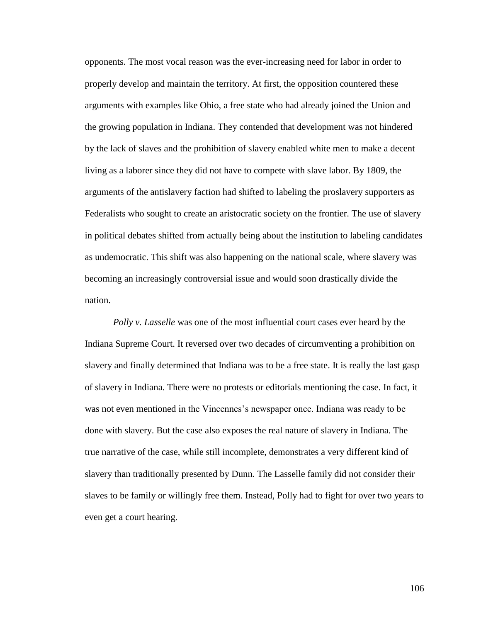opponents. The most vocal reason was the ever-increasing need for labor in order to properly develop and maintain the territory. At first, the opposition countered these arguments with examples like Ohio, a free state who had already joined the Union and the growing population in Indiana. They contended that development was not hindered by the lack of slaves and the prohibition of slavery enabled white men to make a decent living as a laborer since they did not have to compete with slave labor. By 1809, the arguments of the antislavery faction had shifted to labeling the proslavery supporters as Federalists who sought to create an aristocratic society on the frontier. The use of slavery in political debates shifted from actually being about the institution to labeling candidates as undemocratic. This shift was also happening on the national scale, where slavery was becoming an increasingly controversial issue and would soon drastically divide the nation.

*Polly v. Lasselle* was one of the most influential court cases ever heard by the Indiana Supreme Court. It reversed over two decades of circumventing a prohibition on slavery and finally determined that Indiana was to be a free state. It is really the last gasp of slavery in Indiana. There were no protests or editorials mentioning the case. In fact, it was not even mentioned in the Vincennes's newspaper once. Indiana was ready to be done with slavery. But the case also exposes the real nature of slavery in Indiana. The true narrative of the case, while still incomplete, demonstrates a very different kind of slavery than traditionally presented by Dunn. The Lasselle family did not consider their slaves to be family or willingly free them. Instead, Polly had to fight for over two years to even get a court hearing.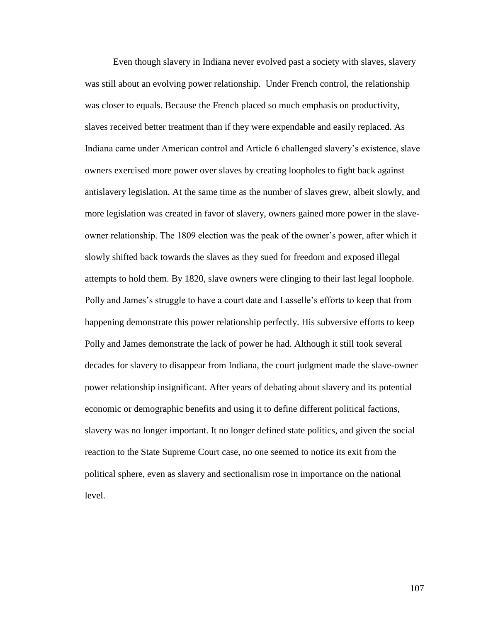Even though slavery in Indiana never evolved past a society with slaves, slavery was still about an evolving power relationship. Under French control, the relationship was closer to equals. Because the French placed so much emphasis on productivity, slaves received better treatment than if they were expendable and easily replaced. As Indiana came under American control and Article 6 challenged slavery's existence, slave owners exercised more power over slaves by creating loopholes to fight back against antislavery legislation. At the same time as the number of slaves grew, albeit slowly, and more legislation was created in favor of slavery, owners gained more power in the slaveowner relationship. The 1809 election was the peak of the owner's power, after which it slowly shifted back towards the slaves as they sued for freedom and exposed illegal attempts to hold them. By 1820, slave owners were clinging to their last legal loophole. Polly and James's struggle to have a court date and Lasselle's efforts to keep that from happening demonstrate this power relationship perfectly. His subversive efforts to keep Polly and James demonstrate the lack of power he had. Although it still took several decades for slavery to disappear from Indiana, the court judgment made the slave-owner power relationship insignificant. After years of debating about slavery and its potential economic or demographic benefits and using it to define different political factions, slavery was no longer important. It no longer defined state politics, and given the social reaction to the State Supreme Court case, no one seemed to notice its exit from the political sphere, even as slavery and sectionalism rose in importance on the national level.

107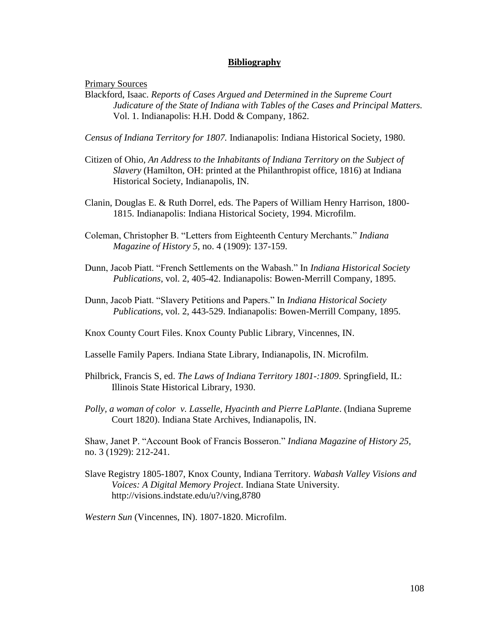## **Bibliography**

Primary Sources

Blackford, Isaac. *Reports of Cases Argued and Determined in the Supreme Court Judicature of the State of Indiana with Tables of the Cases and Principal Matters.*  Vol. 1. Indianapolis: H.H. Dodd & Company, 1862.

*Census of Indiana Territory for 1807.* Indianapolis: Indiana Historical Society, 1980.

- Citizen of Ohio, *An Address to the Inhabitants of Indiana Territory on the Subject of Slavery* (Hamilton, OH: printed at the Philanthropist office, 1816) at Indiana Historical Society, Indianapolis, IN.
- Clanin, Douglas E. & Ruth Dorrel, eds. The Papers of William Henry Harrison, 1800- 1815. Indianapolis: Indiana Historical Society, 1994. Microfilm.
- Coleman, Christopher B. "Letters from Eighteenth Century Merchants." *Indiana Magazine of History 5*, no. 4 (1909): 137-159.
- Dunn, Jacob Piatt. "French Settlements on the Wabash." In *Indiana Historical Society Publications*, vol. 2, 405-42. Indianapolis: Bowen-Merrill Company, 1895.
- Dunn, Jacob Piatt. "Slavery Petitions and Papers." In *Indiana Historical Society Publications*, vol. 2, 443-529. Indianapolis: Bowen-Merrill Company, 1895.

Knox County Court Files. Knox County Public Library, Vincennes, IN.

- Lasselle Family Papers. Indiana State Library, Indianapolis, IN. Microfilm.
- Philbrick, Francis S, ed. *The Laws of Indiana Territory 1801-:1809*. Springfield, IL: Illinois State Historical Library, 1930.
- *Polly, a woman of color v. Lasselle, Hyacinth and Pierre LaPlante*. (Indiana Supreme Court 1820). Indiana State Archives, Indianapolis, IN.

Shaw, Janet P. "Account Book of Francis Bosseron." *Indiana Magazine of History 25,*  no. 3 (1929): 212-241.

Slave Registry 1805-1807, Knox County, Indiana Territory. *Wabash Valley Visions and Voices: A Digital Memory Project*. Indiana State University. http://visions.indstate.edu/u?/ving,8780

*Western Sun* (Vincennes, IN). 1807-1820. Microfilm.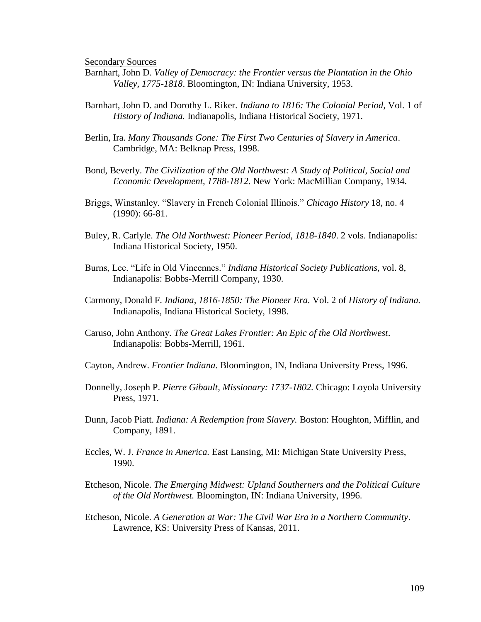Secondary Sources

- Barnhart, John D. *Valley of Democracy: the Frontier versus the Plantation in the Ohio Valley, 1775-1818*. Bloomington, IN: Indiana University, 1953.
- Barnhart, John D. and Dorothy L. Riker. *Indiana to 1816: The Colonial Period,* Vol. 1 of *History of Indiana.* Indianapolis, Indiana Historical Society, 1971.
- Berlin, Ira. *Many Thousands Gone: The First Two Centuries of Slavery in America*. Cambridge, MA: Belknap Press, 1998.
- Bond, Beverly. *The Civilization of the Old Northwest: A Study of Political, Social and Economic Development, 1788-1812*. New York: MacMillian Company, 1934.
- Briggs, Winstanley. "Slavery in French Colonial Illinois." *Chicago History* 18, no. 4 (1990): 66-81.
- Buley, R. Carlyle. *The Old Northwest: Pioneer Period, 1818-1840*. 2 vols. Indianapolis: Indiana Historical Society, 1950.
- Burns, Lee. "Life in Old Vincennes." *Indiana Historical Society Publications,* vol. 8, Indianapolis: Bobbs-Merrill Company, 1930.
- Carmony, Donald F. *Indiana, 1816-1850: The Pioneer Era.* Vol. 2 of *History of Indiana.* Indianapolis, Indiana Historical Society, 1998.
- Caruso, John Anthony. *The Great Lakes Frontier: An Epic of the Old Northwest*. Indianapolis: Bobbs-Merrill, 1961.
- Cayton, Andrew. *Frontier Indiana*. Bloomington, IN, Indiana University Press, 1996.
- Donnelly, Joseph P. *Pierre Gibault, Missionary: 1737-1802.* Chicago: Loyola University Press, 1971.
- Dunn, Jacob Piatt. *Indiana: A Redemption from Slavery.* Boston: Houghton, Mifflin, and Company, 1891.
- Eccles, W. J. *France in America.* East Lansing, MI: Michigan State University Press, 1990.
- Etcheson, Nicole. *The Emerging Midwest: Upland Southerners and the Political Culture of the Old Northwest.* Bloomington, IN: Indiana University, 1996.
- Etcheson, Nicole. *A Generation at War: The Civil War Era in a Northern Community*. Lawrence, KS: University Press of Kansas, 2011.